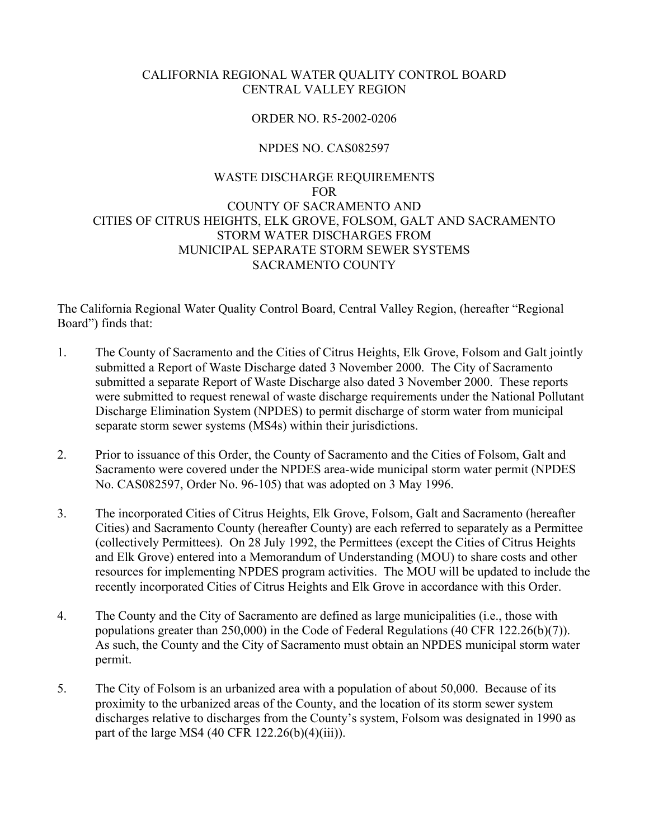## CALIFORNIA REGIONAL WATER QUALITY CONTROL BOARD CENTRAL VALLEY REGION

### ORDER NO. R5-2002-0206

## NPDES NO. CAS082597

## WASTE DISCHARGE REQUIREMENTS FOR COUNTY OF SACRAMENTO AND CITIES OF CITRUS HEIGHTS, ELK GROVE, FOLSOM, GALT AND SACRAMENTO STORM WATER DISCHARGES FROM MUNICIPAL SEPARATE STORM SEWER SYSTEMS SACRAMENTO COUNTY

The California Regional Water Quality Control Board, Central Valley Region, (hereafter "Regional Board") finds that:

- 1. The County of Sacramento and the Cities of Citrus Heights, Elk Grove, Folsom and Galt jointly submitted a Report of Waste Discharge dated 3 November 2000. The City of Sacramento submitted a separate Report of Waste Discharge also dated 3 November 2000. These reports were submitted to request renewal of waste discharge requirements under the National Pollutant Discharge Elimination System (NPDES) to permit discharge of storm water from municipal separate storm sewer systems (MS4s) within their jurisdictions.
- 2. Prior to issuance of this Order, the County of Sacramento and the Cities of Folsom, Galt and Sacramento were covered under the NPDES area-wide municipal storm water permit (NPDES No. CAS082597, Order No. 96-105) that was adopted on 3 May 1996.
- 3. The incorporated Cities of Citrus Heights, Elk Grove, Folsom, Galt and Sacramento (hereafter Cities) and Sacramento County (hereafter County) are each referred to separately as a Permittee (collectively Permittees). On 28 July 1992, the Permittees (except the Cities of Citrus Heights and Elk Grove) entered into a Memorandum of Understanding (MOU) to share costs and other resources for implementing NPDES program activities. The MOU will be updated to include the recently incorporated Cities of Citrus Heights and Elk Grove in accordance with this Order.
- 4. The County and the City of Sacramento are defined as large municipalities (i.e., those with populations greater than 250,000) in the Code of Federal Regulations (40 CFR 122.26(b)(7)). As such, the County and the City of Sacramento must obtain an NPDES municipal storm water permit.
- 5. The City of Folsom is an urbanized area with a population of about 50,000. Because of its proximity to the urbanized areas of the County, and the location of its storm sewer system discharges relative to discharges from the County's system, Folsom was designated in 1990 as part of the large MS4 (40 CFR  $122.26(b)(4)(iii)$ ).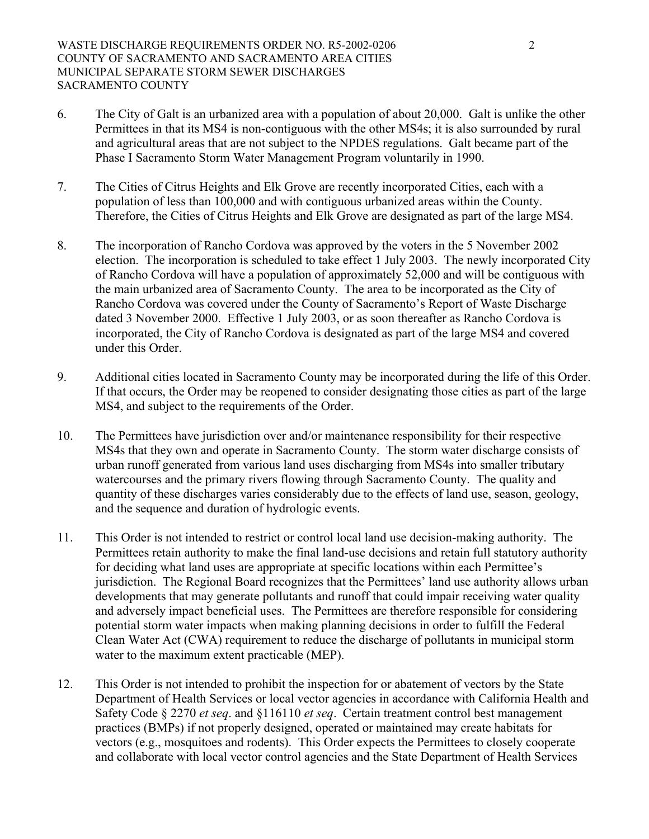- 6. The City of Galt is an urbanized area with a population of about 20,000. Galt is unlike the other Permittees in that its MS4 is non-contiguous with the other MS4s; it is also surrounded by rural and agricultural areas that are not subject to the NPDES regulations. Galt became part of the Phase I Sacramento Storm Water Management Program voluntarily in 1990.
- 7. The Cities of Citrus Heights and Elk Grove are recently incorporated Cities, each with a population of less than 100,000 and with contiguous urbanized areas within the County. Therefore, the Cities of Citrus Heights and Elk Grove are designated as part of the large MS4.
- 8. The incorporation of Rancho Cordova was approved by the voters in the 5 November 2002 election. The incorporation is scheduled to take effect 1 July 2003. The newly incorporated City of Rancho Cordova will have a population of approximately 52,000 and will be contiguous with the main urbanized area of Sacramento County. The area to be incorporated as the City of Rancho Cordova was covered under the County of Sacramento's Report of Waste Discharge dated 3 November 2000. Effective 1 July 2003, or as soon thereafter as Rancho Cordova is incorporated, the City of Rancho Cordova is designated as part of the large MS4 and covered under this Order.
- 9. Additional cities located in Sacramento County may be incorporated during the life of this Order. If that occurs, the Order may be reopened to consider designating those cities as part of the large MS4, and subject to the requirements of the Order.
- 10. The Permittees have jurisdiction over and/or maintenance responsibility for their respective MS4s that they own and operate in Sacramento County. The storm water discharge consists of urban runoff generated from various land uses discharging from MS4s into smaller tributary watercourses and the primary rivers flowing through Sacramento County. The quality and quantity of these discharges varies considerably due to the effects of land use, season, geology, and the sequence and duration of hydrologic events.
- 11. This Order is not intended to restrict or control local land use decision-making authority. The Permittees retain authority to make the final land-use decisions and retain full statutory authority for deciding what land uses are appropriate at specific locations within each Permittee's jurisdiction. The Regional Board recognizes that the Permittees' land use authority allows urban developments that may generate pollutants and runoff that could impair receiving water quality and adversely impact beneficial uses. The Permittees are therefore responsible for considering potential storm water impacts when making planning decisions in order to fulfill the Federal Clean Water Act (CWA) requirement to reduce the discharge of pollutants in municipal storm water to the maximum extent practicable (MEP).
- 12. This Order is not intended to prohibit the inspection for or abatement of vectors by the State Department of Health Services or local vector agencies in accordance with California Health and Safety Code § 2270 *et seq*. and §116110 *et seq*. Certain treatment control best management practices (BMPs) if not properly designed, operated or maintained may create habitats for vectors (e.g., mosquitoes and rodents). This Order expects the Permittees to closely cooperate and collaborate with local vector control agencies and the State Department of Health Services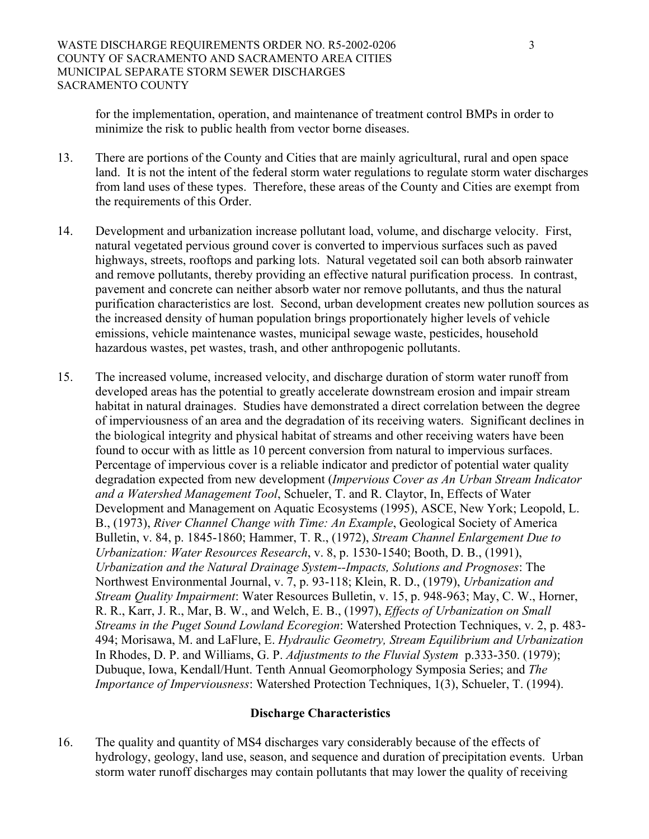for the implementation, operation, and maintenance of treatment control BMPs in order to minimize the risk to public health from vector borne diseases.

- 13. There are portions of the County and Cities that are mainly agricultural, rural and open space land. It is not the intent of the federal storm water regulations to regulate storm water discharges from land uses of these types. Therefore, these areas of the County and Cities are exempt from the requirements of this Order.
- 14. Development and urbanization increase pollutant load, volume, and discharge velocity. First, natural vegetated pervious ground cover is converted to impervious surfaces such as paved highways, streets, rooftops and parking lots. Natural vegetated soil can both absorb rainwater and remove pollutants, thereby providing an effective natural purification process. In contrast, pavement and concrete can neither absorb water nor remove pollutants, and thus the natural purification characteristics are lost. Second, urban development creates new pollution sources as the increased density of human population brings proportionately higher levels of vehicle emissions, vehicle maintenance wastes, municipal sewage waste, pesticides, household hazardous wastes, pet wastes, trash, and other anthropogenic pollutants.
- 15. The increased volume, increased velocity, and discharge duration of storm water runoff from developed areas has the potential to greatly accelerate downstream erosion and impair stream habitat in natural drainages. Studies have demonstrated a direct correlation between the degree of imperviousness of an area and the degradation of its receiving waters. Significant declines in the biological integrity and physical habitat of streams and other receiving waters have been found to occur with as little as 10 percent conversion from natural to impervious surfaces. Percentage of impervious cover is a reliable indicator and predictor of potential water quality degradation expected from new development (*Impervious Cover as An Urban Stream Indicator and a Watershed Management Tool*, Schueler, T. and R. Claytor, In, Effects of Water Development and Management on Aquatic Ecosystems (1995), ASCE, New York; Leopold, L. B., (1973), *River Channel Change with Time: An Example*, Geological Society of America Bulletin, v. 84, p. 1845-1860; Hammer, T. R., (1972), *Stream Channel Enlargement Due to Urbanization: Water Resources Research*, v. 8, p. 1530-1540; Booth, D. B., (1991), *Urbanization and the Natural Drainage System--Impacts, Solutions and Prognoses*: The Northwest Environmental Journal, v. 7, p. 93-118; Klein, R. D., (1979), *Urbanization and Stream Quality Impairment*: Water Resources Bulletin, v. 15, p. 948-963; May, C. W., Horner, R. R., Karr, J. R., Mar, B. W., and Welch, E. B., (1997), *Effects of Urbanization on Small Streams in the Puget Sound Lowland Ecoregion*: Watershed Protection Techniques, v. 2, p. 483- 494; Morisawa, M. and LaFlure, E. *Hydraulic Geometry, Stream Equilibrium and Urbanization* In Rhodes, D. P. and Williams, G. P. *Adjustments to the Fluvial System* p.333-350. (1979); Dubuque, Iowa, Kendall/Hunt. Tenth Annual Geomorphology Symposia Series; and *The Importance of Imperviousness*: Watershed Protection Techniques, 1(3), Schueler, T. (1994).

### **Discharge Characteristics**

16. The quality and quantity of MS4 discharges vary considerably because of the effects of hydrology, geology, land use, season, and sequence and duration of precipitation events. Urban storm water runoff discharges may contain pollutants that may lower the quality of receiving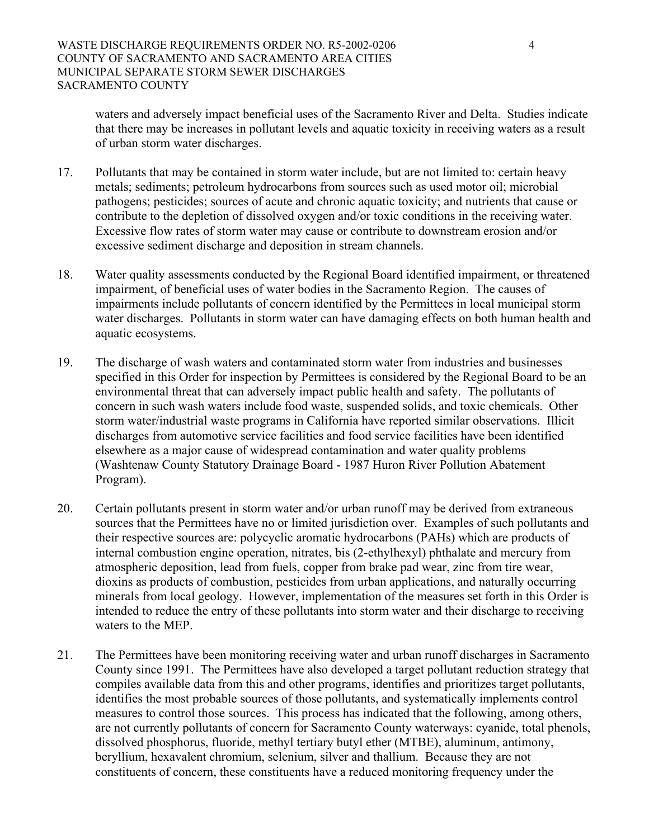waters and adversely impact beneficial uses of the Sacramento River and Delta. Studies indicate that there may be increases in pollutant levels and aquatic toxicity in receiving waters as a result of urban storm water discharges.

- 17. Pollutants that may be contained in storm water include, but are not limited to: certain heavy metals; sediments; petroleum hydrocarbons from sources such as used motor oil; microbial pathogens; pesticides; sources of acute and chronic aquatic toxicity; and nutrients that cause or contribute to the depletion of dissolved oxygen and/or toxic conditions in the receiving water. Excessive flow rates of storm water may cause or contribute to downstream erosion and/or excessive sediment discharge and deposition in stream channels.
- 18. Water quality assessments conducted by the Regional Board identified impairment, or threatened impairment, of beneficial uses of water bodies in the Sacramento Region. The causes of impairments include pollutants of concern identified by the Permittees in local municipal storm water discharges. Pollutants in storm water can have damaging effects on both human health and aquatic ecosystems.
- 19. The discharge of wash waters and contaminated storm water from industries and businesses specified in this Order for inspection by Permittees is considered by the Regional Board to be an environmental threat that can adversely impact public health and safety. The pollutants of concern in such wash waters include food waste, suspended solids, and toxic chemicals. Other storm water/industrial waste programs in California have reported similar observations. Illicit discharges from automotive service facilities and food service facilities have been identified elsewhere as a major cause of widespread contamination and water quality problems (Washtenaw County Statutory Drainage Board - 1987 Huron River Pollution Abatement Program).
- 20. Certain pollutants present in storm water and/or urban runoff may be derived from extraneous sources that the Permittees have no or limited jurisdiction over. Examples of such pollutants and their respective sources are: polycyclic aromatic hydrocarbons (PAHs) which are products of internal combustion engine operation, nitrates, bis (2-ethylhexyl) phthalate and mercury from atmospheric deposition, lead from fuels, copper from brake pad wear, zinc from tire wear, dioxins as products of combustion, pesticides from urban applications, and naturally occurring minerals from local geology. However, implementation of the measures set forth in this Order is intended to reduce the entry of these pollutants into storm water and their discharge to receiving waters to the MEP.
- 21. The Permittees have been monitoring receiving water and urban runoff discharges in Sacramento County since 1991. The Permittees have also developed a target pollutant reduction strategy that compiles available data from this and other programs, identifies and prioritizes target pollutants, identifies the most probable sources of those pollutants, and systematically implements control measures to control those sources. This process has indicated that the following, among others, are not currently pollutants of concern for Sacramento County waterways: cyanide, total phenols, dissolved phosphorus, fluoride, methyl tertiary butyl ether (MTBE), aluminum, antimony, beryllium, hexavalent chromium, selenium, silver and thallium. Because they are not constituents of concern, these constituents have a reduced monitoring frequency under the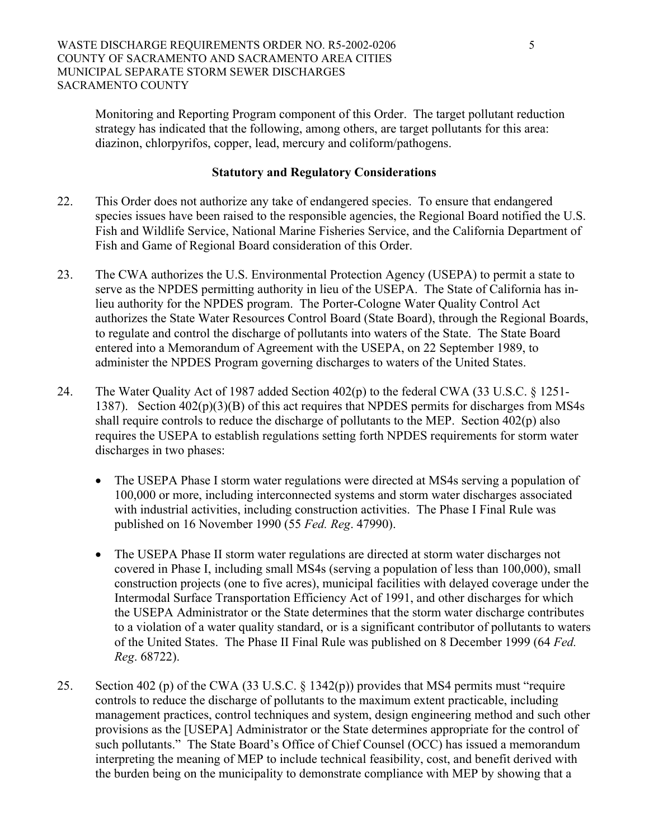Monitoring and Reporting Program component of this Order. The target pollutant reduction strategy has indicated that the following, among others, are target pollutants for this area: diazinon, chlorpyrifos, copper, lead, mercury and coliform/pathogens.

#### **Statutory and Regulatory Considerations**

- 22. This Order does not authorize any take of endangered species. To ensure that endangered species issues have been raised to the responsible agencies, the Regional Board notified the U.S. Fish and Wildlife Service, National Marine Fisheries Service, and the California Department of Fish and Game of Regional Board consideration of this Order.
- 23. The CWA authorizes the U.S. Environmental Protection Agency (USEPA) to permit a state to serve as the NPDES permitting authority in lieu of the USEPA. The State of California has inlieu authority for the NPDES program. The Porter-Cologne Water Quality Control Act authorizes the State Water Resources Control Board (State Board), through the Regional Boards, to regulate and control the discharge of pollutants into waters of the State. The State Board entered into a Memorandum of Agreement with the USEPA, on 22 September 1989, to administer the NPDES Program governing discharges to waters of the United States.
- 24. The Water Quality Act of 1987 added Section 402(p) to the federal CWA (33 U.S.C. § 1251- 1387). Section 402(p)(3)(B) of this act requires that NPDES permits for discharges from MS4s shall require controls to reduce the discharge of pollutants to the MEP. Section 402(p) also requires the USEPA to establish regulations setting forth NPDES requirements for storm water discharges in two phases:
	- The USEPA Phase I storm water regulations were directed at MS4s serving a population of 100,000 or more, including interconnected systems and storm water discharges associated with industrial activities, including construction activities. The Phase I Final Rule was published on 16 November 1990 (55 *Fed. Reg*. 47990).
	- The USEPA Phase II storm water regulations are directed at storm water discharges not covered in Phase I, including small MS4s (serving a population of less than 100,000), small construction projects (one to five acres), municipal facilities with delayed coverage under the Intermodal Surface Transportation Efficiency Act of 1991, and other discharges for which the USEPA Administrator or the State determines that the storm water discharge contributes to a violation of a water quality standard, or is a significant contributor of pollutants to waters of the United States. The Phase II Final Rule was published on 8 December 1999 (64 *Fed. Reg*. 68722).
- 25. Section 402 (p) of the CWA (33 U.S.C. § 1342(p)) provides that MS4 permits must "require controls to reduce the discharge of pollutants to the maximum extent practicable, including management practices, control techniques and system, design engineering method and such other provisions as the [USEPA] Administrator or the State determines appropriate for the control of such pollutants." The State Board's Office of Chief Counsel (OCC) has issued a memorandum interpreting the meaning of MEP to include technical feasibility, cost, and benefit derived with the burden being on the municipality to demonstrate compliance with MEP by showing that a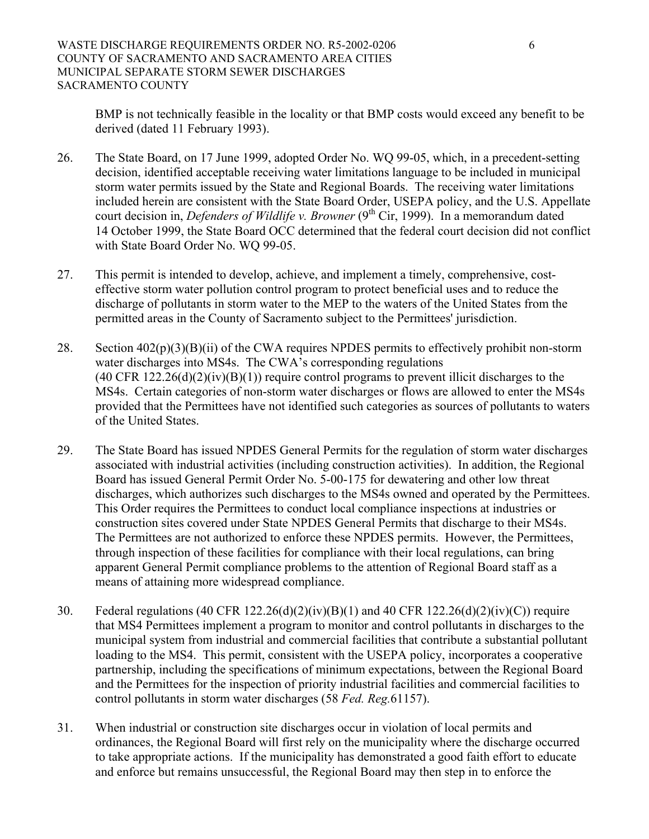BMP is not technically feasible in the locality or that BMP costs would exceed any benefit to be derived (dated 11 February 1993).

- 26. The State Board, on 17 June 1999, adopted Order No. WQ 99-05, which, in a precedent-setting decision, identified acceptable receiving water limitations language to be included in municipal storm water permits issued by the State and Regional Boards. The receiving water limitations included herein are consistent with the State Board Order, USEPA policy, and the U.S. Appellate court decision in, *Defenders of Wildlife v. Browner* (9<sup>th</sup> Cir, 1999). In a memorandum dated 14 October 1999, the State Board OCC determined that the federal court decision did not conflict with State Board Order No. WQ 99-05.
- 27. This permit is intended to develop, achieve, and implement a timely, comprehensive, costeffective storm water pollution control program to protect beneficial uses and to reduce the discharge of pollutants in storm water to the MEP to the waters of the United States from the permitted areas in the County of Sacramento subject to the Permittees' jurisdiction.
- 28. Section 402(p)(3)(B)(ii) of the CWA requires NPDES permits to effectively prohibit non-storm water discharges into MS4s. The CWA's corresponding regulations  $(40 \text{ CFR } 122.26(d)(2)(iv)(B)(1))$  require control programs to prevent illicit discharges to the MS4s. Certain categories of non-storm water discharges or flows are allowed to enter the MS4s provided that the Permittees have not identified such categories as sources of pollutants to waters of the United States.
- 29. The State Board has issued NPDES General Permits for the regulation of storm water discharges associated with industrial activities (including construction activities). In addition, the Regional Board has issued General Permit Order No. 5-00-175 for dewatering and other low threat discharges, which authorizes such discharges to the MS4s owned and operated by the Permittees. This Order requires the Permittees to conduct local compliance inspections at industries or construction sites covered under State NPDES General Permits that discharge to their MS4s. The Permittees are not authorized to enforce these NPDES permits. However, the Permittees, through inspection of these facilities for compliance with their local regulations, can bring apparent General Permit compliance problems to the attention of Regional Board staff as a means of attaining more widespread compliance.
- 30. Federal regulations (40 CFR 122.26(d)(2)(iv)(B)(1) and 40 CFR 122.26(d)(2)(iv)(C)) require that MS4 Permittees implement a program to monitor and control pollutants in discharges to the municipal system from industrial and commercial facilities that contribute a substantial pollutant loading to the MS4. This permit, consistent with the USEPA policy, incorporates a cooperative partnership, including the specifications of minimum expectations, between the Regional Board and the Permittees for the inspection of priority industrial facilities and commercial facilities to control pollutants in storm water discharges (58 *Fed. Reg.*61157).
- 31. When industrial or construction site discharges occur in violation of local permits and ordinances, the Regional Board will first rely on the municipality where the discharge occurred to take appropriate actions. If the municipality has demonstrated a good faith effort to educate and enforce but remains unsuccessful, the Regional Board may then step in to enforce the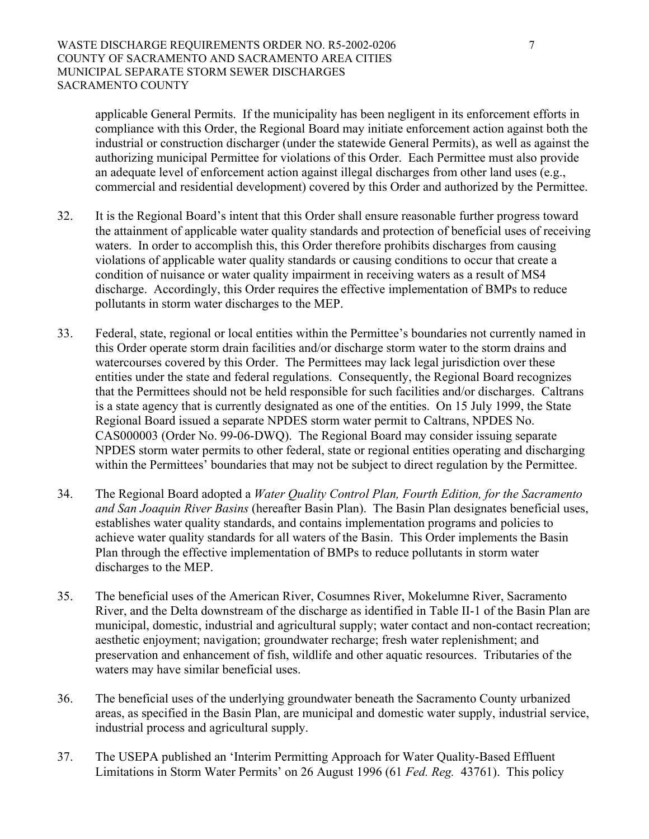applicable General Permits. If the municipality has been negligent in its enforcement efforts in compliance with this Order, the Regional Board may initiate enforcement action against both the industrial or construction discharger (under the statewide General Permits), as well as against the authorizing municipal Permittee for violations of this Order. Each Permittee must also provide an adequate level of enforcement action against illegal discharges from other land uses (e.g., commercial and residential development) covered by this Order and authorized by the Permittee.

- 32. It is the Regional Board's intent that this Order shall ensure reasonable further progress toward the attainment of applicable water quality standards and protection of beneficial uses of receiving waters. In order to accomplish this, this Order therefore prohibits discharges from causing violations of applicable water quality standards or causing conditions to occur that create a condition of nuisance or water quality impairment in receiving waters as a result of MS4 discharge. Accordingly, this Order requires the effective implementation of BMPs to reduce pollutants in storm water discharges to the MEP.
- 33. Federal, state, regional or local entities within the Permittee's boundaries not currently named in this Order operate storm drain facilities and/or discharge storm water to the storm drains and watercourses covered by this Order. The Permittees may lack legal jurisdiction over these entities under the state and federal regulations. Consequently, the Regional Board recognizes that the Permittees should not be held responsible for such facilities and/or discharges. Caltrans is a state agency that is currently designated as one of the entities. On 15 July 1999, the State Regional Board issued a separate NPDES storm water permit to Caltrans, NPDES No. CAS000003 (Order No. 99-06-DWQ). The Regional Board may consider issuing separate NPDES storm water permits to other federal, state or regional entities operating and discharging within the Permittees' boundaries that may not be subject to direct regulation by the Permittee.
- 34. The Regional Board adopted a *Water Quality Control Plan, Fourth Edition, for the Sacramento and San Joaquin River Basins* (hereafter Basin Plan). The Basin Plan designates beneficial uses, establishes water quality standards, and contains implementation programs and policies to achieve water quality standards for all waters of the Basin. This Order implements the Basin Plan through the effective implementation of BMPs to reduce pollutants in storm water discharges to the MEP.
- 35. The beneficial uses of the American River, Cosumnes River, Mokelumne River, Sacramento River, and the Delta downstream of the discharge as identified in Table II-1 of the Basin Plan are municipal, domestic, industrial and agricultural supply; water contact and non-contact recreation; aesthetic enjoyment; navigation; groundwater recharge; fresh water replenishment; and preservation and enhancement of fish, wildlife and other aquatic resources. Tributaries of the waters may have similar beneficial uses.
- 36. The beneficial uses of the underlying groundwater beneath the Sacramento County urbanized areas, as specified in the Basin Plan, are municipal and domestic water supply, industrial service, industrial process and agricultural supply.
- 37. The USEPA published an 'Interim Permitting Approach for Water Quality-Based Effluent Limitations in Storm Water Permits' on 26 August 1996 (61 *Fed. Reg.* 43761). This policy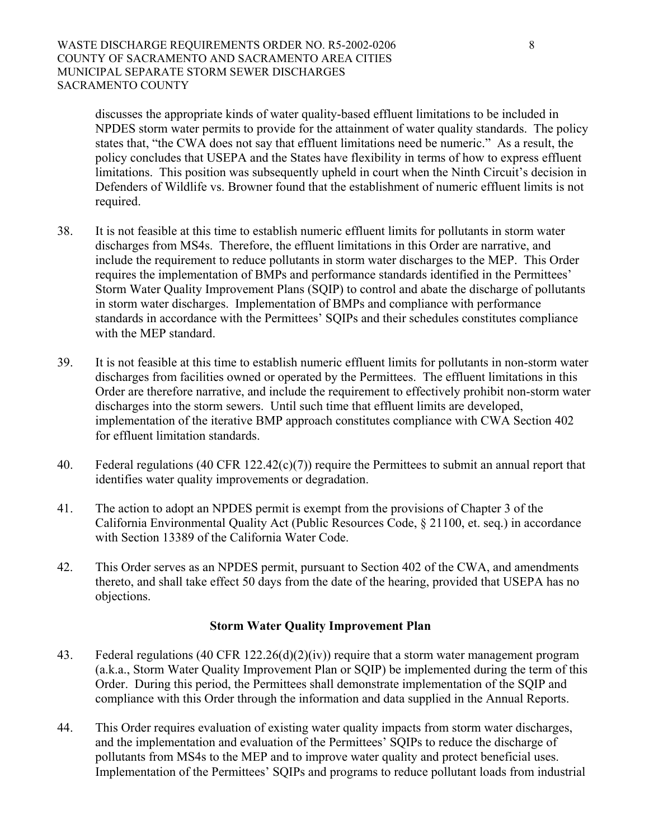discusses the appropriate kinds of water quality-based effluent limitations to be included in NPDES storm water permits to provide for the attainment of water quality standards. The policy states that, "the CWA does not say that effluent limitations need be numeric." As a result, the policy concludes that USEPA and the States have flexibility in terms of how to express effluent limitations. This position was subsequently upheld in court when the Ninth Circuit's decision in Defenders of Wildlife vs. Browner found that the establishment of numeric effluent limits is not required.

- 38. It is not feasible at this time to establish numeric effluent limits for pollutants in storm water discharges from MS4s. Therefore, the effluent limitations in this Order are narrative, and include the requirement to reduce pollutants in storm water discharges to the MEP. This Order requires the implementation of BMPs and performance standards identified in the Permittees' Storm Water Quality Improvement Plans (SQIP) to control and abate the discharge of pollutants in storm water discharges. Implementation of BMPs and compliance with performance standards in accordance with the Permittees' SQIPs and their schedules constitutes compliance with the MEP standard.
- 39. It is not feasible at this time to establish numeric effluent limits for pollutants in non-storm water discharges from facilities owned or operated by the Permittees. The effluent limitations in this Order are therefore narrative, and include the requirement to effectively prohibit non-storm water discharges into the storm sewers. Until such time that effluent limits are developed, implementation of the iterative BMP approach constitutes compliance with CWA Section 402 for effluent limitation standards.
- 40. Federal regulations (40 CFR 122.42(c)(7)) require the Permittees to submit an annual report that identifies water quality improvements or degradation.
- 41. The action to adopt an NPDES permit is exempt from the provisions of Chapter 3 of the California Environmental Quality Act (Public Resources Code, § 21100, et. seq.) in accordance with Section 13389 of the California Water Code.
- 42. This Order serves as an NPDES permit, pursuant to Section 402 of the CWA, and amendments thereto, and shall take effect 50 days from the date of the hearing, provided that USEPA has no objections.

### **Storm Water Quality Improvement Plan**

- 43. Federal regulations (40 CFR 122.26(d)(2)(iv)) require that a storm water management program (a.k.a., Storm Water Quality Improvement Plan or SQIP) be implemented during the term of this Order. During this period, the Permittees shall demonstrate implementation of the SQIP and compliance with this Order through the information and data supplied in the Annual Reports.
- 44. This Order requires evaluation of existing water quality impacts from storm water discharges, and the implementation and evaluation of the Permittees' SQIPs to reduce the discharge of pollutants from MS4s to the MEP and to improve water quality and protect beneficial uses. Implementation of the Permittees' SQIPs and programs to reduce pollutant loads from industrial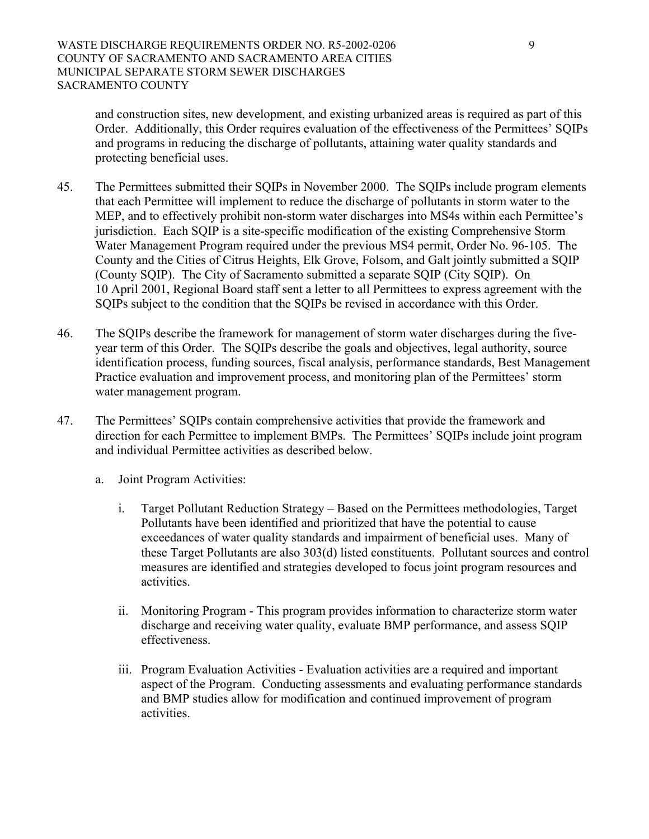and construction sites, new development, and existing urbanized areas is required as part of this Order. Additionally, this Order requires evaluation of the effectiveness of the Permittees' SQIPs and programs in reducing the discharge of pollutants, attaining water quality standards and protecting beneficial uses.

- 45. The Permittees submitted their SQIPs in November 2000. The SQIPs include program elements that each Permittee will implement to reduce the discharge of pollutants in storm water to the MEP, and to effectively prohibit non-storm water discharges into MS4s within each Permittee's jurisdiction. Each SQIP is a site-specific modification of the existing Comprehensive Storm Water Management Program required under the previous MS4 permit, Order No. 96-105. The County and the Cities of Citrus Heights, Elk Grove, Folsom, and Galt jointly submitted a SQIP (County SQIP). The City of Sacramento submitted a separate SQIP (City SQIP). On 10 April 2001, Regional Board staff sent a letter to all Permittees to express agreement with the SQIPs subject to the condition that the SQIPs be revised in accordance with this Order.
- 46. The SQIPs describe the framework for management of storm water discharges during the fiveyear term of this Order. The SQIPs describe the goals and objectives, legal authority, source identification process, funding sources, fiscal analysis, performance standards, Best Management Practice evaluation and improvement process, and monitoring plan of the Permittees' storm water management program.
- 47. The Permittees' SQIPs contain comprehensive activities that provide the framework and direction for each Permittee to implement BMPs. The Permittees' SQIPs include joint program and individual Permittee activities as described below.
	- a. Joint Program Activities:
		- i. Target Pollutant Reduction Strategy Based on the Permittees methodologies, Target Pollutants have been identified and prioritized that have the potential to cause exceedances of water quality standards and impairment of beneficial uses. Many of these Target Pollutants are also 303(d) listed constituents. Pollutant sources and control measures are identified and strategies developed to focus joint program resources and activities.
		- ii. Monitoring Program This program provides information to characterize storm water discharge and receiving water quality, evaluate BMP performance, and assess SQIP effectiveness.
		- iii. Program Evaluation Activities Evaluation activities are a required and important aspect of the Program. Conducting assessments and evaluating performance standards and BMP studies allow for modification and continued improvement of program activities.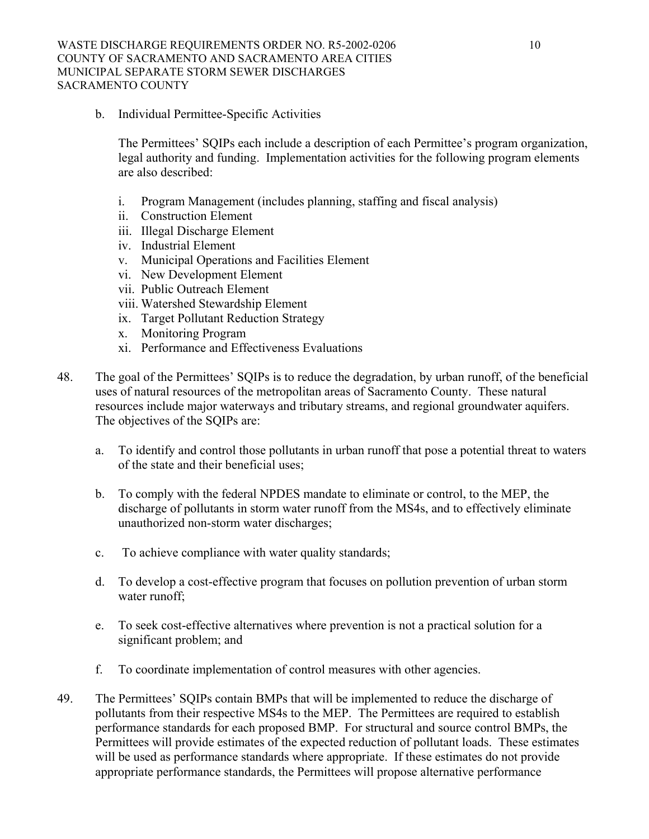b. Individual Permittee-Specific Activities

The Permittees' SQIPs each include a description of each Permittee's program organization, legal authority and funding. Implementation activities for the following program elements are also described:

- i. Program Management (includes planning, staffing and fiscal analysis)
- ii. Construction Element
- iii. Illegal Discharge Element
- iv. Industrial Element
- v. Municipal Operations and Facilities Element
- vi. New Development Element
- vii. Public Outreach Element
- viii. Watershed Stewardship Element
- ix. Target Pollutant Reduction Strategy
- x. Monitoring Program
- xi. Performance and Effectiveness Evaluations
- 48. The goal of the Permittees' SQIPs is to reduce the degradation, by urban runoff, of the beneficial uses of natural resources of the metropolitan areas of Sacramento County. These natural resources include major waterways and tributary streams, and regional groundwater aquifers. The objectives of the SQIPs are:
	- a. To identify and control those pollutants in urban runoff that pose a potential threat to waters of the state and their beneficial uses;
	- b. To comply with the federal NPDES mandate to eliminate or control, to the MEP, the discharge of pollutants in storm water runoff from the MS4s, and to effectively eliminate unauthorized non-storm water discharges;
	- c. To achieve compliance with water quality standards;
	- d. To develop a cost-effective program that focuses on pollution prevention of urban storm water runoff;
	- e. To seek cost-effective alternatives where prevention is not a practical solution for a significant problem; and
	- f. To coordinate implementation of control measures with other agencies.
- 49. The Permittees' SQIPs contain BMPs that will be implemented to reduce the discharge of pollutants from their respective MS4s to the MEP. The Permittees are required to establish performance standards for each proposed BMP. For structural and source control BMPs, the Permittees will provide estimates of the expected reduction of pollutant loads. These estimates will be used as performance standards where appropriate. If these estimates do not provide appropriate performance standards, the Permittees will propose alternative performance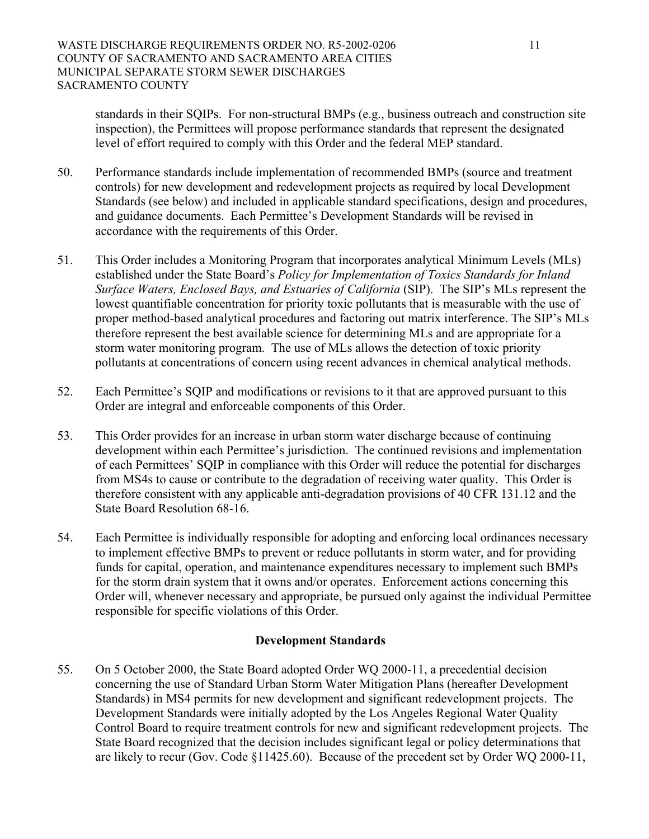standards in their SQIPs. For non-structural BMPs (e.g., business outreach and construction site inspection), the Permittees will propose performance standards that represent the designated level of effort required to comply with this Order and the federal MEP standard.

- 50. Performance standards include implementation of recommended BMPs (source and treatment controls) for new development and redevelopment projects as required by local Development Standards (see below) and included in applicable standard specifications, design and procedures, and guidance documents. Each Permittee's Development Standards will be revised in accordance with the requirements of this Order.
- 51. This Order includes a Monitoring Program that incorporates analytical Minimum Levels (MLs) established under the State Board's *Policy for Implementation of Toxics Standards for Inland Surface Waters, Enclosed Bays, and Estuaries of California* (SIP). The SIP's MLs represent the lowest quantifiable concentration for priority toxic pollutants that is measurable with the use of proper method-based analytical procedures and factoring out matrix interference. The SIP's MLs therefore represent the best available science for determining MLs and are appropriate for a storm water monitoring program. The use of MLs allows the detection of toxic priority pollutants at concentrations of concern using recent advances in chemical analytical methods.
- 52. Each Permittee's SQIP and modifications or revisions to it that are approved pursuant to this Order are integral and enforceable components of this Order.
- 53. This Order provides for an increase in urban storm water discharge because of continuing development within each Permittee's jurisdiction. The continued revisions and implementation of each Permittees' SQIP in compliance with this Order will reduce the potential for discharges from MS4s to cause or contribute to the degradation of receiving water quality. This Order is therefore consistent with any applicable anti-degradation provisions of 40 CFR 131.12 and the State Board Resolution 68-16.
- 54. Each Permittee is individually responsible for adopting and enforcing local ordinances necessary to implement effective BMPs to prevent or reduce pollutants in storm water, and for providing funds for capital, operation, and maintenance expenditures necessary to implement such BMPs for the storm drain system that it owns and/or operates. Enforcement actions concerning this Order will, whenever necessary and appropriate, be pursued only against the individual Permittee responsible for specific violations of this Order.

### **Development Standards**

55. On 5 October 2000, the State Board adopted Order WQ 2000-11, a precedential decision concerning the use of Standard Urban Storm Water Mitigation Plans (hereafter Development Standards) in MS4 permits for new development and significant redevelopment projects. The Development Standards were initially adopted by the Los Angeles Regional Water Quality Control Board to require treatment controls for new and significant redevelopment projects. The State Board recognized that the decision includes significant legal or policy determinations that are likely to recur (Gov. Code §11425.60). Because of the precedent set by Order WQ 2000-11,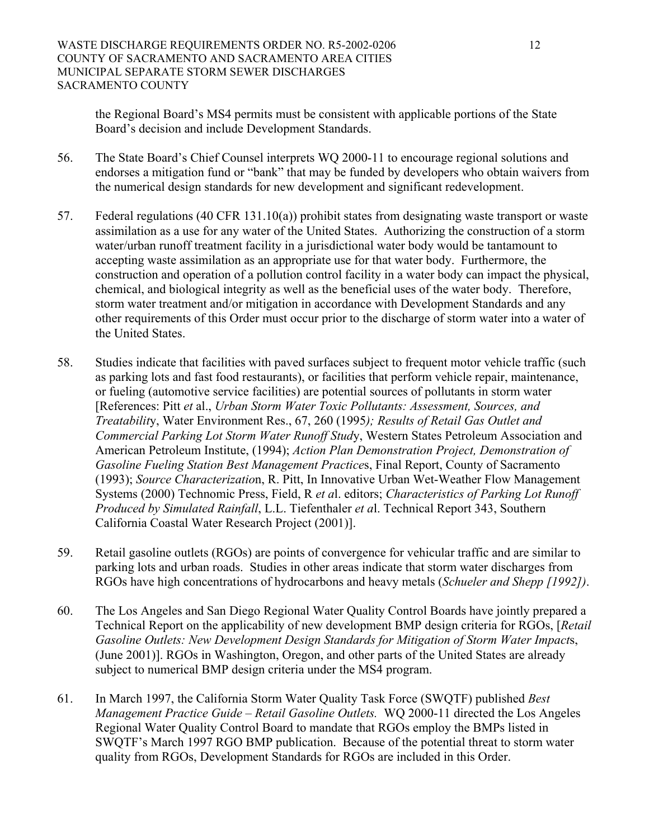the Regional Board's MS4 permits must be consistent with applicable portions of the State Board's decision and include Development Standards.

- 56. The State Board's Chief Counsel interprets WQ 2000-11 to encourage regional solutions and endorses a mitigation fund or "bank" that may be funded by developers who obtain waivers from the numerical design standards for new development and significant redevelopment.
- 57. Federal regulations (40 CFR 131.10(a)) prohibit states from designating waste transport or waste assimilation as a use for any water of the United States. Authorizing the construction of a storm water/urban runoff treatment facility in a jurisdictional water body would be tantamount to accepting waste assimilation as an appropriate use for that water body. Furthermore, the construction and operation of a pollution control facility in a water body can impact the physical, chemical, and biological integrity as well as the beneficial uses of the water body. Therefore, storm water treatment and/or mitigation in accordance with Development Standards and any other requirements of this Order must occur prior to the discharge of storm water into a water of the United States.
- 58. Studies indicate that facilities with paved surfaces subject to frequent motor vehicle traffic (such as parking lots and fast food restaurants), or facilities that perform vehicle repair, maintenance, or fueling (automotive service facilities) are potential sources of pollutants in storm water [References: Pitt *et* al., *Urban Storm Water Toxic Pollutants: Assessment, Sources, and Treatabilit*y, Water Environment Res., 67, 260 (1995*); Results of Retail Gas Outlet and Commercial Parking Lot Storm Water Runoff Stud*y, Western States Petroleum Association and American Petroleum Institute, (1994); *Action Plan Demonstration Project, Demonstration of Gasoline Fueling Station Best Management Practice*s, Final Report, County of Sacramento (1993); *Source Characterizatio*n, R. Pitt, In Innovative Urban Wet-Weather Flow Management Systems (2000) Technomic Press, Field, R *et a*l. editors; *Characteristics of Parking Lot Runoff Produced by Simulated Rainfall*, L.L. Tiefenthaler *et a*l. Technical Report 343, Southern California Coastal Water Research Project (2001)].
- 59. Retail gasoline outlets (RGOs) are points of convergence for vehicular traffic and are similar to parking lots and urban roads. Studies in other areas indicate that storm water discharges from RGOs have high concentrations of hydrocarbons and heavy metals (*Schueler and Shepp [1992])*.
- 60. The Los Angeles and San Diego Regional Water Quality Control Boards have jointly prepared a Technical Report on the applicability of new development BMP design criteria for RGOs, [*Retail Gasoline Outlets: New Development Design Standards for Mitigation of Storm Water Impact*s, (June 2001)]. RGOs in Washington, Oregon, and other parts of the United States are already subject to numerical BMP design criteria under the MS4 program.
- 61. In March 1997, the California Storm Water Quality Task Force (SWQTF) published *Best Management Practice Guide – Retail Gasoline Outlets.* WQ 2000-11 directed the Los Angeles Regional Water Quality Control Board to mandate that RGOs employ the BMPs listed in SWQTF's March 1997 RGO BMP publication. Because of the potential threat to storm water quality from RGOs, Development Standards for RGOs are included in this Order.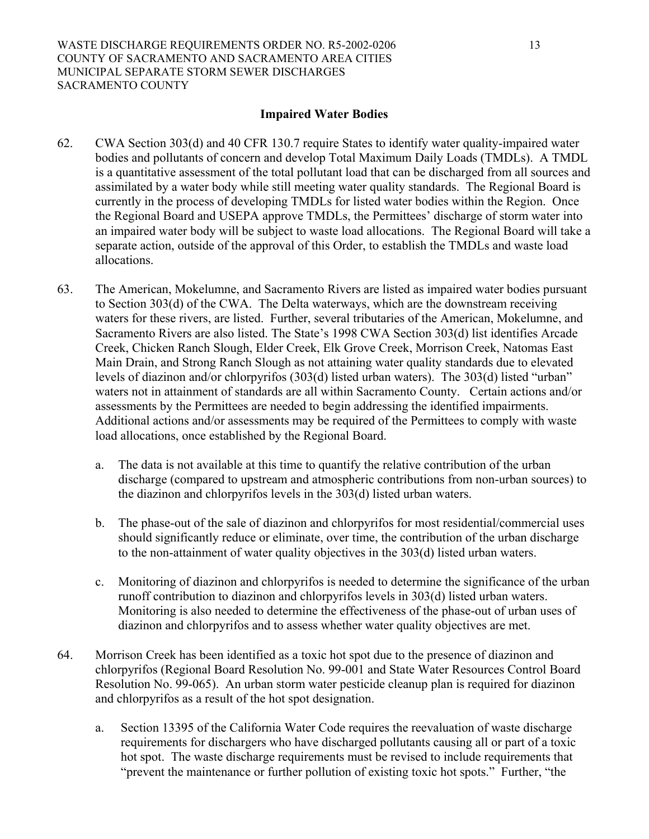#### **Impaired Water Bodies**

- 62. CWA Section 303(d) and 40 CFR 130.7 require States to identify water quality-impaired water bodies and pollutants of concern and develop Total Maximum Daily Loads (TMDLs). A TMDL is a quantitative assessment of the total pollutant load that can be discharged from all sources and assimilated by a water body while still meeting water quality standards. The Regional Board is currently in the process of developing TMDLs for listed water bodies within the Region. Once the Regional Board and USEPA approve TMDLs, the Permittees' discharge of storm water into an impaired water body will be subject to waste load allocations. The Regional Board will take a separate action, outside of the approval of this Order, to establish the TMDLs and waste load allocations.
- 63. The American, Mokelumne, and Sacramento Rivers are listed as impaired water bodies pursuant to Section 303(d) of the CWA. The Delta waterways, which are the downstream receiving waters for these rivers, are listed. Further, several tributaries of the American, Mokelumne, and Sacramento Rivers are also listed. The State's 1998 CWA Section 303(d) list identifies Arcade Creek, Chicken Ranch Slough, Elder Creek, Elk Grove Creek, Morrison Creek, Natomas East Main Drain, and Strong Ranch Slough as not attaining water quality standards due to elevated levels of diazinon and/or chlorpyrifos (303(d) listed urban waters). The 303(d) listed "urban" waters not in attainment of standards are all within Sacramento County. Certain actions and/or assessments by the Permittees are needed to begin addressing the identified impairments. Additional actions and/or assessments may be required of the Permittees to comply with waste load allocations, once established by the Regional Board.
	- a. The data is not available at this time to quantify the relative contribution of the urban discharge (compared to upstream and atmospheric contributions from non-urban sources) to the diazinon and chlorpyrifos levels in the 303(d) listed urban waters.
	- b. The phase-out of the sale of diazinon and chlorpyrifos for most residential/commercial uses should significantly reduce or eliminate, over time, the contribution of the urban discharge to the non-attainment of water quality objectives in the 303(d) listed urban waters.
	- c. Monitoring of diazinon and chlorpyrifos is needed to determine the significance of the urban runoff contribution to diazinon and chlorpyrifos levels in 303(d) listed urban waters. Monitoring is also needed to determine the effectiveness of the phase-out of urban uses of diazinon and chlorpyrifos and to assess whether water quality objectives are met.
- 64. Morrison Creek has been identified as a toxic hot spot due to the presence of diazinon and chlorpyrifos (Regional Board Resolution No. 99-001 and State Water Resources Control Board Resolution No. 99-065). An urban storm water pesticide cleanup plan is required for diazinon and chlorpyrifos as a result of the hot spot designation.
	- a. Section 13395 of the California Water Code requires the reevaluation of waste discharge requirements for dischargers who have discharged pollutants causing all or part of a toxic hot spot. The waste discharge requirements must be revised to include requirements that "prevent the maintenance or further pollution of existing toxic hot spots." Further, "the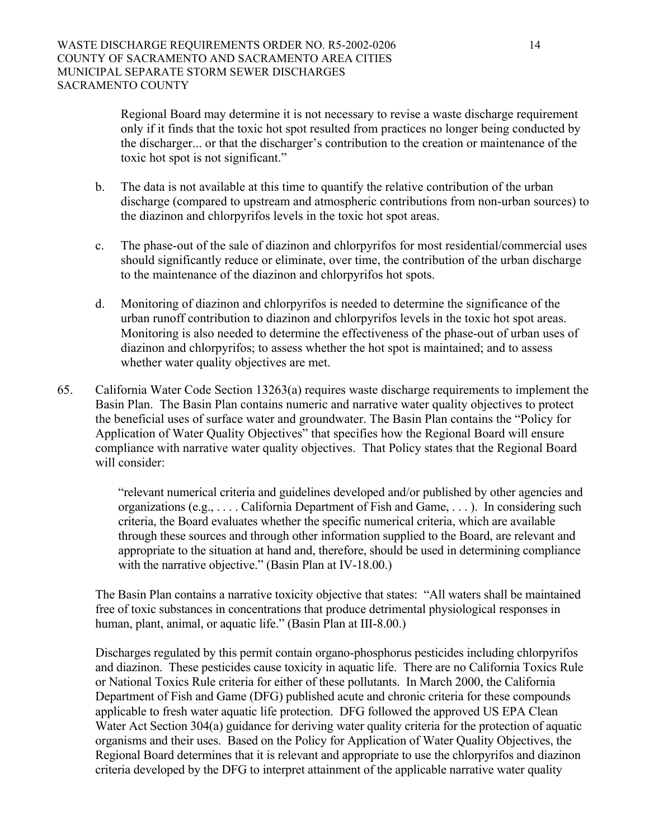Regional Board may determine it is not necessary to revise a waste discharge requirement only if it finds that the toxic hot spot resulted from practices no longer being conducted by the discharger... or that the discharger's contribution to the creation or maintenance of the toxic hot spot is not significant."

- b. The data is not available at this time to quantify the relative contribution of the urban discharge (compared to upstream and atmospheric contributions from non-urban sources) to the diazinon and chlorpyrifos levels in the toxic hot spot areas.
- c. The phase-out of the sale of diazinon and chlorpyrifos for most residential/commercial uses should significantly reduce or eliminate, over time, the contribution of the urban discharge to the maintenance of the diazinon and chlorpyrifos hot spots.
- d. Monitoring of diazinon and chlorpyrifos is needed to determine the significance of the urban runoff contribution to diazinon and chlorpyrifos levels in the toxic hot spot areas. Monitoring is also needed to determine the effectiveness of the phase-out of urban uses of diazinon and chlorpyrifos; to assess whether the hot spot is maintained; and to assess whether water quality objectives are met.
- 65. California Water Code Section 13263(a) requires waste discharge requirements to implement the Basin Plan. The Basin Plan contains numeric and narrative water quality objectives to protect the beneficial uses of surface water and groundwater. The Basin Plan contains the "Policy for Application of Water Quality Objectives" that specifies how the Regional Board will ensure compliance with narrative water quality objectives. That Policy states that the Regional Board will consider:

"relevant numerical criteria and guidelines developed and/or published by other agencies and organizations (e.g., . . . . California Department of Fish and Game, . . . ). In considering such criteria, the Board evaluates whether the specific numerical criteria, which are available through these sources and through other information supplied to the Board, are relevant and appropriate to the situation at hand and, therefore, should be used in determining compliance with the narrative objective." (Basin Plan at IV-18.00.)

The Basin Plan contains a narrative toxicity objective that states: "All waters shall be maintained free of toxic substances in concentrations that produce detrimental physiological responses in human, plant, animal, or aquatic life." (Basin Plan at III-8.00.)

Discharges regulated by this permit contain organo-phosphorus pesticides including chlorpyrifos and diazinon. These pesticides cause toxicity in aquatic life. There are no California Toxics Rule or National Toxics Rule criteria for either of these pollutants. In March 2000, the California Department of Fish and Game (DFG) published acute and chronic criteria for these compounds applicable to fresh water aquatic life protection. DFG followed the approved US EPA Clean Water Act Section 304(a) guidance for deriving water quality criteria for the protection of aquatic organisms and their uses. Based on the Policy for Application of Water Quality Objectives, the Regional Board determines that it is relevant and appropriate to use the chlorpyrifos and diazinon criteria developed by the DFG to interpret attainment of the applicable narrative water quality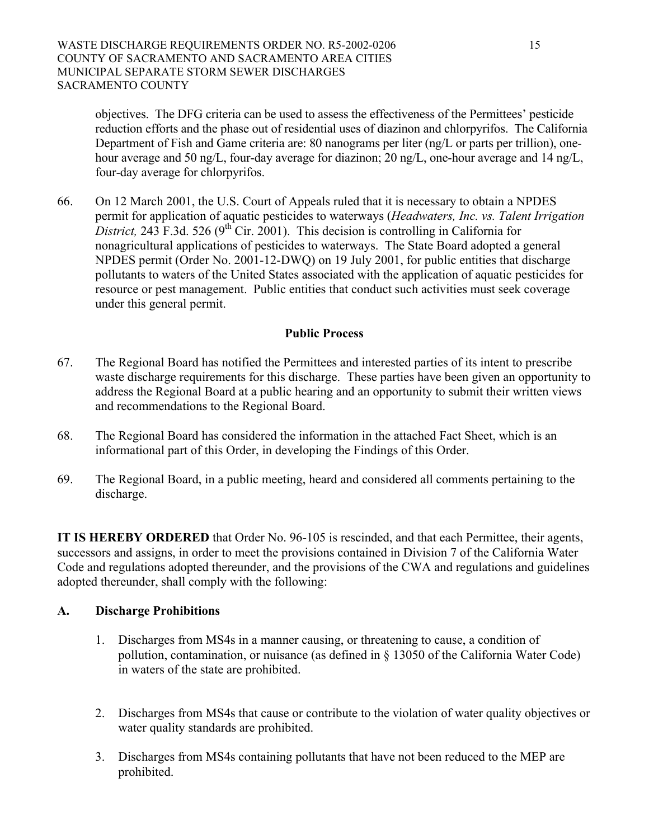objectives. The DFG criteria can be used to assess the effectiveness of the Permittees' pesticide reduction efforts and the phase out of residential uses of diazinon and chlorpyrifos. The California Department of Fish and Game criteria are: 80 nanograms per liter (ng/L or parts per trillion), onehour average and 50 ng/L, four-day average for diazinon; 20 ng/L, one-hour average and 14 ng/L, four-day average for chlorpyrifos.

66. On 12 March 2001, the U.S. Court of Appeals ruled that it is necessary to obtain a NPDES permit for application of aquatic pesticides to waterways (*Headwaters, Inc. vs. Talent Irrigation District*, 243 F.3d. 526 (9<sup>th</sup> Cir. 2001). This decision is controlling in California for nonagricultural applications of pesticides to waterways. The State Board adopted a general NPDES permit (Order No. 2001-12-DWQ) on 19 July 2001, for public entities that discharge pollutants to waters of the United States associated with the application of aquatic pesticides for resource or pest management. Public entities that conduct such activities must seek coverage under this general permit.

## **Public Process**

- 67. The Regional Board has notified the Permittees and interested parties of its intent to prescribe waste discharge requirements for this discharge. These parties have been given an opportunity to address the Regional Board at a public hearing and an opportunity to submit their written views and recommendations to the Regional Board.
- 68. The Regional Board has considered the information in the attached Fact Sheet, which is an informational part of this Order, in developing the Findings of this Order.
- 69. The Regional Board, in a public meeting, heard and considered all comments pertaining to the discharge.

**IT IS HEREBY ORDERED** that Order No. 96-105 is rescinded, and that each Permittee, their agents, successors and assigns, in order to meet the provisions contained in Division 7 of the California Water Code and regulations adopted thereunder, and the provisions of the CWA and regulations and guidelines adopted thereunder, shall comply with the following:

### **A. Discharge Prohibitions**

- 1. Discharges from MS4s in a manner causing, or threatening to cause, a condition of pollution, contamination, or nuisance (as defined in § 13050 of the California Water Code) in waters of the state are prohibited.
- 2. Discharges from MS4s that cause or contribute to the violation of water quality objectives or water quality standards are prohibited.
- 3. Discharges from MS4s containing pollutants that have not been reduced to the MEP are prohibited.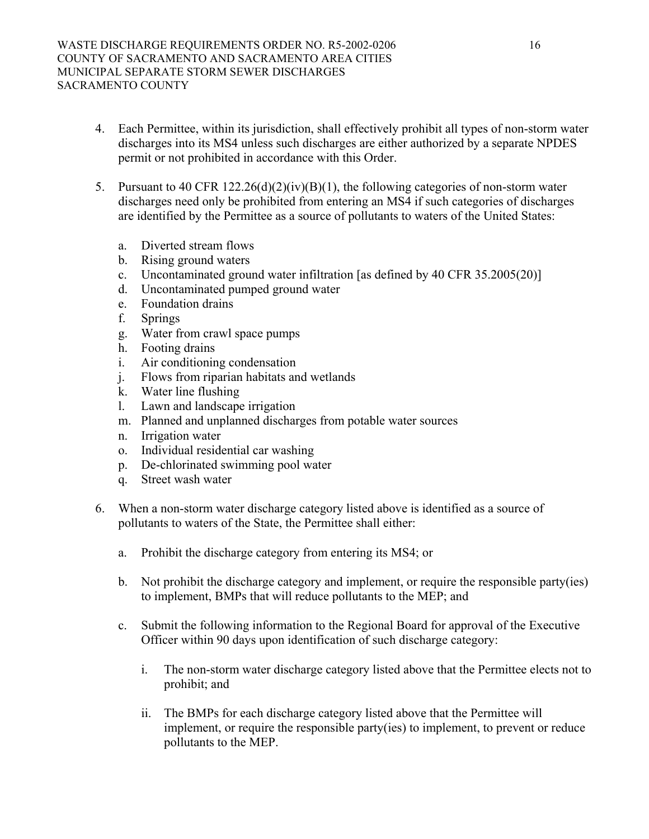- 4. Each Permittee, within its jurisdiction, shall effectively prohibit all types of non-storm water discharges into its MS4 unless such discharges are either authorized by a separate NPDES permit or not prohibited in accordance with this Order.
- 5. Pursuant to 40 CFR 122.26(d)(2)(iv)(B)(1), the following categories of non-storm water discharges need only be prohibited from entering an MS4 if such categories of discharges are identified by the Permittee as a source of pollutants to waters of the United States:
	- a. Diverted stream flows
	- b. Rising ground waters
	- c. Uncontaminated ground water infiltration [as defined by 40 CFR 35.2005(20)]
	- d. Uncontaminated pumped ground water
	- e. Foundation drains
	- f. Springs
	- g. Water from crawl space pumps
	- h. Footing drains
	- i. Air conditioning condensation
	- j. Flows from riparian habitats and wetlands
	- k. Water line flushing
	- l. Lawn and landscape irrigation
	- m. Planned and unplanned discharges from potable water sources
	- n. Irrigation water
	- o. Individual residential car washing
	- p. De-chlorinated swimming pool water
	- q. Street wash water
- 6. When a non-storm water discharge category listed above is identified as a source of pollutants to waters of the State, the Permittee shall either:
	- a. Prohibit the discharge category from entering its MS4; or
	- b. Not prohibit the discharge category and implement, or require the responsible party(ies) to implement, BMPs that will reduce pollutants to the MEP; and
	- c. Submit the following information to the Regional Board for approval of the Executive Officer within 90 days upon identification of such discharge category:
		- i. The non-storm water discharge category listed above that the Permittee elects not to prohibit; and
		- ii. The BMPs for each discharge category listed above that the Permittee will implement, or require the responsible party(ies) to implement, to prevent or reduce pollutants to the MEP.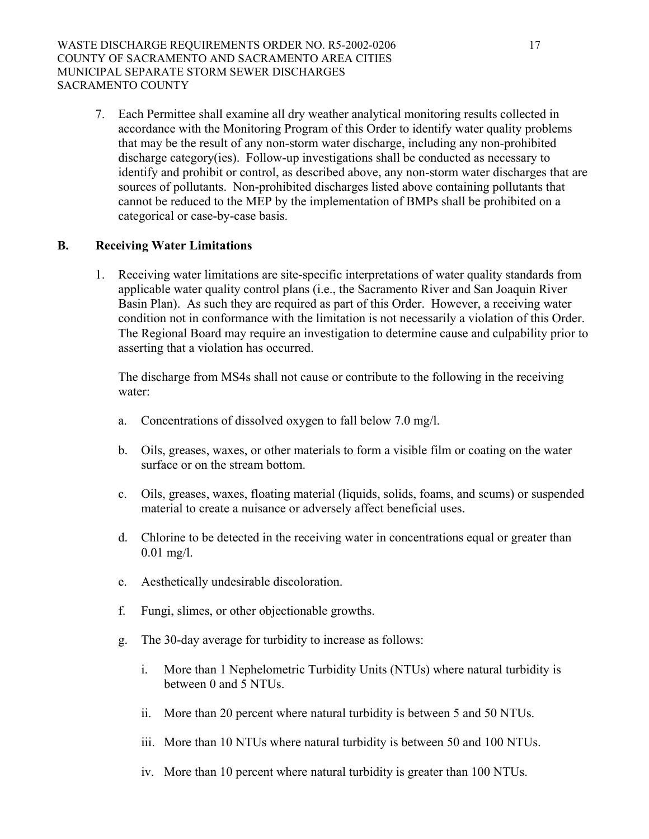#### WASTE DISCHARGE REQUIREMENTS ORDER NO. R5-2002-0206 17 COUNTY OF SACRAMENTO AND SACRAMENTO AREA CITIES MUNICIPAL SEPARATE STORM SEWER DISCHARGES SACRAMENTO COUNTY

7. Each Permittee shall examine all dry weather analytical monitoring results collected in accordance with the Monitoring Program of this Order to identify water quality problems that may be the result of any non-storm water discharge, including any non-prohibited discharge category(ies). Follow-up investigations shall be conducted as necessary to identify and prohibit or control, as described above, any non-storm water discharges that are sources of pollutants. Non-prohibited discharges listed above containing pollutants that cannot be reduced to the MEP by the implementation of BMPs shall be prohibited on a categorical or case-by-case basis.

### **B. Receiving Water Limitations**

1. Receiving water limitations are site-specific interpretations of water quality standards from applicable water quality control plans (i.e., the Sacramento River and San Joaquin River Basin Plan). As such they are required as part of this Order. However, a receiving water condition not in conformance with the limitation is not necessarily a violation of this Order. The Regional Board may require an investigation to determine cause and culpability prior to asserting that a violation has occurred.

The discharge from MS4s shall not cause or contribute to the following in the receiving water:

- a. Concentrations of dissolved oxygen to fall below 7.0 mg/l.
- b. Oils, greases, waxes, or other materials to form a visible film or coating on the water surface or on the stream bottom.
- c. Oils, greases, waxes, floating material (liquids, solids, foams, and scums) or suspended material to create a nuisance or adversely affect beneficial uses.
- d. Chlorine to be detected in the receiving water in concentrations equal or greater than 0.01 mg/l.
- e. Aesthetically undesirable discoloration.
- f. Fungi, slimes, or other objectionable growths.
- g. The 30-day average for turbidity to increase as follows:
	- i. More than 1 Nephelometric Turbidity Units (NTUs) where natural turbidity is between 0 and 5 NTUs.
	- ii. More than 20 percent where natural turbidity is between 5 and 50 NTUs.
	- iii. More than 10 NTUs where natural turbidity is between 50 and 100 NTUs.
	- iv. More than 10 percent where natural turbidity is greater than 100 NTUs.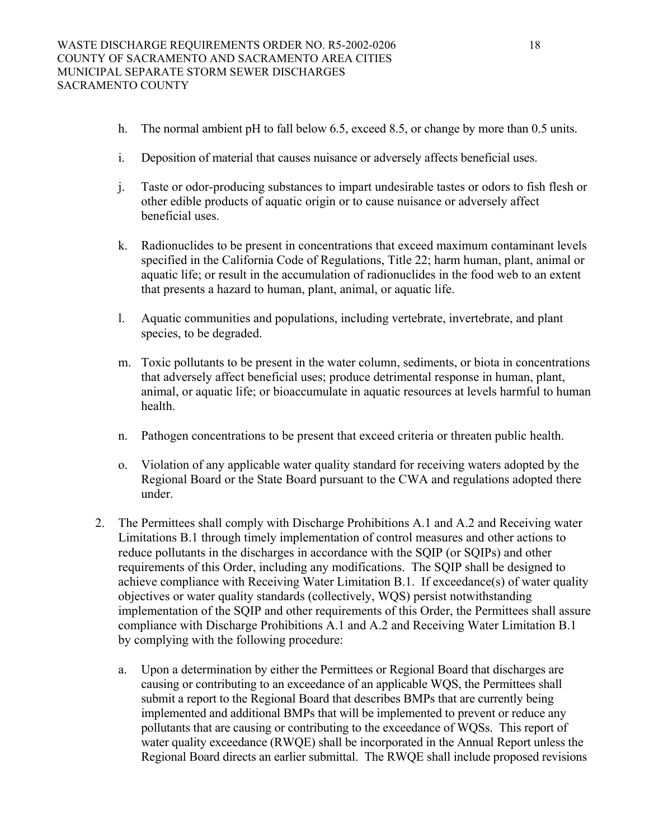- h. The normal ambient pH to fall below 6.5, exceed 8.5, or change by more than 0.5 units.
- i. Deposition of material that causes nuisance or adversely affects beneficial uses.
- j. Taste or odor-producing substances to impart undesirable tastes or odors to fish flesh or other edible products of aquatic origin or to cause nuisance or adversely affect beneficial uses.
- k. Radionuclides to be present in concentrations that exceed maximum contaminant levels specified in the California Code of Regulations, Title 22; harm human, plant, animal or aquatic life; or result in the accumulation of radionuclides in the food web to an extent that presents a hazard to human, plant, animal, or aquatic life.
- l. Aquatic communities and populations, including vertebrate, invertebrate, and plant species, to be degraded.
- m. Toxic pollutants to be present in the water column, sediments, or biota in concentrations that adversely affect beneficial uses; produce detrimental response in human, plant, animal, or aquatic life; or bioaccumulate in aquatic resources at levels harmful to human health.
- n. Pathogen concentrations to be present that exceed criteria or threaten public health.
- o. Violation of any applicable water quality standard for receiving waters adopted by the Regional Board or the State Board pursuant to the CWA and regulations adopted there under.
- 2. The Permittees shall comply with Discharge Prohibitions A.1 and A.2 and Receiving water Limitations B.1 through timely implementation of control measures and other actions to reduce pollutants in the discharges in accordance with the SQIP (or SQIPs) and other requirements of this Order, including any modifications. The SQIP shall be designed to achieve compliance with Receiving Water Limitation B.1. If exceedance(s) of water quality objectives or water quality standards (collectively, WQS) persist notwithstanding implementation of the SQIP and other requirements of this Order, the Permittees shall assure compliance with Discharge Prohibitions A.1 and A.2 and Receiving Water Limitation B.1 by complying with the following procedure:
	- a. Upon a determination by either the Permittees or Regional Board that discharges are causing or contributing to an exceedance of an applicable WQS, the Permittees shall submit a report to the Regional Board that describes BMPs that are currently being implemented and additional BMPs that will be implemented to prevent or reduce any pollutants that are causing or contributing to the exceedance of WQSs. This report of water quality exceedance (RWQE) shall be incorporated in the Annual Report unless the Regional Board directs an earlier submittal. The RWQE shall include proposed revisions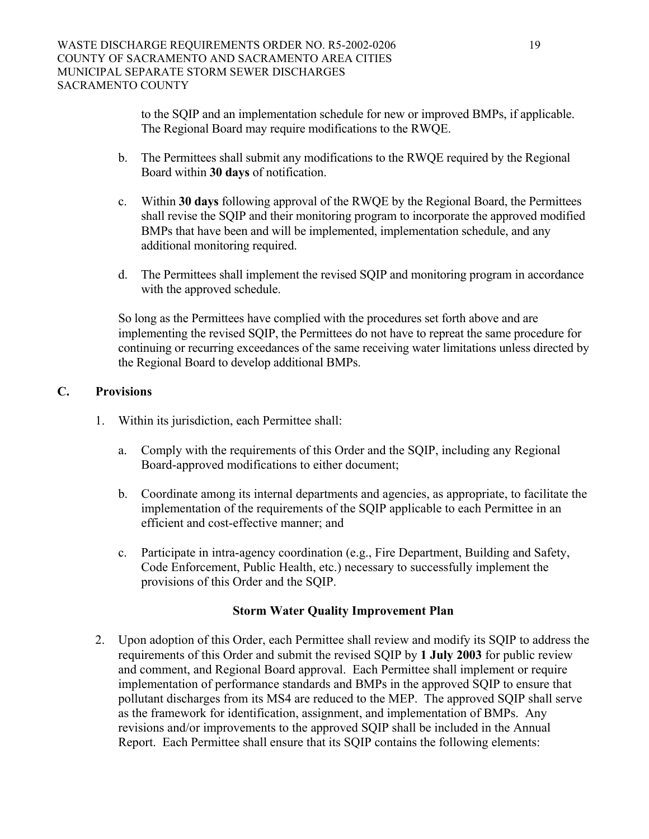to the SQIP and an implementation schedule for new or improved BMPs, if applicable. The Regional Board may require modifications to the RWQE.

- b. The Permittees shall submit any modifications to the RWQE required by the Regional Board within **30 days** of notification.
- c. Within **30 days** following approval of the RWQE by the Regional Board, the Permittees shall revise the SQIP and their monitoring program to incorporate the approved modified BMPs that have been and will be implemented, implementation schedule, and any additional monitoring required.
- d. The Permittees shall implement the revised SQIP and monitoring program in accordance with the approved schedule.

 So long as the Permittees have complied with the procedures set forth above and are implementing the revised SQIP, the Permittees do not have to repreat the same procedure for continuing or recurring exceedances of the same receiving water limitations unless directed by the Regional Board to develop additional BMPs.

# **C. Provisions**

- 1. Within its jurisdiction, each Permittee shall:
	- a. Comply with the requirements of this Order and the SQIP, including any Regional Board-approved modifications to either document;
	- b. Coordinate among its internal departments and agencies, as appropriate, to facilitate the implementation of the requirements of the SQIP applicable to each Permittee in an efficient and cost-effective manner; and
	- c. Participate in intra-agency coordination (e.g., Fire Department, Building and Safety, Code Enforcement, Public Health, etc.) necessary to successfully implement the provisions of this Order and the SQIP.

### **Storm Water Quality Improvement Plan**

2. Upon adoption of this Order, each Permittee shall review and modify its SQIP to address the requirements of this Order and submit the revised SQIP by **1 July 2003** for public review and comment, and Regional Board approval. Each Permittee shall implement or require implementation of performance standards and BMPs in the approved SQIP to ensure that pollutant discharges from its MS4 are reduced to the MEP. The approved SQIP shall serve as the framework for identification, assignment, and implementation of BMPs. Any revisions and/or improvements to the approved SQIP shall be included in the Annual Report. Each Permittee shall ensure that its SQIP contains the following elements: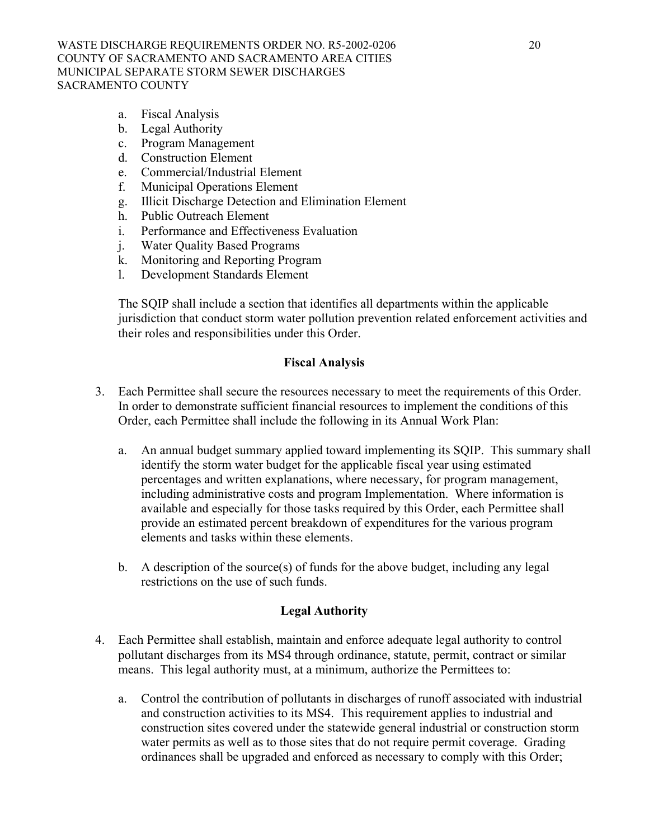- a. Fiscal Analysis
- b. Legal Authority
- c. Program Management
- d. Construction Element
- e. Commercial/Industrial Element
- f. Municipal Operations Element
- g. Illicit Discharge Detection and Elimination Element
- h. Public Outreach Element
- i. Performance and Effectiveness Evaluation
- j. Water Quality Based Programs
- k. Monitoring and Reporting Program
- l. Development Standards Element

The SQIP shall include a section that identifies all departments within the applicable jurisdiction that conduct storm water pollution prevention related enforcement activities and their roles and responsibilities under this Order.

### **Fiscal Analysis**

- 3. Each Permittee shall secure the resources necessary to meet the requirements of this Order. In order to demonstrate sufficient financial resources to implement the conditions of this Order, each Permittee shall include the following in its Annual Work Plan:
	- a. An annual budget summary applied toward implementing its SQIP. This summary shall identify the storm water budget for the applicable fiscal year using estimated percentages and written explanations, where necessary, for program management, including administrative costs and program Implementation. Where information is available and especially for those tasks required by this Order, each Permittee shall provide an estimated percent breakdown of expenditures for the various program elements and tasks within these elements.
	- b. A description of the source(s) of funds for the above budget, including any legal restrictions on the use of such funds.

### **Legal Authority**

- 4. Each Permittee shall establish, maintain and enforce adequate legal authority to control pollutant discharges from its MS4 through ordinance, statute, permit, contract or similar means. This legal authority must, at a minimum, authorize the Permittees to:
	- a. Control the contribution of pollutants in discharges of runoff associated with industrial and construction activities to its MS4. This requirement applies to industrial and construction sites covered under the statewide general industrial or construction storm water permits as well as to those sites that do not require permit coverage. Grading ordinances shall be upgraded and enforced as necessary to comply with this Order;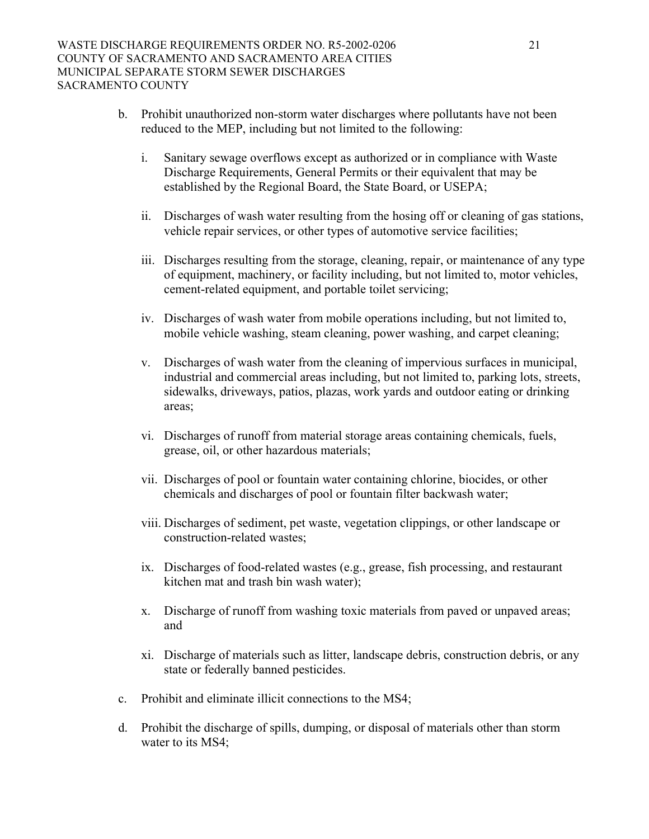- b. Prohibit unauthorized non-storm water discharges where pollutants have not been reduced to the MEP, including but not limited to the following:
	- i. Sanitary sewage overflows except as authorized or in compliance with Waste Discharge Requirements, General Permits or their equivalent that may be established by the Regional Board, the State Board, or USEPA;
	- ii. Discharges of wash water resulting from the hosing off or cleaning of gas stations, vehicle repair services, or other types of automotive service facilities;
	- iii. Discharges resulting from the storage, cleaning, repair, or maintenance of any type of equipment, machinery, or facility including, but not limited to, motor vehicles, cement-related equipment, and portable toilet servicing;
	- iv. Discharges of wash water from mobile operations including, but not limited to, mobile vehicle washing, steam cleaning, power washing, and carpet cleaning;
	- v. Discharges of wash water from the cleaning of impervious surfaces in municipal, industrial and commercial areas including, but not limited to, parking lots, streets, sidewalks, driveways, patios, plazas, work yards and outdoor eating or drinking areas;
	- vi. Discharges of runoff from material storage areas containing chemicals, fuels, grease, oil, or other hazardous materials;
	- vii. Discharges of pool or fountain water containing chlorine, biocides, or other chemicals and discharges of pool or fountain filter backwash water;
	- viii. Discharges of sediment, pet waste, vegetation clippings, or other landscape or construction-related wastes;
	- ix. Discharges of food-related wastes (e.g., grease, fish processing, and restaurant kitchen mat and trash bin wash water);
	- x. Discharge of runoff from washing toxic materials from paved or unpaved areas; and
	- xi. Discharge of materials such as litter, landscape debris, construction debris, or any state or federally banned pesticides.
- c. Prohibit and eliminate illicit connections to the MS4;
- d. Prohibit the discharge of spills, dumping, or disposal of materials other than storm water to its MS4;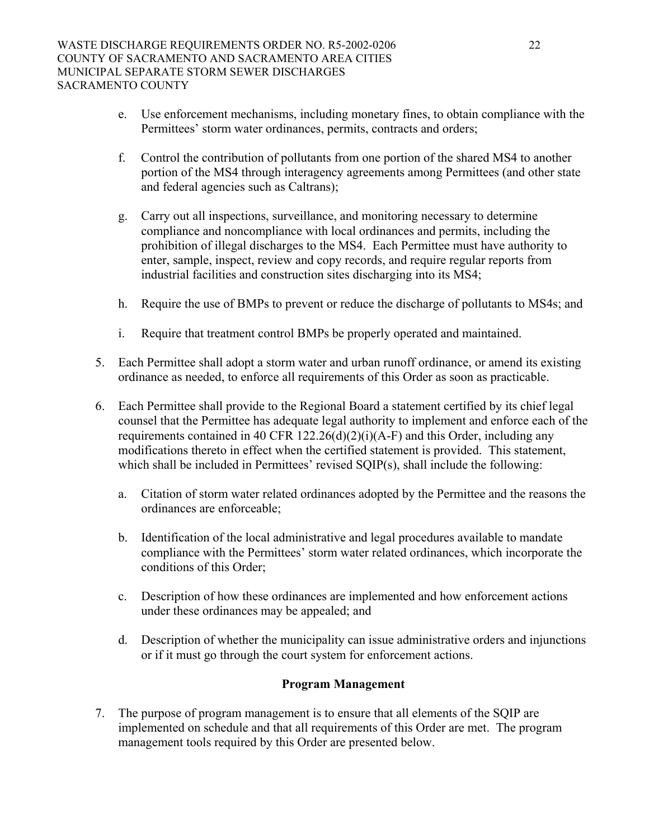- e. Use enforcement mechanisms, including monetary fines, to obtain compliance with the Permittees' storm water ordinances, permits, contracts and orders;
- f. Control the contribution of pollutants from one portion of the shared MS4 to another portion of the MS4 through interagency agreements among Permittees (and other state and federal agencies such as Caltrans);
- g. Carry out all inspections, surveillance, and monitoring necessary to determine compliance and noncompliance with local ordinances and permits, including the prohibition of illegal discharges to the MS4. Each Permittee must have authority to enter, sample, inspect, review and copy records, and require regular reports from industrial facilities and construction sites discharging into its MS4;
- h. Require the use of BMPs to prevent or reduce the discharge of pollutants to MS4s; and
- i. Require that treatment control BMPs be properly operated and maintained.
- 5. Each Permittee shall adopt a storm water and urban runoff ordinance, or amend its existing ordinance as needed, to enforce all requirements of this Order as soon as practicable.
- 6. Each Permittee shall provide to the Regional Board a statement certified by its chief legal counsel that the Permittee has adequate legal authority to implement and enforce each of the requirements contained in 40 CFR 122.26(d)(2)(i)(A-F) and this Order, including any modifications thereto in effect when the certified statement is provided. This statement, which shall be included in Permittees' revised SQIP(s), shall include the following:
	- a. Citation of storm water related ordinances adopted by the Permittee and the reasons the ordinances are enforceable;
	- b. Identification of the local administrative and legal procedures available to mandate compliance with the Permittees' storm water related ordinances, which incorporate the conditions of this Order;
	- c. Description of how these ordinances are implemented and how enforcement actions under these ordinances may be appealed; and
	- d. Description of whether the municipality can issue administrative orders and injunctions or if it must go through the court system for enforcement actions.

### **Program Management**

7. The purpose of program management is to ensure that all elements of the SQIP are implemented on schedule and that all requirements of this Order are met. The program management tools required by this Order are presented below.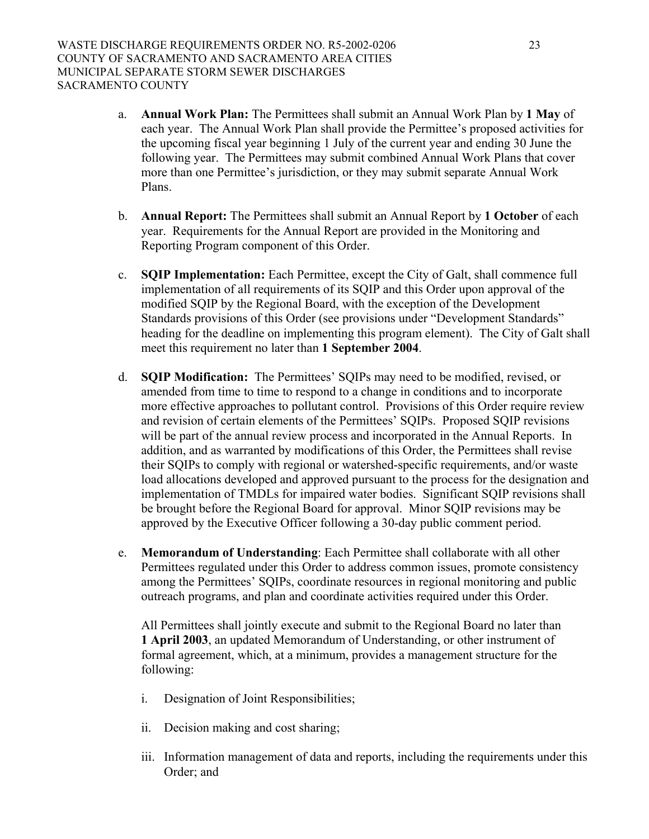- a. **Annual Work Plan:** The Permittees shall submit an Annual Work Plan by **1 May** of each year. The Annual Work Plan shall provide the Permittee's proposed activities for the upcoming fiscal year beginning 1 July of the current year and ending 30 June the following year. The Permittees may submit combined Annual Work Plans that cover more than one Permittee's jurisdiction, or they may submit separate Annual Work Plans.
- b. **Annual Report:** The Permittees shall submit an Annual Report by **1 October** of each year. Requirements for the Annual Report are provided in the Monitoring and Reporting Program component of this Order.
- c. **SQIP Implementation:** Each Permittee, except the City of Galt, shall commence full implementation of all requirements of its SQIP and this Order upon approval of the modified SQIP by the Regional Board, with the exception of the Development Standards provisions of this Order (see provisions under "Development Standards" heading for the deadline on implementing this program element). The City of Galt shall meet this requirement no later than **1 September 2004**.
- d. **SQIP Modification:** The Permittees' SQIPs may need to be modified, revised, or amended from time to time to respond to a change in conditions and to incorporate more effective approaches to pollutant control. Provisions of this Order require review and revision of certain elements of the Permittees' SQIPs. Proposed SQIP revisions will be part of the annual review process and incorporated in the Annual Reports. In addition, and as warranted by modifications of this Order, the Permittees shall revise their SQIPs to comply with regional or watershed-specific requirements, and/or waste load allocations developed and approved pursuant to the process for the designation and implementation of TMDLs for impaired water bodies. Significant SQIP revisions shall be brought before the Regional Board for approval. Minor SQIP revisions may be approved by the Executive Officer following a 30-day public comment period.
- e. **Memorandum of Understanding**: Each Permittee shall collaborate with all other Permittees regulated under this Order to address common issues, promote consistency among the Permittees' SQIPs, coordinate resources in regional monitoring and public outreach programs, and plan and coordinate activities required under this Order.

All Permittees shall jointly execute and submit to the Regional Board no later than **1 April 2003**, an updated Memorandum of Understanding, or other instrument of formal agreement, which, at a minimum, provides a management structure for the following:

- i. Designation of Joint Responsibilities;
- ii. Decision making and cost sharing;
- iii. Information management of data and reports, including the requirements under this Order; and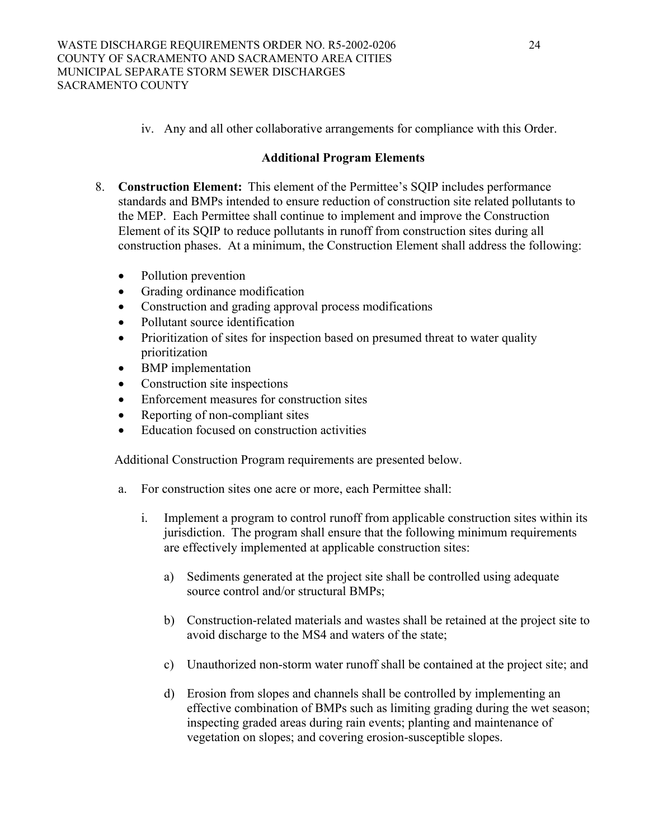iv. Any and all other collaborative arrangements for compliance with this Order.

# **Additional Program Elements**

- 8. **Construction Element:** This element of the Permittee's SQIP includes performance standards and BMPs intended to ensure reduction of construction site related pollutants to the MEP. Each Permittee shall continue to implement and improve the Construction Element of its SQIP to reduce pollutants in runoff from construction sites during all construction phases. At a minimum, the Construction Element shall address the following:
	- Pollution prevention
	- Grading ordinance modification
	- Construction and grading approval process modifications
	- Pollutant source identification
	- Prioritization of sites for inspection based on presumed threat to water quality prioritization
	- BMP implementation
	- Construction site inspections
	- Enforcement measures for construction sites
	- Reporting of non-compliant sites
	- Education focused on construction activities

Additional Construction Program requirements are presented below.

- a. For construction sites one acre or more, each Permittee shall:
	- i. Implement a program to control runoff from applicable construction sites within its jurisdiction. The program shall ensure that the following minimum requirements are effectively implemented at applicable construction sites:
		- a) Sediments generated at the project site shall be controlled using adequate source control and/or structural BMPs;
		- b) Construction-related materials and wastes shall be retained at the project site to avoid discharge to the MS4 and waters of the state;
		- c) Unauthorized non-storm water runoff shall be contained at the project site; and
		- d) Erosion from slopes and channels shall be controlled by implementing an effective combination of BMPs such as limiting grading during the wet season; inspecting graded areas during rain events; planting and maintenance of vegetation on slopes; and covering erosion-susceptible slopes.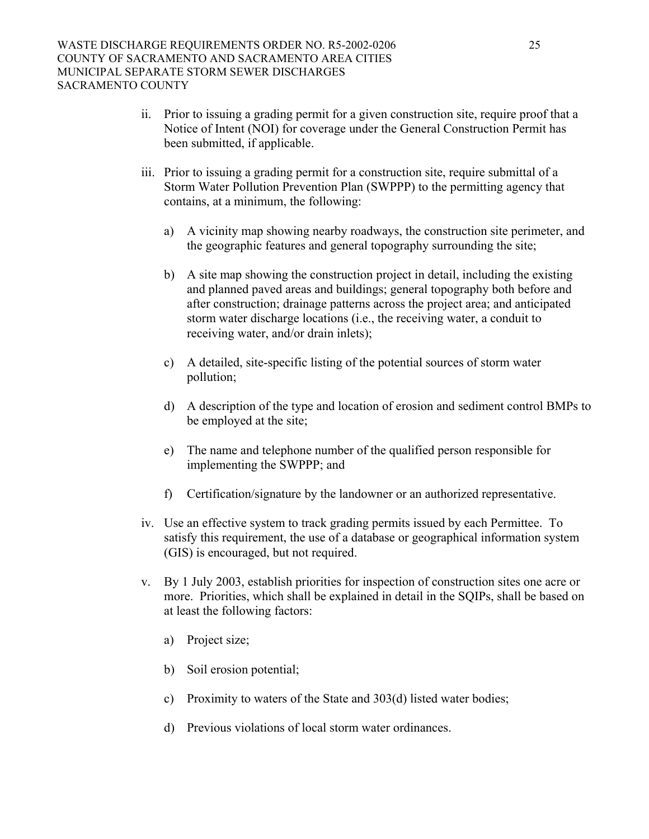- ii. Prior to issuing a grading permit for a given construction site, require proof that a Notice of Intent (NOI) for coverage under the General Construction Permit has been submitted, if applicable.
- iii. Prior to issuing a grading permit for a construction site, require submittal of a Storm Water Pollution Prevention Plan (SWPPP) to the permitting agency that contains, at a minimum, the following:
	- a) A vicinity map showing nearby roadways, the construction site perimeter, and the geographic features and general topography surrounding the site;
	- b) A site map showing the construction project in detail, including the existing and planned paved areas and buildings; general topography both before and after construction; drainage patterns across the project area; and anticipated storm water discharge locations (i.e., the receiving water, a conduit to receiving water, and/or drain inlets);
	- c) A detailed, site-specific listing of the potential sources of storm water pollution;
	- d) A description of the type and location of erosion and sediment control BMPs to be employed at the site;
	- e) The name and telephone number of the qualified person responsible for implementing the SWPPP; and
	- f) Certification/signature by the landowner or an authorized representative.
- iv. Use an effective system to track grading permits issued by each Permittee. To satisfy this requirement, the use of a database or geographical information system (GIS) is encouraged, but not required.
- v. By 1 July 2003, establish priorities for inspection of construction sites one acre or more. Priorities, which shall be explained in detail in the SQIPs, shall be based on at least the following factors:
	- a) Project size;
	- b) Soil erosion potential;
	- c) Proximity to waters of the State and 303(d) listed water bodies;
	- d) Previous violations of local storm water ordinances.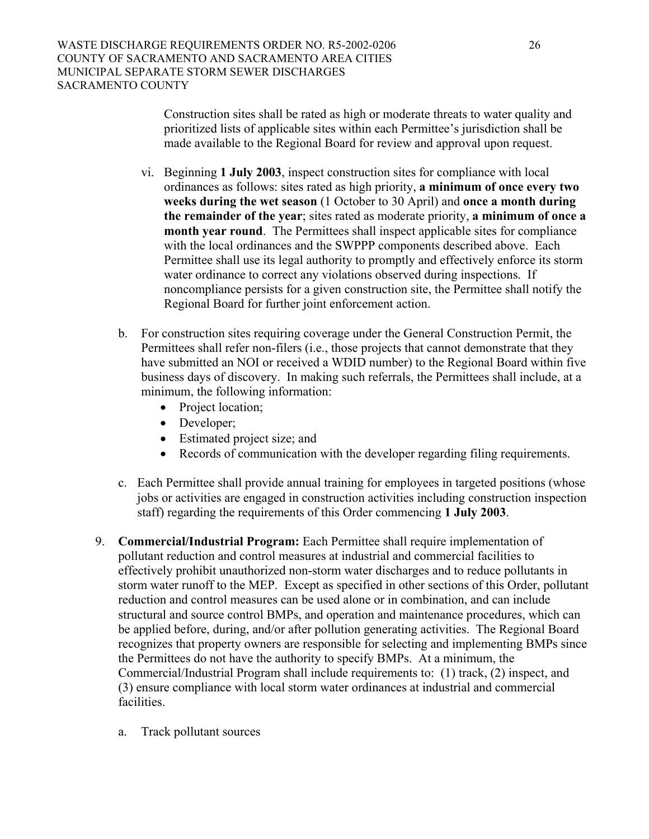Construction sites shall be rated as high or moderate threats to water quality and prioritized lists of applicable sites within each Permittee's jurisdiction shall be made available to the Regional Board for review and approval upon request.

- vi. Beginning **1 July 2003**, inspect construction sites for compliance with local ordinances as follows: sites rated as high priority, **a minimum of once every two weeks during the wet season** (1 October to 30 April) and **once a month during the remainder of the year**; sites rated as moderate priority, **a minimum of once a month year round**. The Permittees shall inspect applicable sites for compliance with the local ordinances and the SWPPP components described above. Each Permittee shall use its legal authority to promptly and effectively enforce its storm water ordinance to correct any violations observed during inspections. If noncompliance persists for a given construction site, the Permittee shall notify the Regional Board for further joint enforcement action.
- b. For construction sites requiring coverage under the General Construction Permit, the Permittees shall refer non-filers (i.e., those projects that cannot demonstrate that they have submitted an NOI or received a WDID number) to the Regional Board within five business days of discovery. In making such referrals, the Permittees shall include, at a minimum, the following information:
	- Project location;
	- Developer;
	- Estimated project size; and
	- Records of communication with the developer regarding filing requirements.
- c. Each Permittee shall provide annual training for employees in targeted positions (whose jobs or activities are engaged in construction activities including construction inspection staff) regarding the requirements of this Order commencing **1 July 2003**.
- 9. **Commercial/Industrial Program:** Each Permittee shall require implementation of pollutant reduction and control measures at industrial and commercial facilities to effectively prohibit unauthorized non-storm water discharges and to reduce pollutants in storm water runoff to the MEP. Except as specified in other sections of this Order, pollutant reduction and control measures can be used alone or in combination, and can include structural and source control BMPs, and operation and maintenance procedures, which can be applied before, during, and/or after pollution generating activities. The Regional Board recognizes that property owners are responsible for selecting and implementing BMPs since the Permittees do not have the authority to specify BMPs. At a minimum, the Commercial/Industrial Program shall include requirements to: (1) track, (2) inspect, and (3) ensure compliance with local storm water ordinances at industrial and commercial facilities.
	- a. Track pollutant sources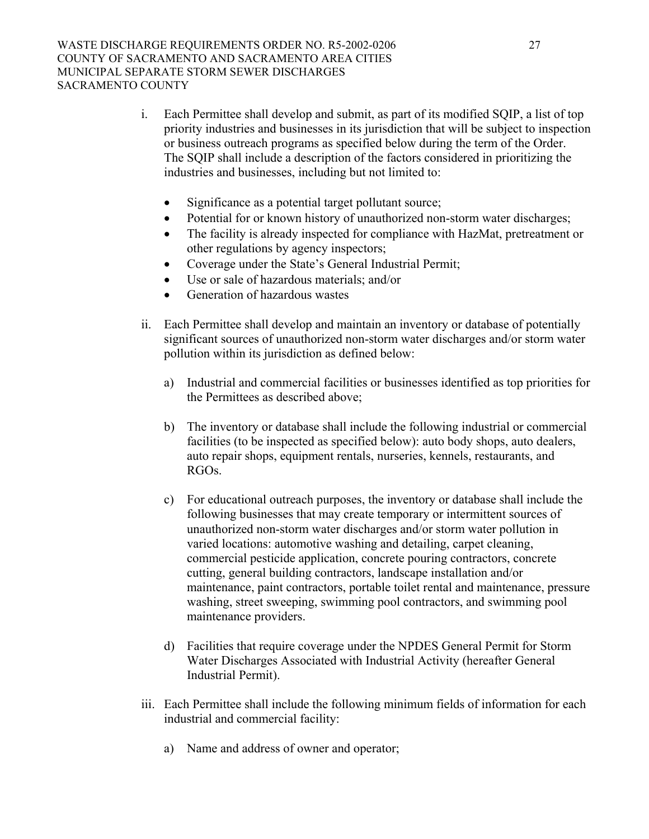- i. Each Permittee shall develop and submit, as part of its modified SQIP, a list of top priority industries and businesses in its jurisdiction that will be subject to inspection or business outreach programs as specified below during the term of the Order. The SQIP shall include a description of the factors considered in prioritizing the industries and businesses, including but not limited to:
	- Significance as a potential target pollutant source;
	- Potential for or known history of unauthorized non-storm water discharges;
	- The facility is already inspected for compliance with HazMat, pretreatment or other regulations by agency inspectors;
	- Coverage under the State's General Industrial Permit;
	- Use or sale of hazardous materials; and/or
	- Generation of hazardous wastes
- ii. Each Permittee shall develop and maintain an inventory or database of potentially significant sources of unauthorized non-storm water discharges and/or storm water pollution within its jurisdiction as defined below:
	- a) Industrial and commercial facilities or businesses identified as top priorities for the Permittees as described above;
	- b) The inventory or database shall include the following industrial or commercial facilities (to be inspected as specified below): auto body shops, auto dealers, auto repair shops, equipment rentals, nurseries, kennels, restaurants, and RGOs.
	- c) For educational outreach purposes, the inventory or database shall include the following businesses that may create temporary or intermittent sources of unauthorized non-storm water discharges and/or storm water pollution in varied locations: automotive washing and detailing, carpet cleaning, commercial pesticide application, concrete pouring contractors, concrete cutting, general building contractors, landscape installation and/or maintenance, paint contractors, portable toilet rental and maintenance, pressure washing, street sweeping, swimming pool contractors, and swimming pool maintenance providers.
	- d) Facilities that require coverage under the NPDES General Permit for Storm Water Discharges Associated with Industrial Activity (hereafter General Industrial Permit).
- iii. Each Permittee shall include the following minimum fields of information for each industrial and commercial facility:
	- a) Name and address of owner and operator;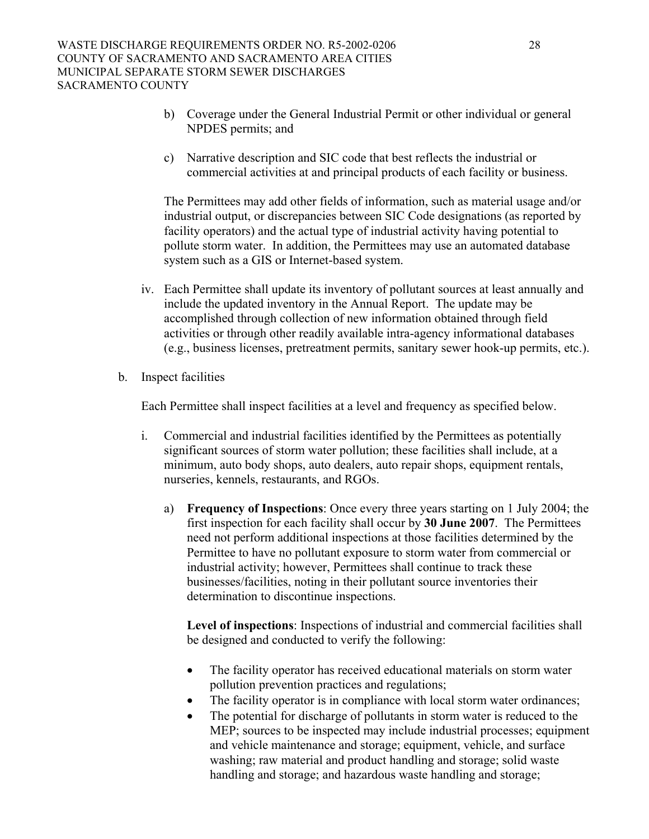- b) Coverage under the General Industrial Permit or other individual or general NPDES permits; and
- c) Narrative description and SIC code that best reflects the industrial or commercial activities at and principal products of each facility or business.

The Permittees may add other fields of information, such as material usage and/or industrial output, or discrepancies between SIC Code designations (as reported by facility operators) and the actual type of industrial activity having potential to pollute storm water. In addition, the Permittees may use an automated database system such as a GIS or Internet-based system.

- iv. Each Permittee shall update its inventory of pollutant sources at least annually and include the updated inventory in the Annual Report. The update may be accomplished through collection of new information obtained through field activities or through other readily available intra-agency informational databases (e.g., business licenses, pretreatment permits, sanitary sewer hook-up permits, etc.).
- b. Inspect facilities

Each Permittee shall inspect facilities at a level and frequency as specified below.

- i. Commercial and industrial facilities identified by the Permittees as potentially significant sources of storm water pollution; these facilities shall include, at a minimum, auto body shops, auto dealers, auto repair shops, equipment rentals, nurseries, kennels, restaurants, and RGOs.
	- a) **Frequency of Inspections**: Once every three years starting on 1 July 2004; the first inspection for each facility shall occur by **30 June 2007**. The Permittees need not perform additional inspections at those facilities determined by the Permittee to have no pollutant exposure to storm water from commercial or industrial activity; however, Permittees shall continue to track these businesses/facilities, noting in their pollutant source inventories their determination to discontinue inspections.

**Level of inspections**: Inspections of industrial and commercial facilities shall be designed and conducted to verify the following:

- The facility operator has received educational materials on storm water pollution prevention practices and regulations;
- The facility operator is in compliance with local storm water ordinances;
- The potential for discharge of pollutants in storm water is reduced to the MEP; sources to be inspected may include industrial processes; equipment and vehicle maintenance and storage; equipment, vehicle, and surface washing; raw material and product handling and storage; solid waste handling and storage; and hazardous waste handling and storage;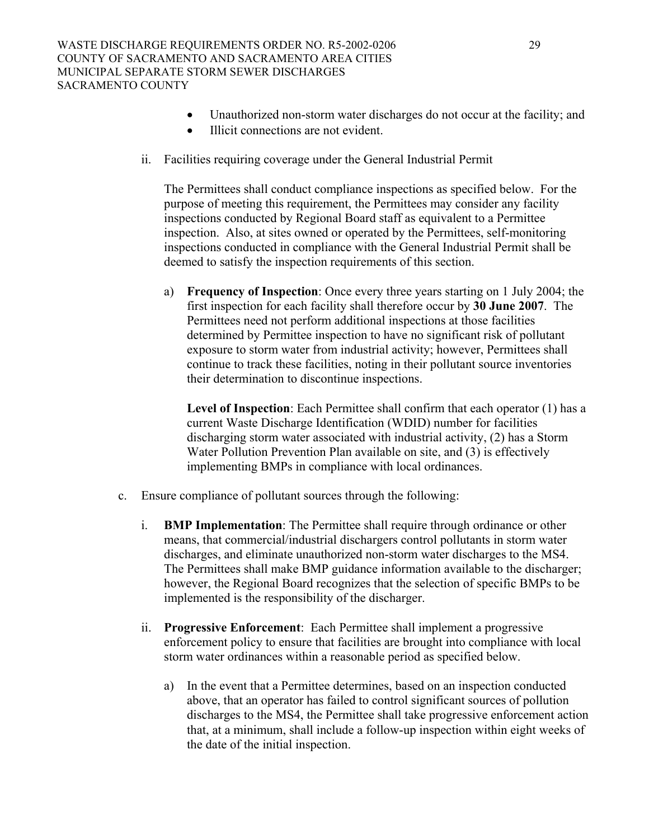- Unauthorized non-storm water discharges do not occur at the facility; and
- Illicit connections are not evident.
- ii. Facilities requiring coverage under the General Industrial Permit

The Permittees shall conduct compliance inspections as specified below. For the purpose of meeting this requirement, the Permittees may consider any facility inspections conducted by Regional Board staff as equivalent to a Permittee inspection. Also, at sites owned or operated by the Permittees, self-monitoring inspections conducted in compliance with the General Industrial Permit shall be deemed to satisfy the inspection requirements of this section.

a) **Frequency of Inspection**: Once every three years starting on 1 July 2004; the first inspection for each facility shall therefore occur by **30 June 2007**. The Permittees need not perform additional inspections at those facilities determined by Permittee inspection to have no significant risk of pollutant exposure to storm water from industrial activity; however, Permittees shall continue to track these facilities, noting in their pollutant source inventories their determination to discontinue inspections.

**Level of Inspection**: Each Permittee shall confirm that each operator (1) has a current Waste Discharge Identification (WDID) number for facilities discharging storm water associated with industrial activity, (2) has a Storm Water Pollution Prevention Plan available on site, and (3) is effectively implementing BMPs in compliance with local ordinances.

- c. Ensure compliance of pollutant sources through the following:
	- i. **BMP Implementation**: The Permittee shall require through ordinance or other means, that commercial/industrial dischargers control pollutants in storm water discharges, and eliminate unauthorized non-storm water discharges to the MS4. The Permittees shall make BMP guidance information available to the discharger; however, the Regional Board recognizes that the selection of specific BMPs to be implemented is the responsibility of the discharger.
	- ii. **Progressive Enforcement**: Each Permittee shall implement a progressive enforcement policy to ensure that facilities are brought into compliance with local storm water ordinances within a reasonable period as specified below.
		- a) In the event that a Permittee determines, based on an inspection conducted above, that an operator has failed to control significant sources of pollution discharges to the MS4, the Permittee shall take progressive enforcement action that, at a minimum, shall include a follow-up inspection within eight weeks of the date of the initial inspection.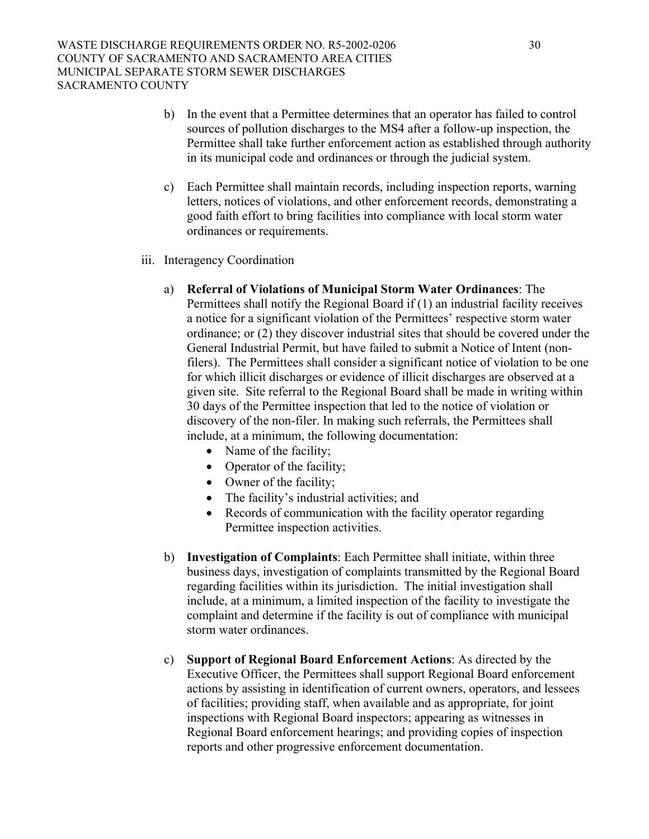- b) In the event that a Permittee determines that an operator has failed to control sources of pollution discharges to the MS4 after a follow-up inspection, the Permittee shall take further enforcement action as established through authority in its municipal code and ordinances or through the judicial system.
- c) Each Permittee shall maintain records, including inspection reports, warning letters, notices of violations, and other enforcement records, demonstrating a good faith effort to bring facilities into compliance with local storm water ordinances or requirements.
- iii. Interagency Coordination
	- a) **Referral of Violations of Municipal Storm Water Ordinances**: The Permittees shall notify the Regional Board if (1) an industrial facility receives a notice for a significant violation of the Permittees' respective storm water ordinance; or (2) they discover industrial sites that should be covered under the General Industrial Permit, but have failed to submit a Notice of Intent (nonfilers). The Permittees shall consider a significant notice of violation to be one for which illicit discharges or evidence of illicit discharges are observed at a given site. Site referral to the Regional Board shall be made in writing within 30 days of the Permittee inspection that led to the notice of violation or discovery of the non-filer. In making such referrals, the Permittees shall include, at a minimum, the following documentation:
		- Name of the facility;
		- Operator of the facility;
		- Owner of the facility;
		- The facility's industrial activities; and
		- Records of communication with the facility operator regarding Permittee inspection activities.
	- b) **Investigation of Complaints**: Each Permittee shall initiate, within three business days, investigation of complaints transmitted by the Regional Board regarding facilities within its jurisdiction. The initial investigation shall include, at a minimum, a limited inspection of the facility to investigate the complaint and determine if the facility is out of compliance with municipal storm water ordinances.
	- c) **Support of Regional Board Enforcement Actions**: As directed by the Executive Officer, the Permittees shall support Regional Board enforcement actions by assisting in identification of current owners, operators, and lessees of facilities; providing staff, when available and as appropriate, for joint inspections with Regional Board inspectors; appearing as witnesses in Regional Board enforcement hearings; and providing copies of inspection reports and other progressive enforcement documentation.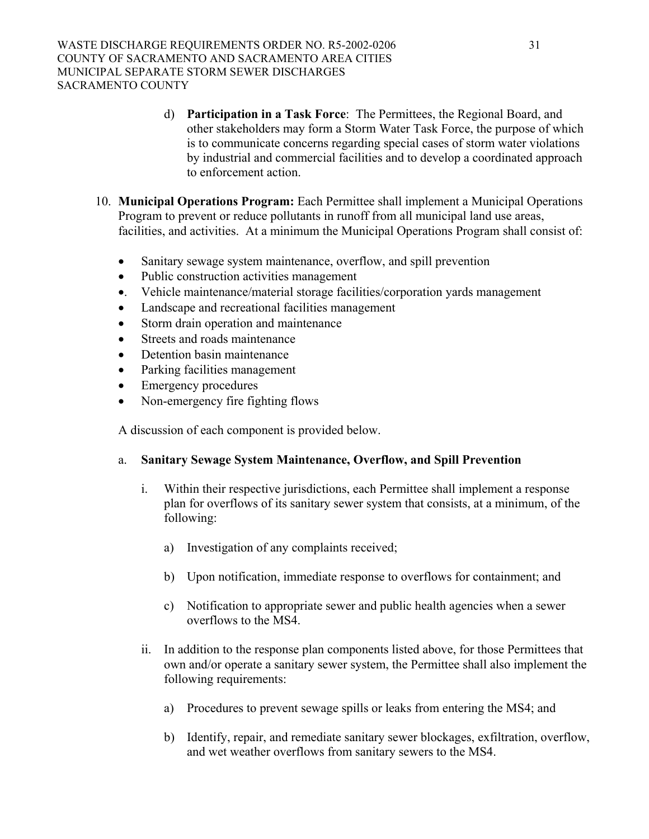- d) **Participation in a Task Force**: The Permittees, the Regional Board, and other stakeholders may form a Storm Water Task Force, the purpose of which is to communicate concerns regarding special cases of storm water violations by industrial and commercial facilities and to develop a coordinated approach to enforcement action.
- 10. **Municipal Operations Program:** Each Permittee shall implement a Municipal Operations Program to prevent or reduce pollutants in runoff from all municipal land use areas, facilities, and activities. At a minimum the Municipal Operations Program shall consist of:
	- Sanitary sewage system maintenance, overflow, and spill prevention
	- Public construction activities management
	- •. Vehicle maintenance/material storage facilities/corporation yards management
	- Landscape and recreational facilities management
	- Storm drain operation and maintenance
	- Streets and roads maintenance
	- Detention basin maintenance
	- Parking facilities management
	- Emergency procedures
	- Non-emergency fire fighting flows

A discussion of each component is provided below.

### a. **Sanitary Sewage System Maintenance, Overflow, and Spill Prevention**

- i. Within their respective jurisdictions, each Permittee shall implement a response plan for overflows of its sanitary sewer system that consists, at a minimum, of the following:
	- a) Investigation of any complaints received;
	- b) Upon notification, immediate response to overflows for containment; and
	- c) Notification to appropriate sewer and public health agencies when a sewer overflows to the MS4.
- ii. In addition to the response plan components listed above, for those Permittees that own and/or operate a sanitary sewer system, the Permittee shall also implement the following requirements:
	- a) Procedures to prevent sewage spills or leaks from entering the MS4; and
	- b) Identify, repair, and remediate sanitary sewer blockages, exfiltration, overflow, and wet weather overflows from sanitary sewers to the MS4.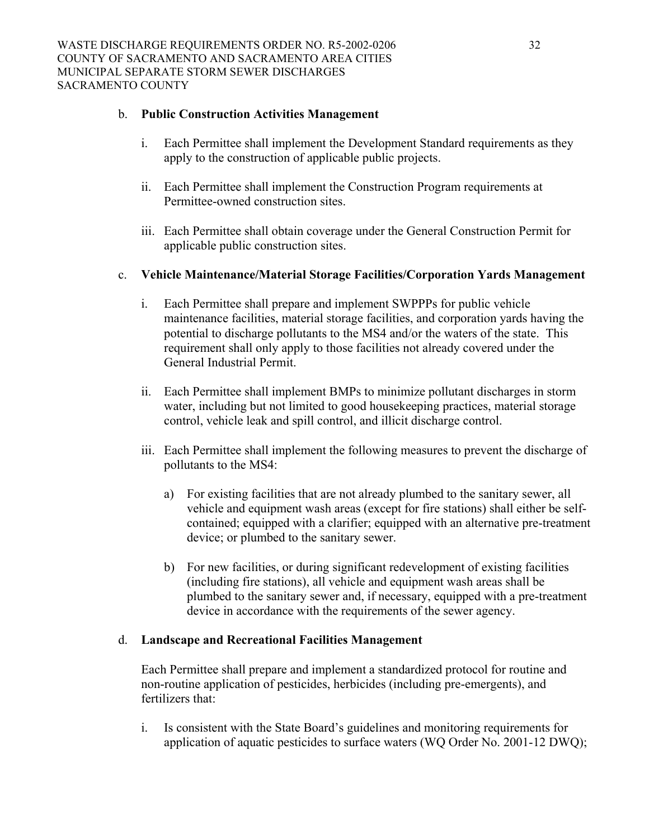### b. **Public Construction Activities Management**

- i. Each Permittee shall implement the Development Standard requirements as they apply to the construction of applicable public projects.
- ii. Each Permittee shall implement the Construction Program requirements at Permittee-owned construction sites.
- iii. Each Permittee shall obtain coverage under the General Construction Permit for applicable public construction sites.

### c. **Vehicle Maintenance/Material Storage Facilities/Corporation Yards Management**

- i. Each Permittee shall prepare and implement SWPPPs for public vehicle maintenance facilities, material storage facilities, and corporation yards having the potential to discharge pollutants to the MS4 and/or the waters of the state. This requirement shall only apply to those facilities not already covered under the General Industrial Permit.
- ii. Each Permittee shall implement BMPs to minimize pollutant discharges in storm water, including but not limited to good housekeeping practices, material storage control, vehicle leak and spill control, and illicit discharge control.
- iii. Each Permittee shall implement the following measures to prevent the discharge of pollutants to the MS4:
	- a) For existing facilities that are not already plumbed to the sanitary sewer, all vehicle and equipment wash areas (except for fire stations) shall either be selfcontained; equipped with a clarifier; equipped with an alternative pre-treatment device; or plumbed to the sanitary sewer.
	- b) For new facilities, or during significant redevelopment of existing facilities (including fire stations), all vehicle and equipment wash areas shall be plumbed to the sanitary sewer and, if necessary, equipped with a pre-treatment device in accordance with the requirements of the sewer agency.

### d. **Landscape and Recreational Facilities Management**

Each Permittee shall prepare and implement a standardized protocol for routine and non-routine application of pesticides, herbicides (including pre-emergents), and fertilizers that:

i. Is consistent with the State Board's guidelines and monitoring requirements for application of aquatic pesticides to surface waters (WQ Order No. 2001-12 DWQ);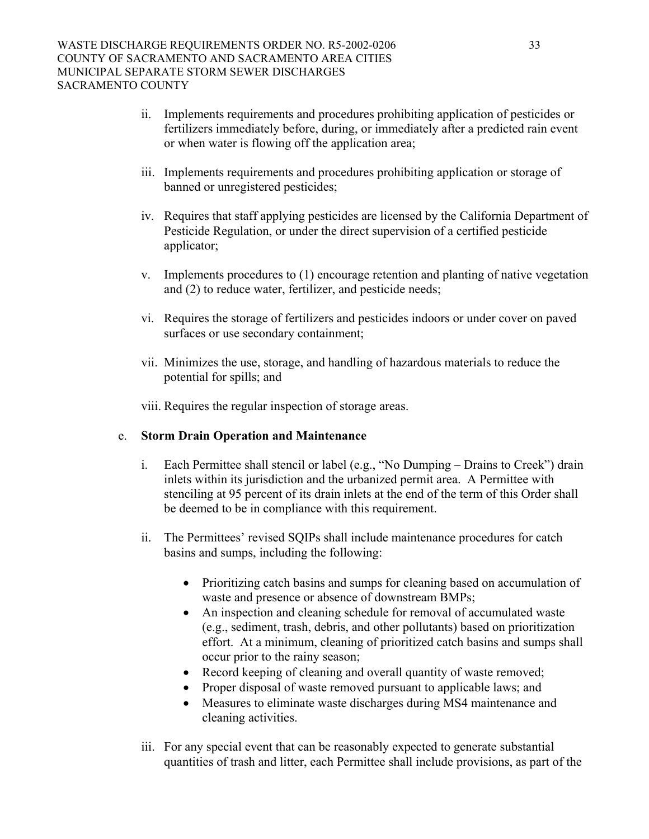- ii. Implements requirements and procedures prohibiting application of pesticides or fertilizers immediately before, during, or immediately after a predicted rain event or when water is flowing off the application area;
- iii. Implements requirements and procedures prohibiting application or storage of banned or unregistered pesticides;
- iv. Requires that staff applying pesticides are licensed by the California Department of Pesticide Regulation, or under the direct supervision of a certified pesticide applicator;
- v. Implements procedures to (1) encourage retention and planting of native vegetation and (2) to reduce water, fertilizer, and pesticide needs;
- vi. Requires the storage of fertilizers and pesticides indoors or under cover on paved surfaces or use secondary containment;
- vii. Minimizes the use, storage, and handling of hazardous materials to reduce the potential for spills; and

viii. Requires the regular inspection of storage areas.

### e. **Storm Drain Operation and Maintenance**

- i. Each Permittee shall stencil or label (e.g., "No Dumping Drains to Creek") drain inlets within its jurisdiction and the urbanized permit area. A Permittee with stenciling at 95 percent of its drain inlets at the end of the term of this Order shall be deemed to be in compliance with this requirement.
- ii. The Permittees' revised SQIPs shall include maintenance procedures for catch basins and sumps, including the following:
	- Prioritizing catch basins and sumps for cleaning based on accumulation of waste and presence or absence of downstream BMPs;
	- An inspection and cleaning schedule for removal of accumulated waste (e.g., sediment, trash, debris, and other pollutants) based on prioritization effort. At a minimum, cleaning of prioritized catch basins and sumps shall occur prior to the rainy season;
	- Record keeping of cleaning and overall quantity of waste removed;
	- Proper disposal of waste removed pursuant to applicable laws; and
	- Measures to eliminate waste discharges during MS4 maintenance and cleaning activities.
- iii. For any special event that can be reasonably expected to generate substantial quantities of trash and litter, each Permittee shall include provisions, as part of the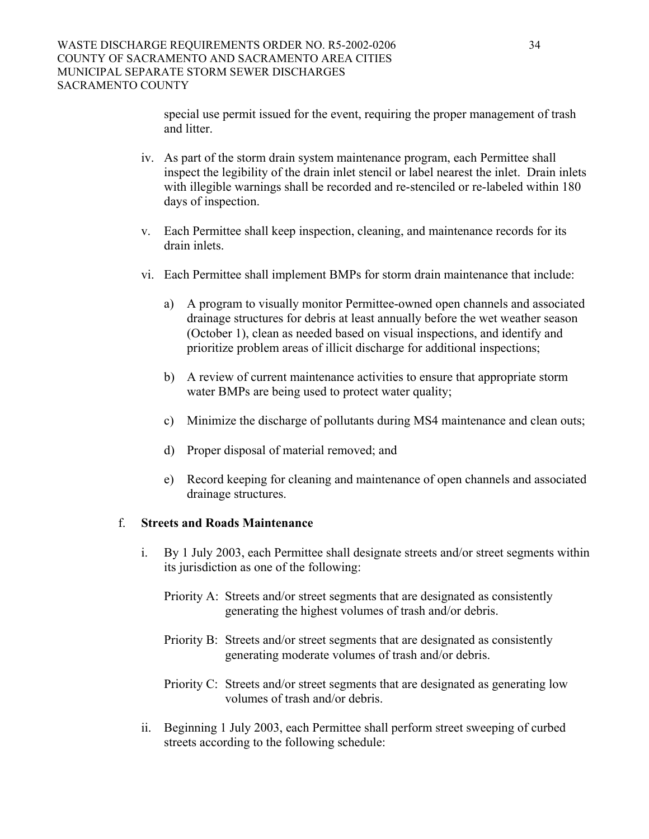special use permit issued for the event, requiring the proper management of trash and litter.

- iv. As part of the storm drain system maintenance program, each Permittee shall inspect the legibility of the drain inlet stencil or label nearest the inlet. Drain inlets with illegible warnings shall be recorded and re-stenciled or re-labeled within 180 days of inspection.
- v. Each Permittee shall keep inspection, cleaning, and maintenance records for its drain inlets.
- vi. Each Permittee shall implement BMPs for storm drain maintenance that include:
	- a) A program to visually monitor Permittee-owned open channels and associated drainage structures for debris at least annually before the wet weather season (October 1), clean as needed based on visual inspections, and identify and prioritize problem areas of illicit discharge for additional inspections;
	- b) A review of current maintenance activities to ensure that appropriate storm water BMPs are being used to protect water quality;
	- c) Minimize the discharge of pollutants during MS4 maintenance and clean outs;
	- d) Proper disposal of material removed; and
	- e) Record keeping for cleaning and maintenance of open channels and associated drainage structures.

#### f. **Streets and Roads Maintenance**

- i. By 1 July 2003, each Permittee shall designate streets and/or street segments within its jurisdiction as one of the following:
	- Priority A: Streets and/or street segments that are designated as consistently generating the highest volumes of trash and/or debris.
	- Priority B: Streets and/or street segments that are designated as consistently generating moderate volumes of trash and/or debris.
	- Priority C: Streets and/or street segments that are designated as generating low volumes of trash and/or debris.
- ii. Beginning 1 July 2003, each Permittee shall perform street sweeping of curbed streets according to the following schedule: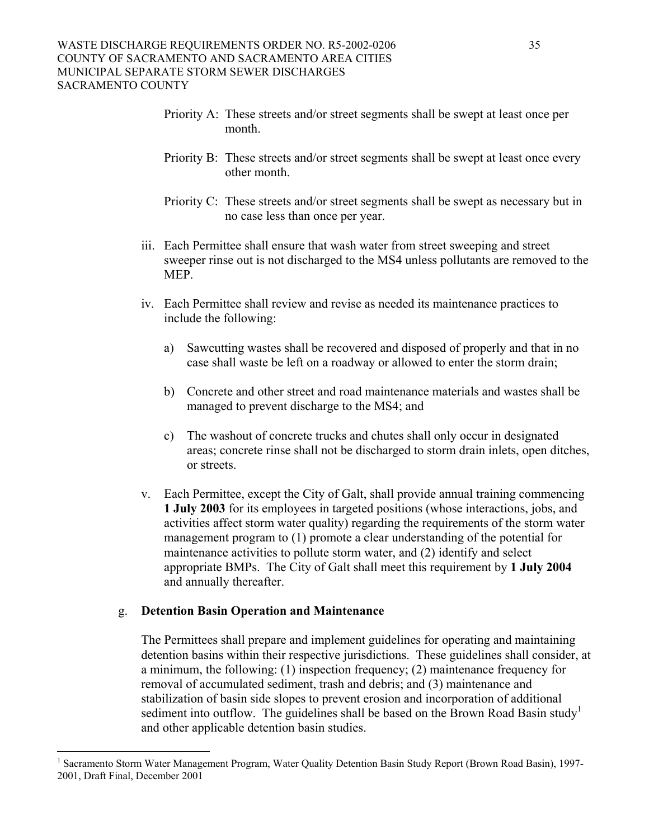- Priority A: These streets and/or street segments shall be swept at least once per month.
- Priority B: These streets and/or street segments shall be swept at least once every other month.
- Priority C: These streets and/or street segments shall be swept as necessary but in no case less than once per year.
- iii. Each Permittee shall ensure that wash water from street sweeping and street sweeper rinse out is not discharged to the MS4 unless pollutants are removed to the MEP.
- iv. Each Permittee shall review and revise as needed its maintenance practices to include the following:
	- a) Sawcutting wastes shall be recovered and disposed of properly and that in no case shall waste be left on a roadway or allowed to enter the storm drain;
	- b) Concrete and other street and road maintenance materials and wastes shall be managed to prevent discharge to the MS4; and
	- c) The washout of concrete trucks and chutes shall only occur in designated areas; concrete rinse shall not be discharged to storm drain inlets, open ditches, or streets.
- v. Each Permittee, except the City of Galt, shall provide annual training commencing **1 July 2003** for its employees in targeted positions (whose interactions, jobs, and activities affect storm water quality) regarding the requirements of the storm water management program to (1) promote a clear understanding of the potential for maintenance activities to pollute storm water, and (2) identify and select appropriate BMPs. The City of Galt shall meet this requirement by **1 July 2004** and annually thereafter.

#### g. **Detention Basin Operation and Maintenance**

1

The Permittees shall prepare and implement guidelines for operating and maintaining detention basins within their respective jurisdictions. These guidelines shall consider, at a minimum, the following: (1) inspection frequency; (2) maintenance frequency for removal of accumulated sediment, trash and debris; and (3) maintenance and stabilization of basin side slopes to prevent erosion and incorporation of additional sediment into outflow. The guidelines shall be based on the Brown Road Basin study<sup>1</sup> and other applicable detention basin studies.

<span id="page-34-0"></span><sup>1</sup> Sacramento Storm Water Management Program, Water Quality Detention Basin Study Report (Brown Road Basin), 1997- 2001, Draft Final, December 2001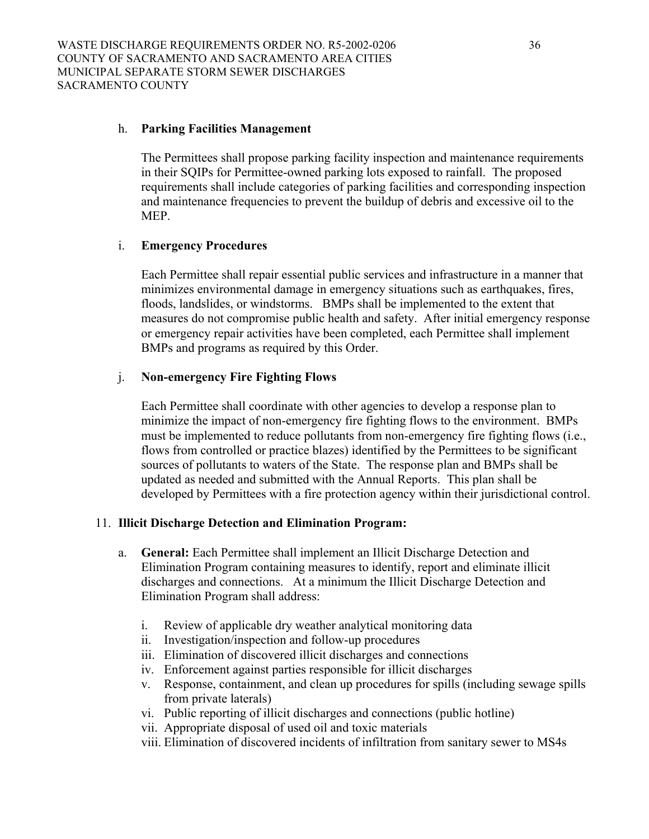### h. **Parking Facilities Management**

The Permittees shall propose parking facility inspection and maintenance requirements in their SQIPs for Permittee-owned parking lots exposed to rainfall. The proposed requirements shall include categories of parking facilities and corresponding inspection and maintenance frequencies to prevent the buildup of debris and excessive oil to the MEP.

#### i. **Emergency Procedures**

Each Permittee shall repair essential public services and infrastructure in a manner that minimizes environmental damage in emergency situations such as earthquakes, fires, floods, landslides, or windstorms. BMPs shall be implemented to the extent that measures do not compromise public health and safety. After initial emergency response or emergency repair activities have been completed, each Permittee shall implement BMPs and programs as required by this Order.

#### j. **Non-emergency Fire Fighting Flows**

Each Permittee shall coordinate with other agencies to develop a response plan to minimize the impact of non-emergency fire fighting flows to the environment. BMPs must be implemented to reduce pollutants from non-emergency fire fighting flows (i.e., flows from controlled or practice blazes) identified by the Permittees to be significant sources of pollutants to waters of the State. The response plan and BMPs shall be updated as needed and submitted with the Annual Reports. This plan shall be developed by Permittees with a fire protection agency within their jurisdictional control.

### 11. **Illicit Discharge Detection and Elimination Program:**

- a. **General:** Each Permittee shall implement an Illicit Discharge Detection and Elimination Program containing measures to identify, report and eliminate illicit discharges and connections. At a minimum the Illicit Discharge Detection and Elimination Program shall address:
	- i. Review of applicable dry weather analytical monitoring data
	- ii. Investigation/inspection and follow-up procedures
	- iii. Elimination of discovered illicit discharges and connections
	- iv. Enforcement against parties responsible for illicit discharges
	- v. Response, containment, and clean up procedures for spills (including sewage spills from private laterals)
	- vi. Public reporting of illicit discharges and connections (public hotline)
	- vii. Appropriate disposal of used oil and toxic materials
	- viii. Elimination of discovered incidents of infiltration from sanitary sewer to MS4s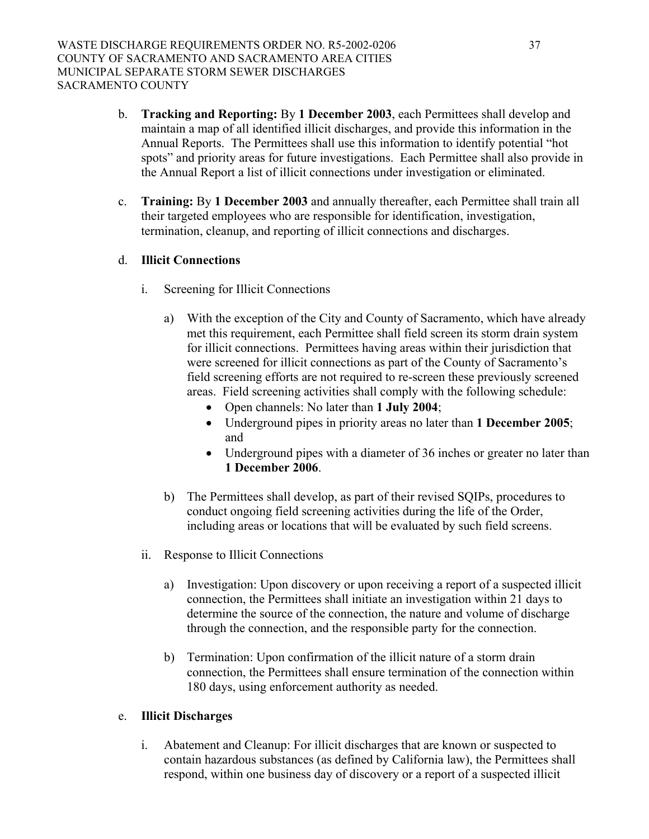- b. **Tracking and Reporting:** By **1 December 2003**, each Permittees shall develop and maintain a map of all identified illicit discharges, and provide this information in the Annual Reports. The Permittees shall use this information to identify potential "hot spots" and priority areas for future investigations. Each Permittee shall also provide in the Annual Report a list of illicit connections under investigation or eliminated.
- c. **Training:** By **1 December 2003** and annually thereafter, each Permittee shall train all their targeted employees who are responsible for identification, investigation, termination, cleanup, and reporting of illicit connections and discharges.

# d. **Illicit Connections**

- i. Screening for Illicit Connections
	- a) With the exception of the City and County of Sacramento, which have already met this requirement, each Permittee shall field screen its storm drain system for illicit connections. Permittees having areas within their jurisdiction that were screened for illicit connections as part of the County of Sacramento's field screening efforts are not required to re-screen these previously screened areas. Field screening activities shall comply with the following schedule:
		- Open channels: No later than **1 July 2004**;
		- Underground pipes in priority areas no later than **1 December 2005**; and
		- Underground pipes with a diameter of 36 inches or greater no later than **1 December 2006**.
	- b) The Permittees shall develop, as part of their revised SQIPs, procedures to conduct ongoing field screening activities during the life of the Order, including areas or locations that will be evaluated by such field screens.
- ii. Response to Illicit Connections
	- a) Investigation: Upon discovery or upon receiving a report of a suspected illicit connection, the Permittees shall initiate an investigation within 21 days to determine the source of the connection, the nature and volume of discharge through the connection, and the responsible party for the connection.
	- b) Termination: Upon confirmation of the illicit nature of a storm drain connection, the Permittees shall ensure termination of the connection within 180 days, using enforcement authority as needed.

### e. **Illicit Discharges**

i. Abatement and Cleanup: For illicit discharges that are known or suspected to contain hazardous substances (as defined by California law), the Permittees shall respond, within one business day of discovery or a report of a suspected illicit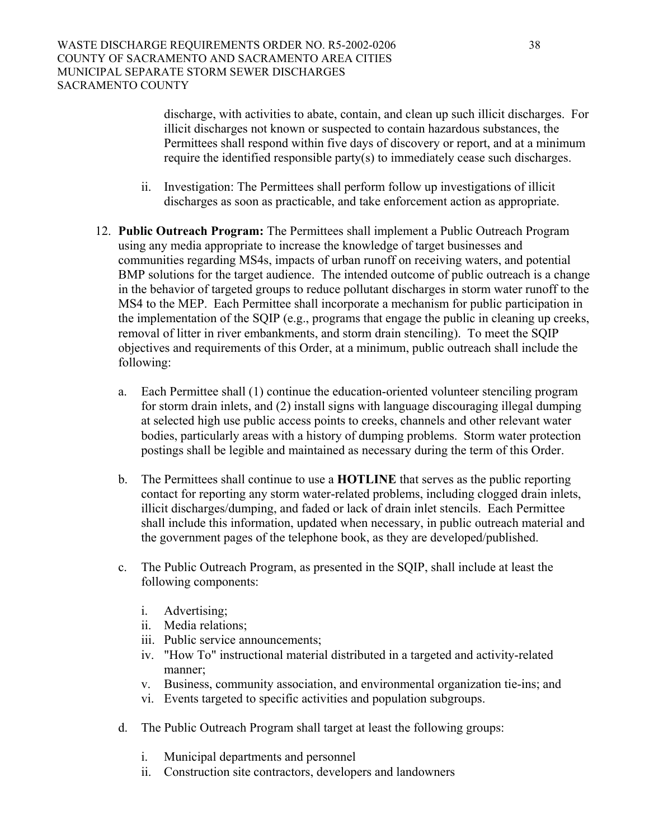discharge, with activities to abate, contain, and clean up such illicit discharges. For illicit discharges not known or suspected to contain hazardous substances, the Permittees shall respond within five days of discovery or report, and at a minimum require the identified responsible party(s) to immediately cease such discharges.

- ii. Investigation: The Permittees shall perform follow up investigations of illicit discharges as soon as practicable, and take enforcement action as appropriate.
- 12. **Public Outreach Program:** The Permittees shall implement a Public Outreach Program using any media appropriate to increase the knowledge of target businesses and communities regarding MS4s, impacts of urban runoff on receiving waters, and potential BMP solutions for the target audience. The intended outcome of public outreach is a change in the behavior of targeted groups to reduce pollutant discharges in storm water runoff to the MS4 to the MEP. Each Permittee shall incorporate a mechanism for public participation in the implementation of the SQIP (e.g., programs that engage the public in cleaning up creeks, removal of litter in river embankments, and storm drain stenciling). To meet the SQIP objectives and requirements of this Order, at a minimum, public outreach shall include the following:
	- a. Each Permittee shall (1) continue the education-oriented volunteer stenciling program for storm drain inlets, and (2) install signs with language discouraging illegal dumping at selected high use public access points to creeks, channels and other relevant water bodies, particularly areas with a history of dumping problems. Storm water protection postings shall be legible and maintained as necessary during the term of this Order.
	- b. The Permittees shall continue to use a **HOTLINE** that serves as the public reporting contact for reporting any storm water-related problems, including clogged drain inlets, illicit discharges/dumping, and faded or lack of drain inlet stencils. Each Permittee shall include this information, updated when necessary, in public outreach material and the government pages of the telephone book, as they are developed/published.
	- c. The Public Outreach Program, as presented in the SQIP, shall include at least the following components:
		- i. Advertising;
		- ii. Media relations;
		- iii. Public service announcements;
		- iv. "How To" instructional material distributed in a targeted and activity-related manner;
		- v. Business, community association, and environmental organization tie-ins; and
		- vi. Events targeted to specific activities and population subgroups.
	- d. The Public Outreach Program shall target at least the following groups:
		- i. Municipal departments and personnel
		- ii. Construction site contractors, developers and landowners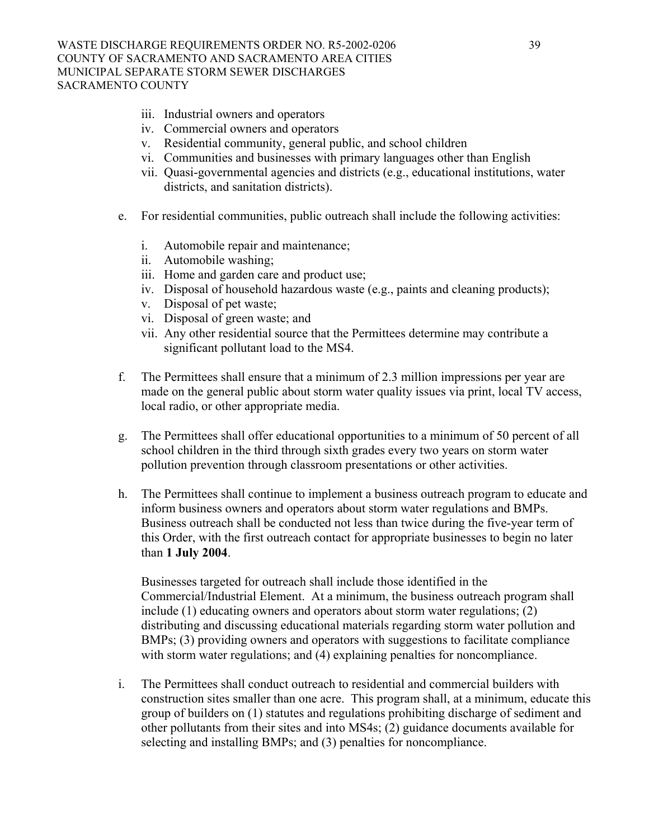- iii. Industrial owners and operators
- iv. Commercial owners and operators
- v. Residential community, general public, and school children
- vi. Communities and businesses with primary languages other than English
- vii. Quasi-governmental agencies and districts (e.g., educational institutions, water districts, and sanitation districts).
- e. For residential communities, public outreach shall include the following activities:
	- i. Automobile repair and maintenance;
	- ii. Automobile washing;
	- iii. Home and garden care and product use;
	- iv. Disposal of household hazardous waste (e.g., paints and cleaning products);
	- v. Disposal of pet waste;
	- vi. Disposal of green waste; and
	- vii. Any other residential source that the Permittees determine may contribute a significant pollutant load to the MS4.
- f. The Permittees shall ensure that a minimum of 2.3 million impressions per year are made on the general public about storm water quality issues via print, local TV access, local radio, or other appropriate media.
- g. The Permittees shall offer educational opportunities to a minimum of 50 percent of all school children in the third through sixth grades every two years on storm water pollution prevention through classroom presentations or other activities.
- h. The Permittees shall continue to implement a business outreach program to educate and inform business owners and operators about storm water regulations and BMPs. Business outreach shall be conducted not less than twice during the five-year term of this Order, with the first outreach contact for appropriate businesses to begin no later than **1 July 2004**.

Businesses targeted for outreach shall include those identified in the Commercial/Industrial Element. At a minimum, the business outreach program shall include (1) educating owners and operators about storm water regulations; (2) distributing and discussing educational materials regarding storm water pollution and BMPs; (3) providing owners and operators with suggestions to facilitate compliance with storm water regulations; and (4) explaining penalties for noncompliance.

i. The Permittees shall conduct outreach to residential and commercial builders with construction sites smaller than one acre. This program shall, at a minimum, educate this group of builders on (1) statutes and regulations prohibiting discharge of sediment and other pollutants from their sites and into MS4s; (2) guidance documents available for selecting and installing BMPs; and (3) penalties for noncompliance.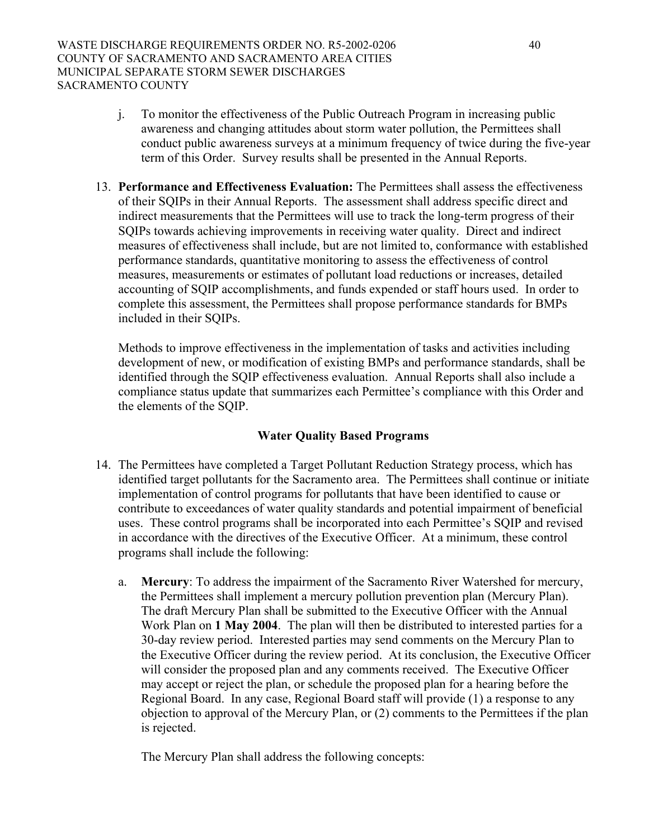- j. To monitor the effectiveness of the Public Outreach Program in increasing public awareness and changing attitudes about storm water pollution, the Permittees shall conduct public awareness surveys at a minimum frequency of twice during the five-year term of this Order. Survey results shall be presented in the Annual Reports.
- 13. **Performance and Effectiveness Evaluation:** The Permittees shall assess the effectiveness of their SQIPs in their Annual Reports. The assessment shall address specific direct and indirect measurements that the Permittees will use to track the long-term progress of their SQIPs towards achieving improvements in receiving water quality. Direct and indirect measures of effectiveness shall include, but are not limited to, conformance with established performance standards, quantitative monitoring to assess the effectiveness of control measures, measurements or estimates of pollutant load reductions or increases, detailed accounting of SQIP accomplishments, and funds expended or staff hours used. In order to complete this assessment, the Permittees shall propose performance standards for BMPs included in their SQIPs.

Methods to improve effectiveness in the implementation of tasks and activities including development of new, or modification of existing BMPs and performance standards, shall be identified through the SQIP effectiveness evaluation. Annual Reports shall also include a compliance status update that summarizes each Permittee's compliance with this Order and the elements of the SQIP.

# **Water Quality Based Programs**

- 14. The Permittees have completed a Target Pollutant Reduction Strategy process, which has identified target pollutants for the Sacramento area. The Permittees shall continue or initiate implementation of control programs for pollutants that have been identified to cause or contribute to exceedances of water quality standards and potential impairment of beneficial uses. These control programs shall be incorporated into each Permittee's SQIP and revised in accordance with the directives of the Executive Officer. At a minimum, these control programs shall include the following:
	- a. **Mercury**: To address the impairment of the Sacramento River Watershed for mercury, the Permittees shall implement a mercury pollution prevention plan (Mercury Plan). The draft Mercury Plan shall be submitted to the Executive Officer with the Annual Work Plan on **1 May 2004**. The plan will then be distributed to interested parties for a 30-day review period. Interested parties may send comments on the Mercury Plan to the Executive Officer during the review period. At its conclusion, the Executive Officer will consider the proposed plan and any comments received. The Executive Officer may accept or reject the plan, or schedule the proposed plan for a hearing before the Regional Board. In any case, Regional Board staff will provide (1) a response to any objection to approval of the Mercury Plan, or (2) comments to the Permittees if the plan is rejected.

The Mercury Plan shall address the following concepts: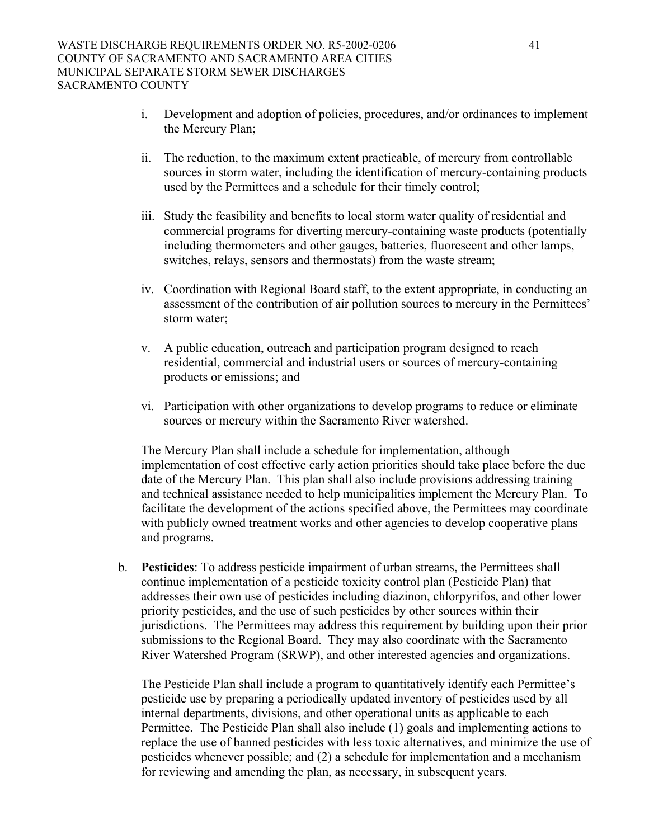- i. Development and adoption of policies, procedures, and/or ordinances to implement the Mercury Plan;
- ii. The reduction, to the maximum extent practicable, of mercury from controllable sources in storm water, including the identification of mercury-containing products used by the Permittees and a schedule for their timely control;
- iii. Study the feasibility and benefits to local storm water quality of residential and commercial programs for diverting mercury-containing waste products (potentially including thermometers and other gauges, batteries, fluorescent and other lamps, switches, relays, sensors and thermostats) from the waste stream;
- iv. Coordination with Regional Board staff, to the extent appropriate, in conducting an assessment of the contribution of air pollution sources to mercury in the Permittees' storm water;
- v. A public education, outreach and participation program designed to reach residential, commercial and industrial users or sources of mercury-containing products or emissions; and
- vi. Participation with other organizations to develop programs to reduce or eliminate sources or mercury within the Sacramento River watershed.

The Mercury Plan shall include a schedule for implementation, although implementation of cost effective early action priorities should take place before the due date of the Mercury Plan. This plan shall also include provisions addressing training and technical assistance needed to help municipalities implement the Mercury Plan. To facilitate the development of the actions specified above, the Permittees may coordinate with publicly owned treatment works and other agencies to develop cooperative plans and programs.

b. **Pesticides**: To address pesticide impairment of urban streams, the Permittees shall continue implementation of a pesticide toxicity control plan (Pesticide Plan) that addresses their own use of pesticides including diazinon, chlorpyrifos, and other lower priority pesticides, and the use of such pesticides by other sources within their jurisdictions. The Permittees may address this requirement by building upon their prior submissions to the Regional Board. They may also coordinate with the Sacramento River Watershed Program (SRWP), and other interested agencies and organizations.

The Pesticide Plan shall include a program to quantitatively identify each Permittee's pesticide use by preparing a periodically updated inventory of pesticides used by all internal departments, divisions, and other operational units as applicable to each Permittee. The Pesticide Plan shall also include (1) goals and implementing actions to replace the use of banned pesticides with less toxic alternatives, and minimize the use of pesticides whenever possible; and (2) a schedule for implementation and a mechanism for reviewing and amending the plan, as necessary, in subsequent years.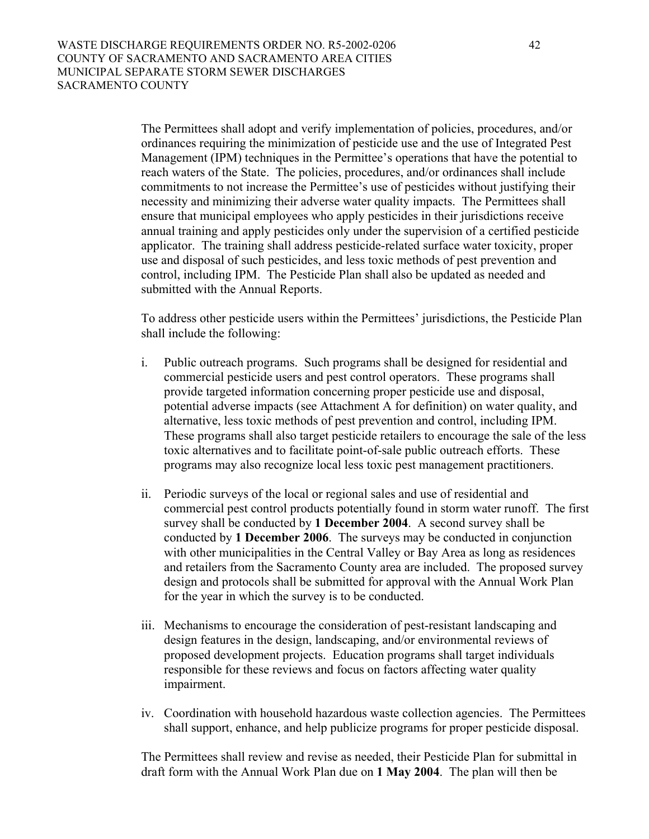The Permittees shall adopt and verify implementation of policies, procedures, and/or ordinances requiring the minimization of pesticide use and the use of Integrated Pest Management (IPM) techniques in the Permittee's operations that have the potential to reach waters of the State. The policies, procedures, and/or ordinances shall include commitments to not increase the Permittee's use of pesticides without justifying their necessity and minimizing their adverse water quality impacts. The Permittees shall ensure that municipal employees who apply pesticides in their jurisdictions receive annual training and apply pesticides only under the supervision of a certified pesticide applicator. The training shall address pesticide-related surface water toxicity, proper use and disposal of such pesticides, and less toxic methods of pest prevention and control, including IPM. The Pesticide Plan shall also be updated as needed and submitted with the Annual Reports.

To address other pesticide users within the Permittees' jurisdictions, the Pesticide Plan shall include the following:

- i. Public outreach programs. Such programs shall be designed for residential and commercial pesticide users and pest control operators. These programs shall provide targeted information concerning proper pesticide use and disposal, potential adverse impacts (see Attachment A for definition) on water quality, and alternative, less toxic methods of pest prevention and control, including IPM. These programs shall also target pesticide retailers to encourage the sale of the less toxic alternatives and to facilitate point-of-sale public outreach efforts. These programs may also recognize local less toxic pest management practitioners.
- ii. Periodic surveys of the local or regional sales and use of residential and commercial pest control products potentially found in storm water runoff. The first survey shall be conducted by **1 December 2004**. A second survey shall be conducted by **1 December 2006**. The surveys may be conducted in conjunction with other municipalities in the Central Valley or Bay Area as long as residences and retailers from the Sacramento County area are included. The proposed survey design and protocols shall be submitted for approval with the Annual Work Plan for the year in which the survey is to be conducted.
- iii. Mechanisms to encourage the consideration of pest-resistant landscaping and design features in the design, landscaping, and/or environmental reviews of proposed development projects. Education programs shall target individuals responsible for these reviews and focus on factors affecting water quality impairment.
- iv. Coordination with household hazardous waste collection agencies. The Permittees shall support, enhance, and help publicize programs for proper pesticide disposal.

The Permittees shall review and revise as needed, their Pesticide Plan for submittal in draft form with the Annual Work Plan due on **1 May 2004**. The plan will then be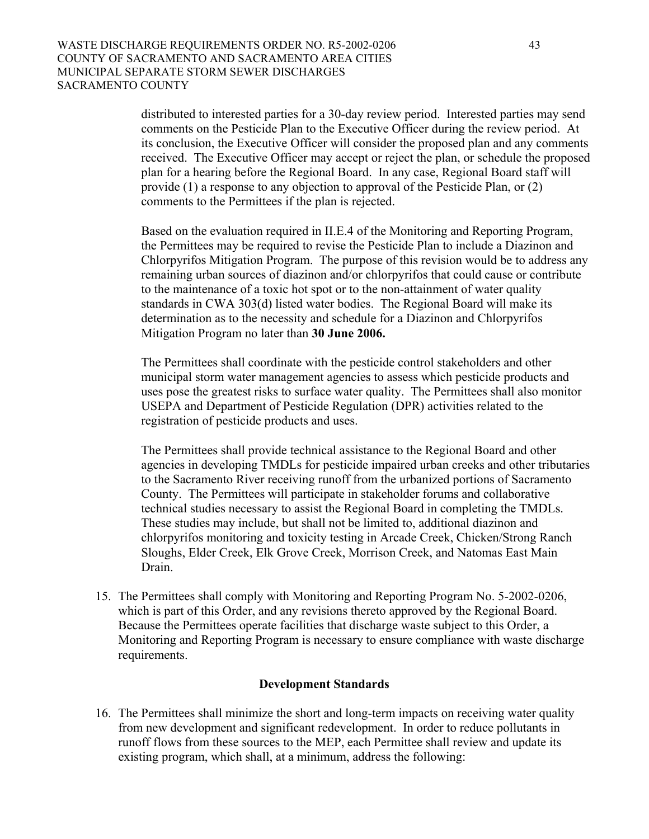distributed to interested parties for a 30-day review period. Interested parties may send comments on the Pesticide Plan to the Executive Officer during the review period. At its conclusion, the Executive Officer will consider the proposed plan and any comments received. The Executive Officer may accept or reject the plan, or schedule the proposed plan for a hearing before the Regional Board. In any case, Regional Board staff will provide (1) a response to any objection to approval of the Pesticide Plan, or (2) comments to the Permittees if the plan is rejected.

Based on the evaluation required in II.E.4 of the Monitoring and Reporting Program, the Permittees may be required to revise the Pesticide Plan to include a Diazinon and Chlorpyrifos Mitigation Program. The purpose of this revision would be to address any remaining urban sources of diazinon and/or chlorpyrifos that could cause or contribute to the maintenance of a toxic hot spot or to the non-attainment of water quality standards in CWA 303(d) listed water bodies. The Regional Board will make its determination as to the necessity and schedule for a Diazinon and Chlorpyrifos Mitigation Program no later than **30 June 2006.**

The Permittees shall coordinate with the pesticide control stakeholders and other municipal storm water management agencies to assess which pesticide products and uses pose the greatest risks to surface water quality. The Permittees shall also monitor USEPA and Department of Pesticide Regulation (DPR) activities related to the registration of pesticide products and uses.

The Permittees shall provide technical assistance to the Regional Board and other agencies in developing TMDLs for pesticide impaired urban creeks and other tributaries to the Sacramento River receiving runoff from the urbanized portions of Sacramento County. The Permittees will participate in stakeholder forums and collaborative technical studies necessary to assist the Regional Board in completing the TMDLs. These studies may include, but shall not be limited to, additional diazinon and chlorpyrifos monitoring and toxicity testing in Arcade Creek, Chicken/Strong Ranch Sloughs, Elder Creek, Elk Grove Creek, Morrison Creek, and Natomas East Main Drain.

15. The Permittees shall comply with Monitoring and Reporting Program No. 5-2002-0206, which is part of this Order, and any revisions thereto approved by the Regional Board. Because the Permittees operate facilities that discharge waste subject to this Order, a Monitoring and Reporting Program is necessary to ensure compliance with waste discharge requirements.

### **Development Standards**

16. The Permittees shall minimize the short and long-term impacts on receiving water quality from new development and significant redevelopment. In order to reduce pollutants in runoff flows from these sources to the MEP, each Permittee shall review and update its existing program, which shall, at a minimum, address the following: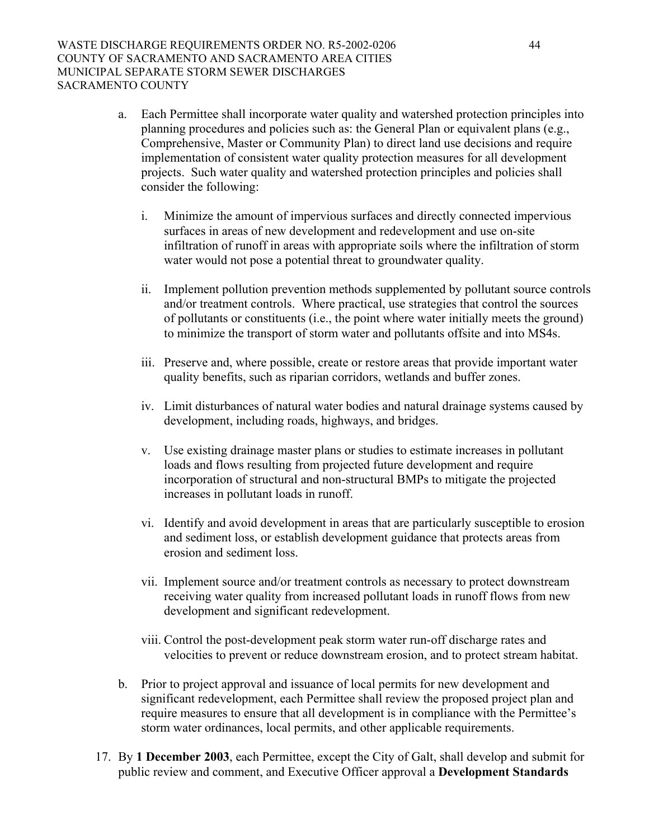- a. Each Permittee shall incorporate water quality and watershed protection principles into planning procedures and policies such as: the General Plan or equivalent plans (e.g., Comprehensive, Master or Community Plan) to direct land use decisions and require implementation of consistent water quality protection measures for all development projects. Such water quality and watershed protection principles and policies shall consider the following:
	- i. Minimize the amount of impervious surfaces and directly connected impervious surfaces in areas of new development and redevelopment and use on-site infiltration of runoff in areas with appropriate soils where the infiltration of storm water would not pose a potential threat to groundwater quality.
	- ii. Implement pollution prevention methods supplemented by pollutant source controls and/or treatment controls. Where practical, use strategies that control the sources of pollutants or constituents (i.e., the point where water initially meets the ground) to minimize the transport of storm water and pollutants offsite and into MS4s.
	- iii. Preserve and, where possible, create or restore areas that provide important water quality benefits, such as riparian corridors, wetlands and buffer zones.
	- iv. Limit disturbances of natural water bodies and natural drainage systems caused by development, including roads, highways, and bridges.
	- v. Use existing drainage master plans or studies to estimate increases in pollutant loads and flows resulting from projected future development and require incorporation of structural and non-structural BMPs to mitigate the projected increases in pollutant loads in runoff.
	- vi. Identify and avoid development in areas that are particularly susceptible to erosion and sediment loss, or establish development guidance that protects areas from erosion and sediment loss.
	- vii. Implement source and/or treatment controls as necessary to protect downstream receiving water quality from increased pollutant loads in runoff flows from new development and significant redevelopment.
	- viii. Control the post-development peak storm water run-off discharge rates and velocities to prevent or reduce downstream erosion, and to protect stream habitat.
- b. Prior to project approval and issuance of local permits for new development and significant redevelopment, each Permittee shall review the proposed project plan and require measures to ensure that all development is in compliance with the Permittee's storm water ordinances, local permits, and other applicable requirements.
- 17. By **1 December 2003**, each Permittee, except the City of Galt, shall develop and submit for public review and comment, and Executive Officer approval a **Development Standards**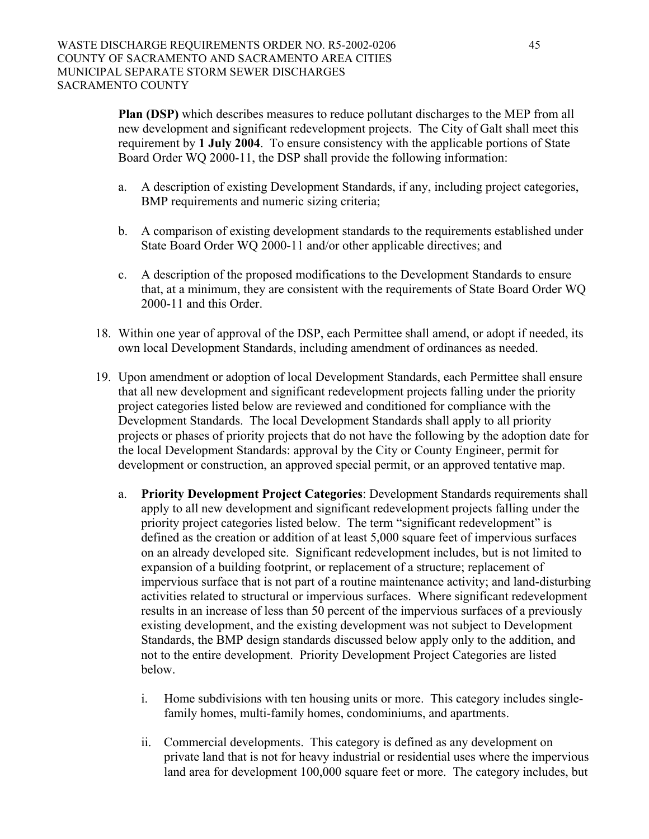**Plan (DSP)** which describes measures to reduce pollutant discharges to the MEP from all new development and significant redevelopment projects. The City of Galt shall meet this requirement by **1 July 2004**. To ensure consistency with the applicable portions of State Board Order WQ 2000-11, the DSP shall provide the following information:

- a. A description of existing Development Standards, if any, including project categories, BMP requirements and numeric sizing criteria;
- b. A comparison of existing development standards to the requirements established under State Board Order WQ 2000-11 and/or other applicable directives; and
- c. A description of the proposed modifications to the Development Standards to ensure that, at a minimum, they are consistent with the requirements of State Board Order WQ 2000-11 and this Order.
- 18. Within one year of approval of the DSP, each Permittee shall amend, or adopt if needed, its own local Development Standards, including amendment of ordinances as needed.
- 19. Upon amendment or adoption of local Development Standards, each Permittee shall ensure that all new development and significant redevelopment projects falling under the priority project categories listed below are reviewed and conditioned for compliance with the Development Standards. The local Development Standards shall apply to all priority projects or phases of priority projects that do not have the following by the adoption date for the local Development Standards: approval by the City or County Engineer, permit for development or construction, an approved special permit, or an approved tentative map.
	- a. **Priority Development Project Categories**: Development Standards requirements shall apply to all new development and significant redevelopment projects falling under the priority project categories listed below. The term "significant redevelopment" is defined as the creation or addition of at least 5,000 square feet of impervious surfaces on an already developed site. Significant redevelopment includes, but is not limited to expansion of a building footprint, or replacement of a structure; replacement of impervious surface that is not part of a routine maintenance activity; and land-disturbing activities related to structural or impervious surfaces. Where significant redevelopment results in an increase of less than 50 percent of the impervious surfaces of a previously existing development, and the existing development was not subject to Development Standards, the BMP design standards discussed below apply only to the addition, and not to the entire development. Priority Development Project Categories are listed below.
		- i. Home subdivisions with ten housing units or more. This category includes singlefamily homes, multi-family homes, condominiums, and apartments.
		- ii. Commercial developments. This category is defined as any development on private land that is not for heavy industrial or residential uses where the impervious land area for development 100,000 square feet or more. The category includes, but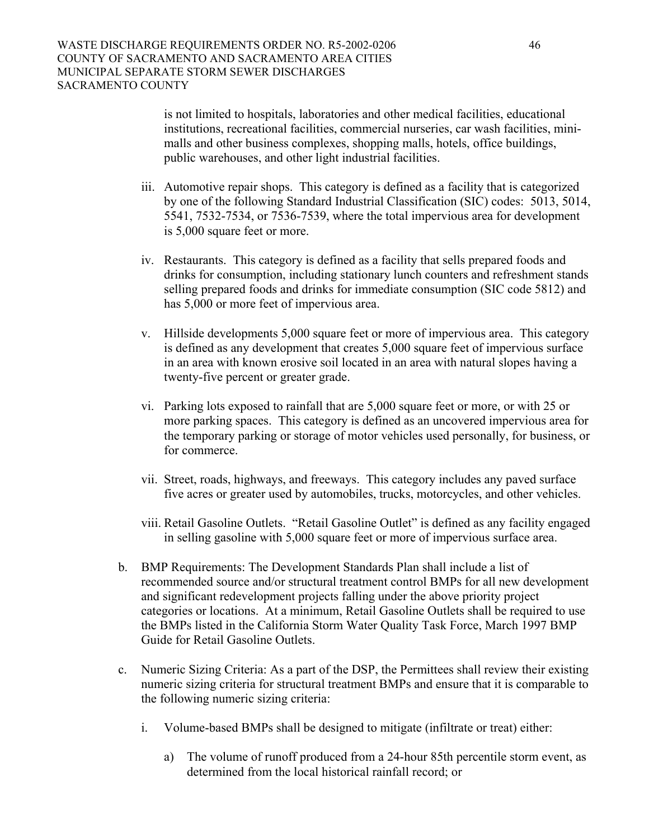is not limited to hospitals, laboratories and other medical facilities, educational institutions, recreational facilities, commercial nurseries, car wash facilities, minimalls and other business complexes, shopping malls, hotels, office buildings, public warehouses, and other light industrial facilities.

- iii. Automotive repair shops. This category is defined as a facility that is categorized by one of the following Standard Industrial Classification (SIC) codes: 5013, 5014, 5541, 7532-7534, or 7536-7539, where the total impervious area for development is 5,000 square feet or more.
- iv. Restaurants. This category is defined as a facility that sells prepared foods and drinks for consumption, including stationary lunch counters and refreshment stands selling prepared foods and drinks for immediate consumption (SIC code 5812) and has 5,000 or more feet of impervious area.
- v. Hillside developments 5,000 square feet or more of impervious area. This category is defined as any development that creates 5,000 square feet of impervious surface in an area with known erosive soil located in an area with natural slopes having a twenty-five percent or greater grade.
- vi. Parking lots exposed to rainfall that are 5,000 square feet or more, or with 25 or more parking spaces. This category is defined as an uncovered impervious area for the temporary parking or storage of motor vehicles used personally, for business, or for commerce.
- vii. Street, roads, highways, and freeways. This category includes any paved surface five acres or greater used by automobiles, trucks, motorcycles, and other vehicles.
- viii. Retail Gasoline Outlets. "Retail Gasoline Outlet" is defined as any facility engaged in selling gasoline with 5,000 square feet or more of impervious surface area.
- b. BMP Requirements: The Development Standards Plan shall include a list of recommended source and/or structural treatment control BMPs for all new development and significant redevelopment projects falling under the above priority project categories or locations. At a minimum, Retail Gasoline Outlets shall be required to use the BMPs listed in the California Storm Water Quality Task Force, March 1997 BMP Guide for Retail Gasoline Outlets.
- c. Numeric Sizing Criteria: As a part of the DSP, the Permittees shall review their existing numeric sizing criteria for structural treatment BMPs and ensure that it is comparable to the following numeric sizing criteria:
	- i. Volume-based BMPs shall be designed to mitigate (infiltrate or treat) either:
		- a) The volume of runoff produced from a 24-hour 85th percentile storm event, as determined from the local historical rainfall record; or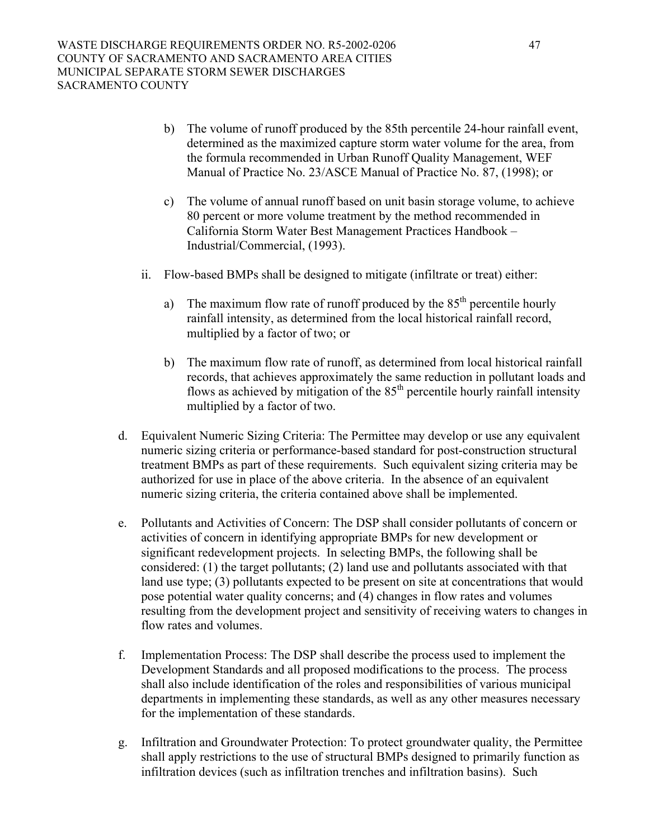- b) The volume of runoff produced by the 85th percentile 24-hour rainfall event, determined as the maximized capture storm water volume for the area, from the formula recommended in Urban Runoff Quality Management, WEF Manual of Practice No. 23/ASCE Manual of Practice No. 87, (1998); or
- c) The volume of annual runoff based on unit basin storage volume, to achieve 80 percent or more volume treatment by the method recommended in California Storm Water Best Management Practices Handbook – Industrial/Commercial, (1993).
- ii. Flow-based BMPs shall be designed to mitigate (infiltrate or treat) either:
	- a) The maximum flow rate of runoff produced by the  $85<sup>th</sup>$  percentile hourly rainfall intensity, as determined from the local historical rainfall record, multiplied by a factor of two; or
	- b) The maximum flow rate of runoff, as determined from local historical rainfall records, that achieves approximately the same reduction in pollutant loads and flows as achieved by mitigation of the  $85<sup>th</sup>$  percentile hourly rainfall intensity multiplied by a factor of two.
- d. Equivalent Numeric Sizing Criteria: The Permittee may develop or use any equivalent numeric sizing criteria or performance-based standard for post-construction structural treatment BMPs as part of these requirements. Such equivalent sizing criteria may be authorized for use in place of the above criteria. In the absence of an equivalent numeric sizing criteria, the criteria contained above shall be implemented.
- e. Pollutants and Activities of Concern: The DSP shall consider pollutants of concern or activities of concern in identifying appropriate BMPs for new development or significant redevelopment projects. In selecting BMPs, the following shall be considered: (1) the target pollutants; (2) land use and pollutants associated with that land use type; (3) pollutants expected to be present on site at concentrations that would pose potential water quality concerns; and (4) changes in flow rates and volumes resulting from the development project and sensitivity of receiving waters to changes in flow rates and volumes.
- f. Implementation Process: The DSP shall describe the process used to implement the Development Standards and all proposed modifications to the process. The process shall also include identification of the roles and responsibilities of various municipal departments in implementing these standards, as well as any other measures necessary for the implementation of these standards.
- g. Infiltration and Groundwater Protection: To protect groundwater quality, the Permittee shall apply restrictions to the use of structural BMPs designed to primarily function as infiltration devices (such as infiltration trenches and infiltration basins). Such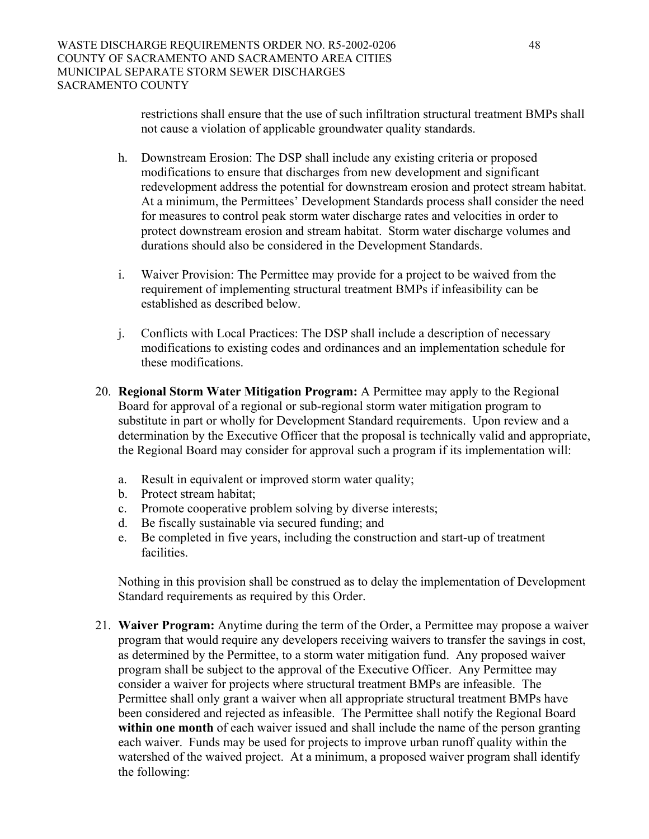restrictions shall ensure that the use of such infiltration structural treatment BMPs shall not cause a violation of applicable groundwater quality standards.

- h. Downstream Erosion: The DSP shall include any existing criteria or proposed modifications to ensure that discharges from new development and significant redevelopment address the potential for downstream erosion and protect stream habitat. At a minimum, the Permittees' Development Standards process shall consider the need for measures to control peak storm water discharge rates and velocities in order to protect downstream erosion and stream habitat. Storm water discharge volumes and durations should also be considered in the Development Standards.
- i. Waiver Provision: The Permittee may provide for a project to be waived from the requirement of implementing structural treatment BMPs if infeasibility can be established as described below.
- j. Conflicts with Local Practices: The DSP shall include a description of necessary modifications to existing codes and ordinances and an implementation schedule for these modifications.
- 20. **Regional Storm Water Mitigation Program:** A Permittee may apply to the Regional Board for approval of a regional or sub-regional storm water mitigation program to substitute in part or wholly for Development Standard requirements. Upon review and a determination by the Executive Officer that the proposal is technically valid and appropriate, the Regional Board may consider for approval such a program if its implementation will:
	- a. Result in equivalent or improved storm water quality;
	- b. Protect stream habitat;
	- c. Promote cooperative problem solving by diverse interests;
	- d. Be fiscally sustainable via secured funding; and
	- e. Be completed in five years, including the construction and start-up of treatment facilities.

 Nothing in this provision shall be construed as to delay the implementation of Development Standard requirements as required by this Order.

21. **Waiver Program:** Anytime during the term of the Order, a Permittee may propose a waiver program that would require any developers receiving waivers to transfer the savings in cost, as determined by the Permittee, to a storm water mitigation fund. Any proposed waiver program shall be subject to the approval of the Executive Officer. Any Permittee may consider a waiver for projects where structural treatment BMPs are infeasible. The Permittee shall only grant a waiver when all appropriate structural treatment BMPs have been considered and rejected as infeasible. The Permittee shall notify the Regional Board **within one month** of each waiver issued and shall include the name of the person granting each waiver. Funds may be used for projects to improve urban runoff quality within the watershed of the waived project. At a minimum, a proposed waiver program shall identify the following: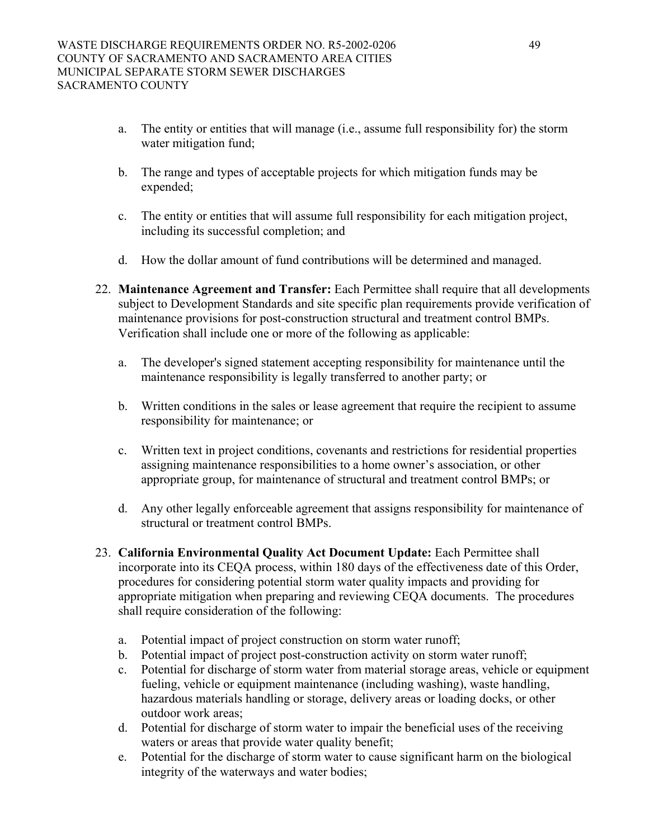- a. The entity or entities that will manage (i.e., assume full responsibility for) the storm water mitigation fund;
- b. The range and types of acceptable projects for which mitigation funds may be expended;
- c. The entity or entities that will assume full responsibility for each mitigation project, including its successful completion; and
- d. How the dollar amount of fund contributions will be determined and managed.
- 22. **Maintenance Agreement and Transfer:** Each Permittee shall require that all developments subject to Development Standards and site specific plan requirements provide verification of maintenance provisions for post-construction structural and treatment control BMPs. Verification shall include one or more of the following as applicable:
	- a. The developer's signed statement accepting responsibility for maintenance until the maintenance responsibility is legally transferred to another party; or
	- b. Written conditions in the sales or lease agreement that require the recipient to assume responsibility for maintenance; or
	- c. Written text in project conditions, covenants and restrictions for residential properties assigning maintenance responsibilities to a home owner's association, or other appropriate group, for maintenance of structural and treatment control BMPs; or
	- d. Any other legally enforceable agreement that assigns responsibility for maintenance of structural or treatment control BMPs.
- 23. **California Environmental Quality Act Document Update:** Each Permittee shall incorporate into its CEQA process, within 180 days of the effectiveness date of this Order, procedures for considering potential storm water quality impacts and providing for appropriate mitigation when preparing and reviewing CEQA documents. The procedures shall require consideration of the following:
	- a. Potential impact of project construction on storm water runoff;
	- b. Potential impact of project post-construction activity on storm water runoff;
	- c. Potential for discharge of storm water from material storage areas, vehicle or equipment fueling, vehicle or equipment maintenance (including washing), waste handling, hazardous materials handling or storage, delivery areas or loading docks, or other outdoor work areas;
	- d. Potential for discharge of storm water to impair the beneficial uses of the receiving waters or areas that provide water quality benefit;
	- e. Potential for the discharge of storm water to cause significant harm on the biological integrity of the waterways and water bodies;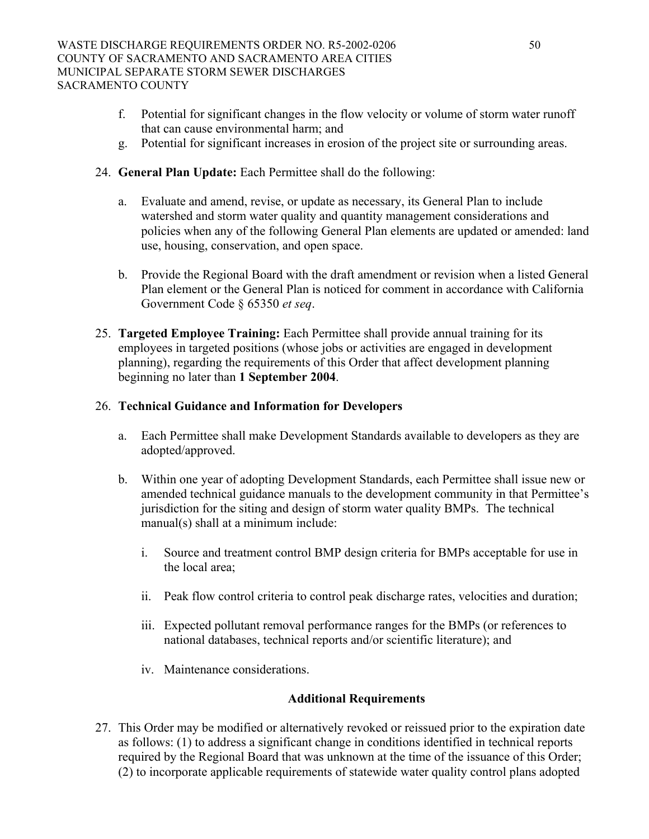- f. Potential for significant changes in the flow velocity or volume of storm water runoff that can cause environmental harm; and
- g. Potential for significant increases in erosion of the project site or surrounding areas.
- 24. **General Plan Update:** Each Permittee shall do the following:
	- a. Evaluate and amend, revise, or update as necessary, its General Plan to include watershed and storm water quality and quantity management considerations and policies when any of the following General Plan elements are updated or amended: land use, housing, conservation, and open space.
	- b. Provide the Regional Board with the draft amendment or revision when a listed General Plan element or the General Plan is noticed for comment in accordance with California Government Code § 65350 *et seq*.
- 25. **Targeted Employee Training:** Each Permittee shall provide annual training for its employees in targeted positions (whose jobs or activities are engaged in development planning), regarding the requirements of this Order that affect development planning beginning no later than **1 September 2004**.

## 26. **Technical Guidance and Information for Developers**

- a. Each Permittee shall make Development Standards available to developers as they are adopted/approved.
- b. Within one year of adopting Development Standards, each Permittee shall issue new or amended technical guidance manuals to the development community in that Permittee's jurisdiction for the siting and design of storm water quality BMPs. The technical manual(s) shall at a minimum include:
	- i. Source and treatment control BMP design criteria for BMPs acceptable for use in the local area;
	- ii. Peak flow control criteria to control peak discharge rates, velocities and duration;
	- iii. Expected pollutant removal performance ranges for the BMPs (or references to national databases, technical reports and/or scientific literature); and
	- iv. Maintenance considerations.

### **Additional Requirements**

27. This Order may be modified or alternatively revoked or reissued prior to the expiration date as follows: (1) to address a significant change in conditions identified in technical reports required by the Regional Board that was unknown at the time of the issuance of this Order; (2) to incorporate applicable requirements of statewide water quality control plans adopted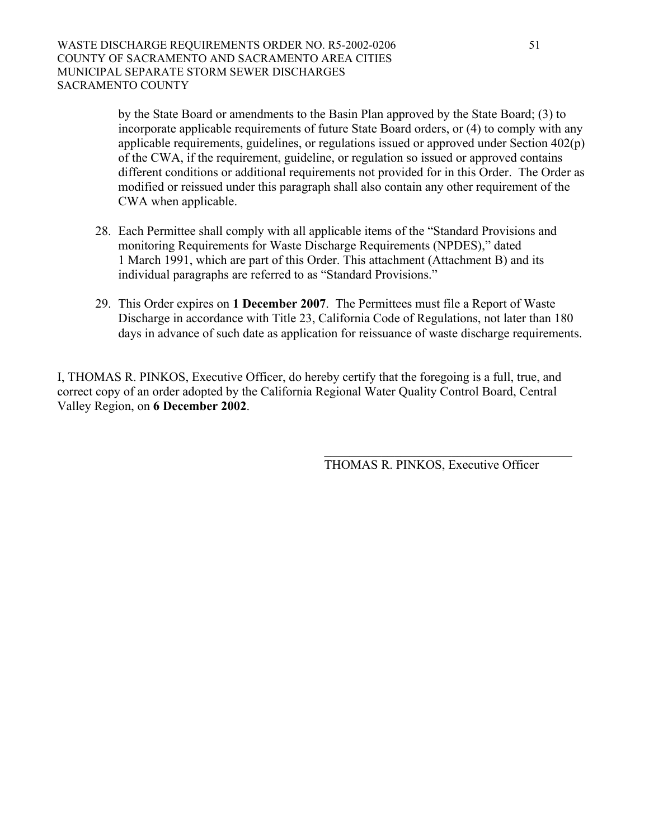by the State Board or amendments to the Basin Plan approved by the State Board; (3) to incorporate applicable requirements of future State Board orders, or (4) to comply with any applicable requirements, guidelines, or regulations issued or approved under Section 402(p) of the CWA, if the requirement, guideline, or regulation so issued or approved contains different conditions or additional requirements not provided for in this Order. The Order as modified or reissued under this paragraph shall also contain any other requirement of the CWA when applicable.

- 28. Each Permittee shall comply with all applicable items of the "Standard Provisions and monitoring Requirements for Waste Discharge Requirements (NPDES)," dated 1 March 1991, which are part of this Order. This attachment (Attachment B) and its individual paragraphs are referred to as "Standard Provisions."
- 29. This Order expires on **1 December 2007**. The Permittees must file a Report of Waste Discharge in accordance with Title 23, California Code of Regulations, not later than 180 days in advance of such date as application for reissuance of waste discharge requirements.

 $\mathcal{L}_\text{max}$  and  $\mathcal{L}_\text{max}$  and  $\mathcal{L}_\text{max}$  and  $\mathcal{L}_\text{max}$  and  $\mathcal{L}_\text{max}$ 

I, THOMAS R. PINKOS, Executive Officer, do hereby certify that the foregoing is a full, true, and correct copy of an order adopted by the California Regional Water Quality Control Board, Central Valley Region, on **6 December 2002**.

THOMAS R. PINKOS, Executive Officer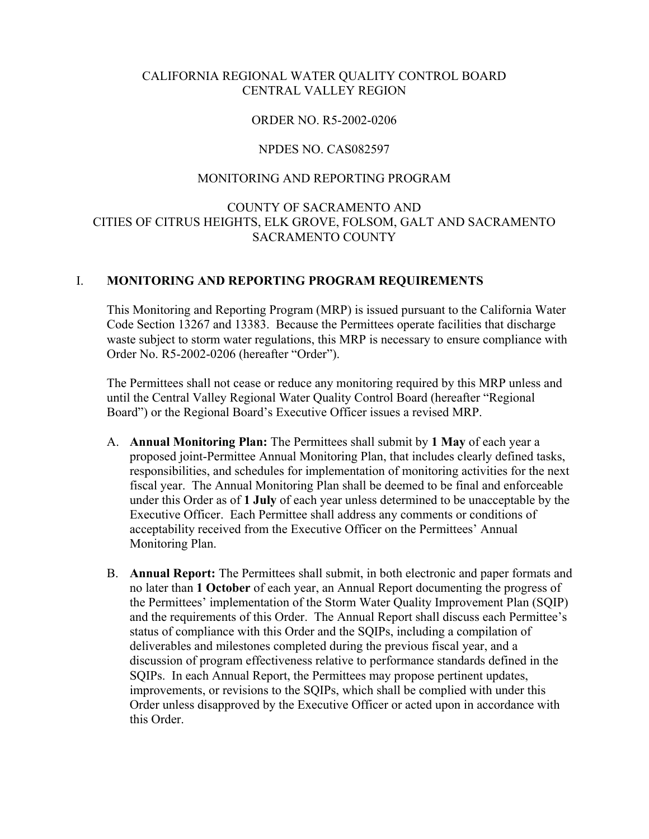## CALIFORNIA REGIONAL WATER QUALITY CONTROL BOARD CENTRAL VALLEY REGION

### ORDER NO. R5-2002-0206

### NPDES NO. CAS082597

### MONITORING AND REPORTING PROGRAM

## COUNTY OF SACRAMENTO AND CITIES OF CITRUS HEIGHTS, ELK GROVE, FOLSOM, GALT AND SACRAMENTO SACRAMENTO COUNTY

### I. **MONITORING AND REPORTING PROGRAM REQUIREMENTS**

This Monitoring and Reporting Program (MRP) is issued pursuant to the California Water Code Section 13267 and 13383. Because the Permittees operate facilities that discharge waste subject to storm water regulations, this MRP is necessary to ensure compliance with Order No. R5-2002-0206 (hereafter "Order").

The Permittees shall not cease or reduce any monitoring required by this MRP unless and until the Central Valley Regional Water Quality Control Board (hereafter "Regional Board") or the Regional Board's Executive Officer issues a revised MRP.

- A. **Annual Monitoring Plan:** The Permittees shall submit by **1 May** of each year a proposed joint-Permittee Annual Monitoring Plan, that includes clearly defined tasks, responsibilities, and schedules for implementation of monitoring activities for the next fiscal year. The Annual Monitoring Plan shall be deemed to be final and enforceable under this Order as of **1 July** of each year unless determined to be unacceptable by the Executive Officer. Each Permittee shall address any comments or conditions of acceptability received from the Executive Officer on the Permittees' Annual Monitoring Plan.
- B. **Annual Report:** The Permittees shall submit, in both electronic and paper formats and no later than **1 October** of each year, an Annual Report documenting the progress of the Permittees' implementation of the Storm Water Quality Improvement Plan (SQIP) and the requirements of this Order. The Annual Report shall discuss each Permittee's status of compliance with this Order and the SQIPs, including a compilation of deliverables and milestones completed during the previous fiscal year, and a discussion of program effectiveness relative to performance standards defined in the SQIPs. In each Annual Report, the Permittees may propose pertinent updates, improvements, or revisions to the SQIPs, which shall be complied with under this Order unless disapproved by the Executive Officer or acted upon in accordance with this Order.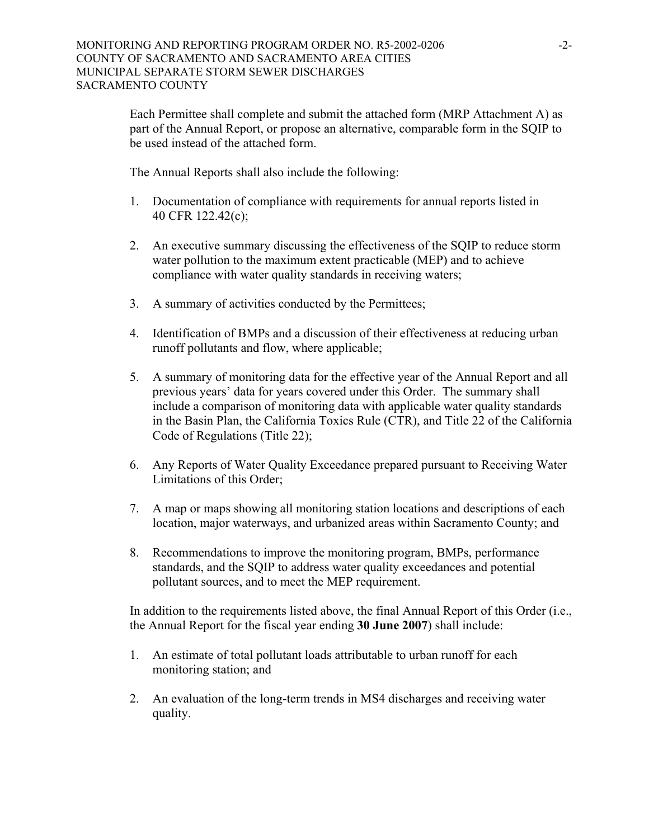Each Permittee shall complete and submit the attached form (MRP Attachment A) as part of the Annual Report, or propose an alternative, comparable form in the SQIP to be used instead of the attached form.

The Annual Reports shall also include the following:

- 1. Documentation of compliance with requirements for annual reports listed in 40 CFR 122.42(c);
- 2. An executive summary discussing the effectiveness of the SQIP to reduce storm water pollution to the maximum extent practicable (MEP) and to achieve compliance with water quality standards in receiving waters;
- 3. A summary of activities conducted by the Permittees;
- 4. Identification of BMPs and a discussion of their effectiveness at reducing urban runoff pollutants and flow, where applicable;
- 5. A summary of monitoring data for the effective year of the Annual Report and all previous years' data for years covered under this Order. The summary shall include a comparison of monitoring data with applicable water quality standards in the Basin Plan, the California Toxics Rule (CTR), and Title 22 of the California Code of Regulations (Title 22);
- 6. Any Reports of Water Quality Exceedance prepared pursuant to Receiving Water Limitations of this Order;
- 7. A map or maps showing all monitoring station locations and descriptions of each location, major waterways, and urbanized areas within Sacramento County; and
- 8. Recommendations to improve the monitoring program, BMPs, performance standards, and the SQIP to address water quality exceedances and potential pollutant sources, and to meet the MEP requirement.

In addition to the requirements listed above, the final Annual Report of this Order (i.e., the Annual Report for the fiscal year ending **30 June 2007**) shall include:

- 1. An estimate of total pollutant loads attributable to urban runoff for each monitoring station; and
- 2. An evaluation of the long-term trends in MS4 discharges and receiving water quality.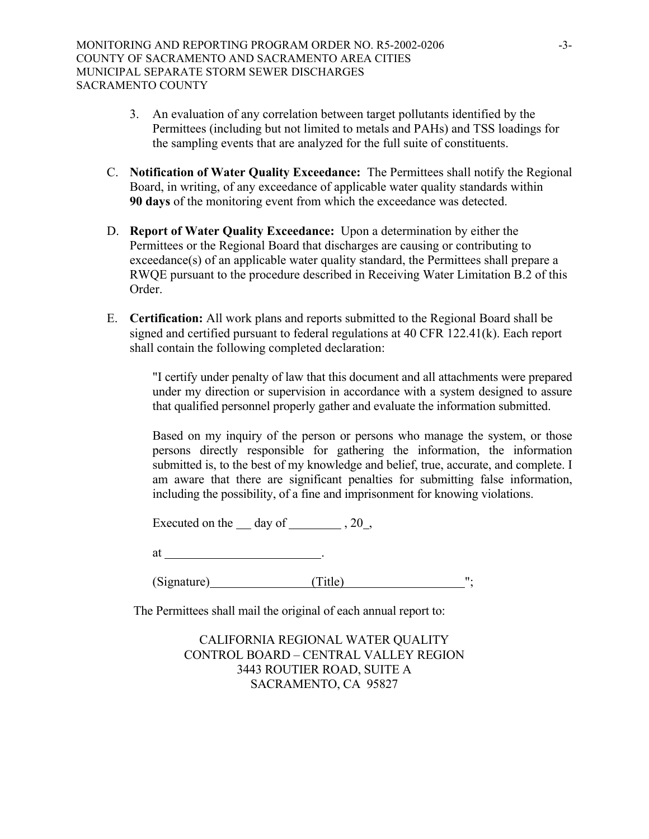- 3. An evaluation of any correlation between target pollutants identified by the Permittees (including but not limited to metals and PAHs) and TSS loadings for the sampling events that are analyzed for the full suite of constituents.
- C. **Notification of Water Quality Exceedance:** The Permittees shall notify the Regional Board, in writing, of any exceedance of applicable water quality standards within **90 days** of the monitoring event from which the exceedance was detected.
- D. **Report of Water Quality Exceedance:** Upon a determination by either the Permittees or the Regional Board that discharges are causing or contributing to exceedance(s) of an applicable water quality standard, the Permittees shall prepare a RWQE pursuant to the procedure described in Receiving Water Limitation B.2 of this Order.
- E. **Certification:** All work plans and reports submitted to the Regional Board shall be signed and certified pursuant to federal regulations at 40 CFR 122.41(k). Each report shall contain the following completed declaration:

"I certify under penalty of law that this document and all attachments were prepared under my direction or supervision in accordance with a system designed to assure that qualified personnel properly gather and evaluate the information submitted.

 Based on my inquiry of the person or persons who manage the system, or those persons directly responsible for gathering the information, the information submitted is, to the best of my knowledge and belief, true, accurate, and complete. I am aware that there are significant penalties for submitting false information, including the possibility, of a fine and imprisonment for knowing violations.

Executed on the  $\_\_$  day of  $\_\_$ , 20,

at .

(Signature) (Title) ";

The Permittees shall mail the original of each annual report to:

 CALIFORNIA REGIONAL WATER QUALITY CONTROL BOARD – CENTRAL VALLEY REGION 3443 ROUTIER ROAD, SUITE A SACRAMENTO, CA 95827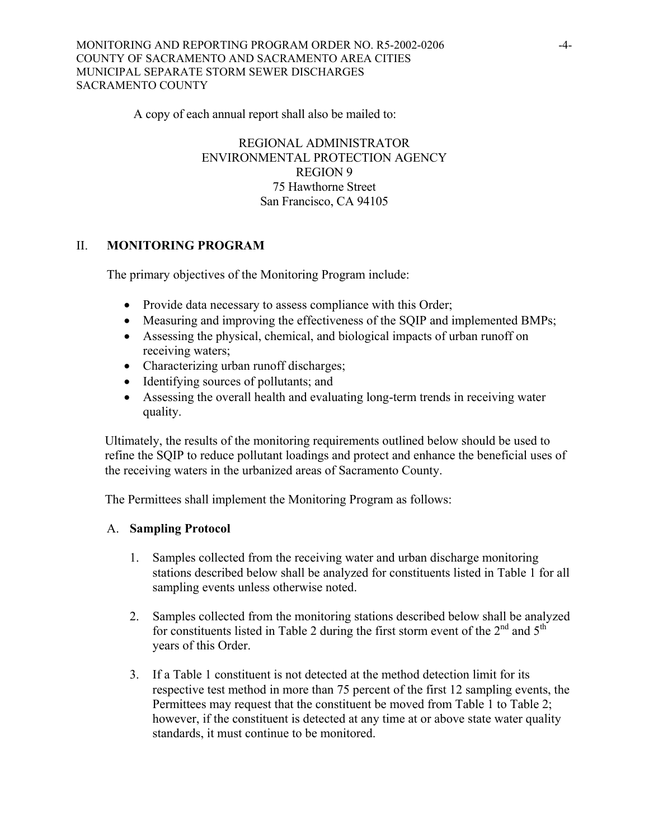MONITORING AND REPORTING PROGRAM ORDER NO. R5-2002-0206 -4- COUNTY OF SACRAMENTO AND SACRAMENTO AREA CITIES MUNICIPAL SEPARATE STORM SEWER DISCHARGES SACRAMENTO COUNTY

A copy of each annual report shall also be mailed to:

 REGIONAL ADMINISTRATOR ENVIRONMENTAL PROTECTION AGENCY REGION 9 75 Hawthorne Street San Francisco, CA 94105

## II. **MONITORING PROGRAM**

The primary objectives of the Monitoring Program include:

- Provide data necessary to assess compliance with this Order;
- Measuring and improving the effectiveness of the SQIP and implemented BMPs;
- Assessing the physical, chemical, and biological impacts of urban runoff on receiving waters;
- Characterizing urban runoff discharges;
- Identifying sources of pollutants; and
- Assessing the overall health and evaluating long-term trends in receiving water quality.

Ultimately, the results of the monitoring requirements outlined below should be used to refine the SQIP to reduce pollutant loadings and protect and enhance the beneficial uses of the receiving waters in the urbanized areas of Sacramento County.

The Permittees shall implement the Monitoring Program as follows:

### A. **Sampling Protocol**

- 1. Samples collected from the receiving water and urban discharge monitoring stations described below shall be analyzed for constituents listed in Table 1 for all sampling events unless otherwise noted.
- 2. Samples collected from the monitoring stations described below shall be analyzed for constituents listed in Table 2 during the first storm event of the  $2<sup>nd</sup>$  and  $5<sup>th</sup>$ years of this Order.
- 3. If a Table 1 constituent is not detected at the method detection limit for its respective test method in more than 75 percent of the first 12 sampling events, the Permittees may request that the constituent be moved from Table 1 to Table 2; however, if the constituent is detected at any time at or above state water quality standards, it must continue to be monitored.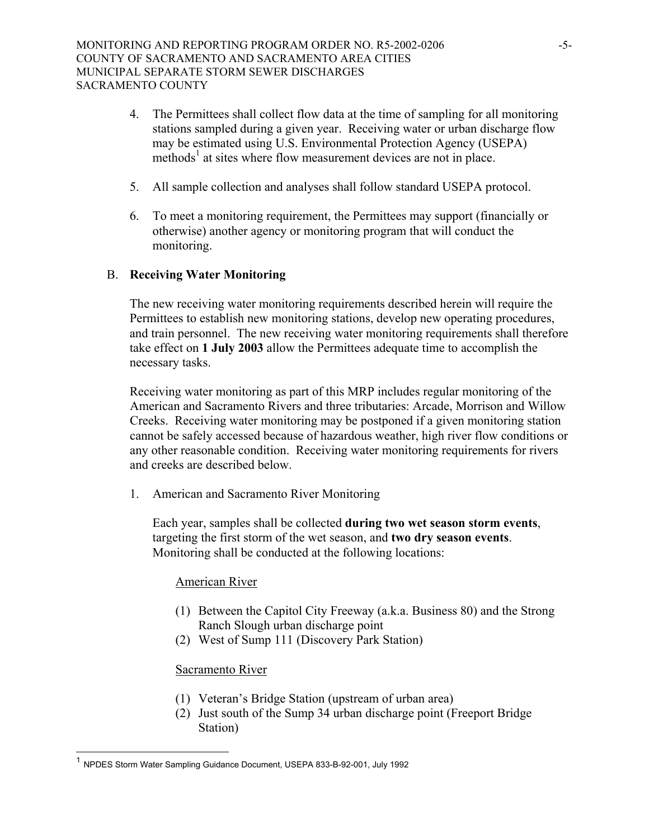- 4. The Permittees shall collect flow data at the time of sampling for all monitoring stations sampled during a given year. Receiving water or urban discharge flow may be estimated using U.S. Environmental Protection Agency (USEPA) methods<sup>[1](#page-55-0)</sup> at sites where flow measurement devices are not in place.
- 5. All sample collection and analyses shall follow standard USEPA protocol.
- 6. To meet a monitoring requirement, the Permittees may support (financially or otherwise) another agency or monitoring program that will conduct the monitoring.

## B. **Receiving Water Monitoring**

The new receiving water monitoring requirements described herein will require the Permittees to establish new monitoring stations, develop new operating procedures, and train personnel. The new receiving water monitoring requirements shall therefore take effect on **1 July 2003** allow the Permittees adequate time to accomplish the necessary tasks.

Receiving water monitoring as part of this MRP includes regular monitoring of the American and Sacramento Rivers and three tributaries: Arcade, Morrison and Willow Creeks. Receiving water monitoring may be postponed if a given monitoring station cannot be safely accessed because of hazardous weather, high river flow conditions or any other reasonable condition. Receiving water monitoring requirements for rivers and creeks are described below.

1. American and Sacramento River Monitoring

Each year, samples shall be collected **during two wet season storm events**, targeting the first storm of the wet season, and **two dry season events**. Monitoring shall be conducted at the following locations:

### American River

- (1) Between the Capitol City Freeway (a.k.a. Business 80) and the Strong Ranch Slough urban discharge point
- (2) West of Sump 111 (Discovery Park Station)

### Sacramento River

 $\overline{\phantom{a}}$ 

- (1) Veteran's Bridge Station (upstream of urban area)
- (2) Just south of the Sump 34 urban discharge point (Freeport Bridge Station)

<span id="page-55-0"></span><sup>1</sup> NPDES Storm Water Sampling Guidance Document, USEPA 833-B-92-001, July 1992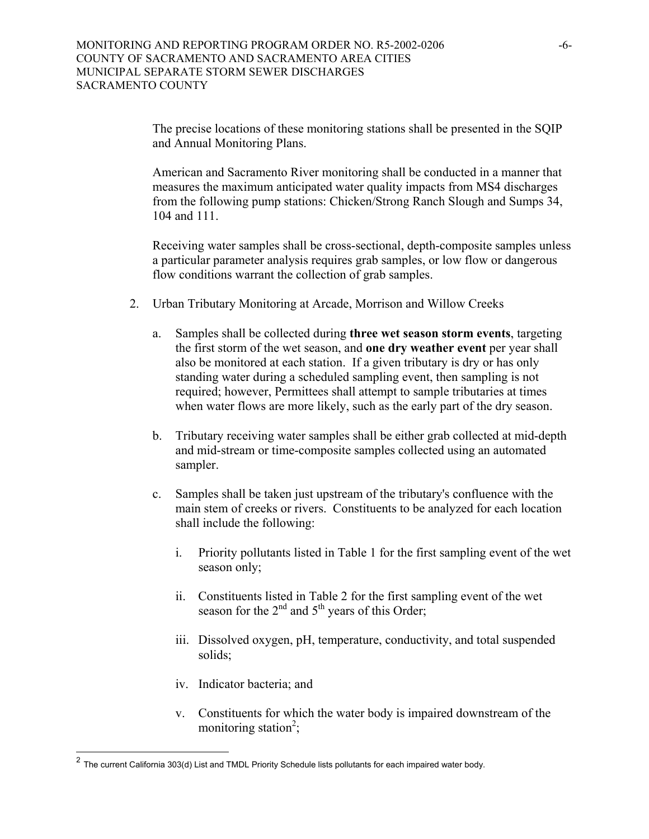The precise locations of these monitoring stations shall be presented in the SQIP and Annual Monitoring Plans.

 American and Sacramento River monitoring shall be conducted in a manner that measures the maximum anticipated water quality impacts from MS4 discharges from the following pump stations: Chicken/Strong Ranch Slough and Sumps 34, 104 and 111.

 Receiving water samples shall be cross-sectional, depth-composite samples unless a particular parameter analysis requires grab samples, or low flow or dangerous flow conditions warrant the collection of grab samples.

- 2. Urban Tributary Monitoring at Arcade, Morrison and Willow Creeks
	- a. Samples shall be collected during **three wet season storm events**, targeting the first storm of the wet season, and **one dry weather event** per year shall also be monitored at each station. If a given tributary is dry or has only standing water during a scheduled sampling event, then sampling is not required; however, Permittees shall attempt to sample tributaries at times when water flows are more likely, such as the early part of the dry season.
	- b. Tributary receiving water samples shall be either grab collected at mid-depth and mid-stream or time-composite samples collected using an automated sampler.
	- c. Samples shall be taken just upstream of the tributary's confluence with the main stem of creeks or rivers. Constituents to be analyzed for each location shall include the following:
		- i. Priority pollutants listed in Table 1 for the first sampling event of the wet season only;
		- ii. Constituents listed in Table 2 for the first sampling event of the wet season for the  $2<sup>nd</sup>$  and  $5<sup>th</sup>$  years of this Order;
		- iii. Dissolved oxygen, pH, temperature, conductivity, and total suspended solids;
		- iv. Indicator bacteria; and

 $\overline{\phantom{a}}$ 

v. Constituents for which the water body is impaired downstream of the monitoring station<sup>[2](#page-56-0)</sup>;

<span id="page-56-0"></span> $^2$  The current California 303(d) List and TMDL Priority Schedule lists pollutants for each impaired water body.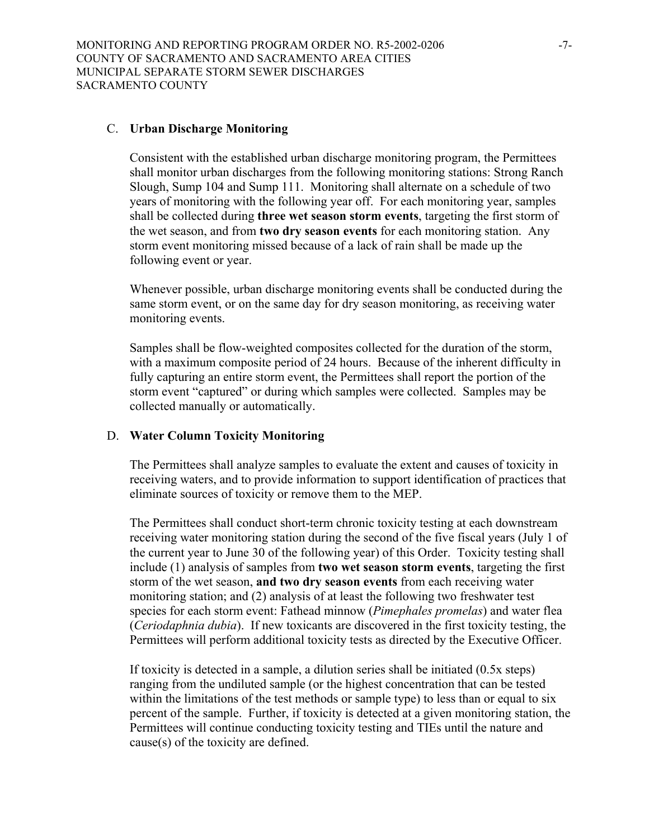#### C. **Urban Discharge Monitoring**

Consistent with the established urban discharge monitoring program, the Permittees shall monitor urban discharges from the following monitoring stations: Strong Ranch Slough, Sump 104 and Sump 111. Monitoring shall alternate on a schedule of two years of monitoring with the following year off. For each monitoring year, samples shall be collected during **three wet season storm events**, targeting the first storm of the wet season, and from **two dry season events** for each monitoring station. Any storm event monitoring missed because of a lack of rain shall be made up the following event or year.

Whenever possible, urban discharge monitoring events shall be conducted during the same storm event, or on the same day for dry season monitoring, as receiving water monitoring events.

Samples shall be flow-weighted composites collected for the duration of the storm, with a maximum composite period of 24 hours. Because of the inherent difficulty in fully capturing an entire storm event, the Permittees shall report the portion of the storm event "captured" or during which samples were collected. Samples may be collected manually or automatically.

#### D. **Water Column Toxicity Monitoring**

The Permittees shall analyze samples to evaluate the extent and causes of toxicity in receiving waters, and to provide information to support identification of practices that eliminate sources of toxicity or remove them to the MEP.

The Permittees shall conduct short-term chronic toxicity testing at each downstream receiving water monitoring station during the second of the five fiscal years (July 1 of the current year to June 30 of the following year) of this Order. Toxicity testing shall include (1) analysis of samples from **two wet season storm events**, targeting the first storm of the wet season, **and two dry season events** from each receiving water monitoring station; and (2) analysis of at least the following two freshwater test species for each storm event: Fathead minnow (*Pimephales promelas*) and water flea (*Ceriodaphnia dubia*). If new toxicants are discovered in the first toxicity testing, the Permittees will perform additional toxicity tests as directed by the Executive Officer.

If toxicity is detected in a sample, a dilution series shall be initiated (0.5x steps) ranging from the undiluted sample (or the highest concentration that can be tested within the limitations of the test methods or sample type) to less than or equal to six percent of the sample. Further, if toxicity is detected at a given monitoring station, the Permittees will continue conducting toxicity testing and TIEs until the nature and cause(s) of the toxicity are defined.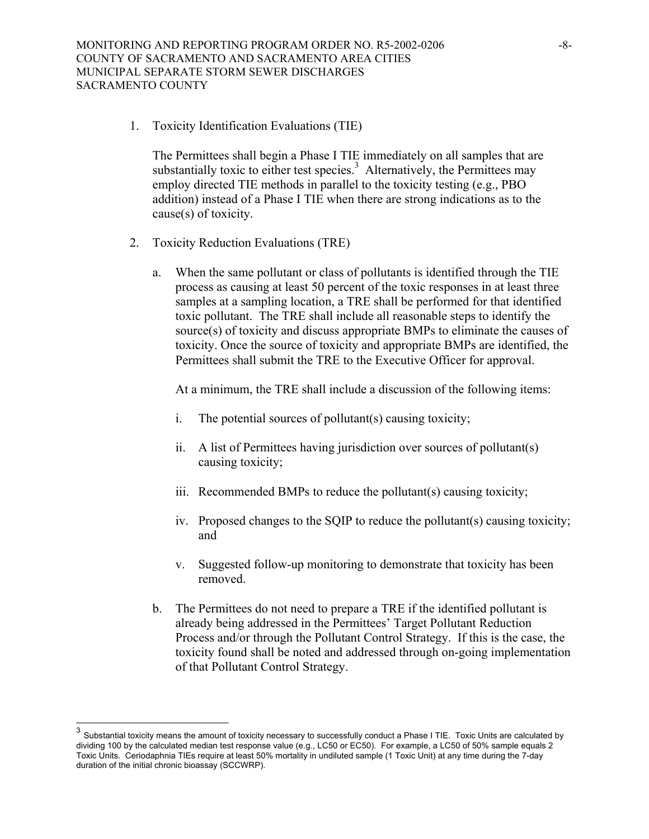1. Toxicity Identification Evaluations (TIE)

The Permittees shall begin a Phase I TIE immediately on all samples that are substantially toxic to either test species. $3$  Alternatively, the Permittees may employ directed TIE methods in parallel to the toxicity testing (e.g., PBO addition) instead of a Phase I TIE when there are strong indications as to the cause(s) of toxicity.

- 2. Toxicity Reduction Evaluations (TRE)
	- a. When the same pollutant or class of pollutants is identified through the TIE process as causing at least 50 percent of the toxic responses in at least three samples at a sampling location, a TRE shall be performed for that identified toxic pollutant. The TRE shall include all reasonable steps to identify the source(s) of toxicity and discuss appropriate BMPs to eliminate the causes of toxicity. Once the source of toxicity and appropriate BMPs are identified, the Permittees shall submit the TRE to the Executive Officer for approval.

At a minimum, the TRE shall include a discussion of the following items:

- i. The potential sources of pollutant(s) causing toxicity;
- ii. A list of Permittees having jurisdiction over sources of pollutant(s) causing toxicity;
- iii. Recommended BMPs to reduce the pollutant(s) causing toxicity;
- iv. Proposed changes to the SQIP to reduce the pollutant(s) causing toxicity; and
- v. Suggested follow-up monitoring to demonstrate that toxicity has been removed.
- b. The Permittees do not need to prepare a TRE if the identified pollutant is already being addressed in the Permittees' Target Pollutant Reduction Process and/or through the Pollutant Control Strategy. If this is the case, the toxicity found shall be noted and addressed through on-going implementation of that Pollutant Control Strategy.

l

<span id="page-58-0"></span><sup>&</sup>lt;sup>3</sup> Substantial toxicity means the amount of toxicity necessary to successfully conduct a Phase I TIE. Toxic Units are calculated by dividing 100 by the calculated median test response value (e.g., LC50 or EC50). For example, a LC50 of 50% sample equals 2 Toxic Units. Ceriodaphnia TIEs require at least 50% mortality in undiluted sample (1 Toxic Unit) at any time during the 7-day duration of the initial chronic bioassay (SCCWRP).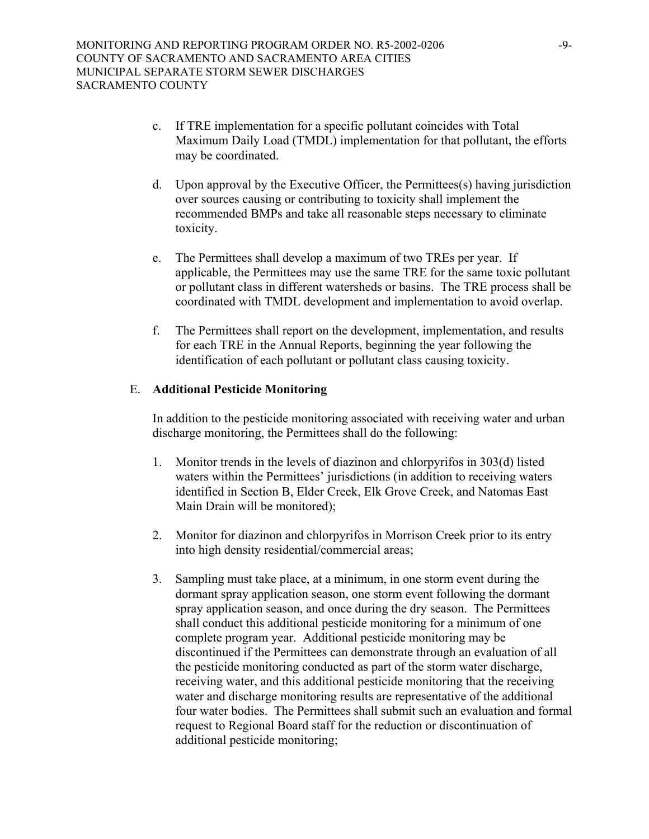- c. If TRE implementation for a specific pollutant coincides with Total Maximum Daily Load (TMDL) implementation for that pollutant, the efforts may be coordinated.
- d. Upon approval by the Executive Officer, the Permittees(s) having jurisdiction over sources causing or contributing to toxicity shall implement the recommended BMPs and take all reasonable steps necessary to eliminate toxicity.
- e. The Permittees shall develop a maximum of two TREs per year. If applicable, the Permittees may use the same TRE for the same toxic pollutant or pollutant class in different watersheds or basins. The TRE process shall be coordinated with TMDL development and implementation to avoid overlap.
- f. The Permittees shall report on the development, implementation, and results for each TRE in the Annual Reports, beginning the year following the identification of each pollutant or pollutant class causing toxicity.

#### E. **Additional Pesticide Monitoring**

In addition to the pesticide monitoring associated with receiving water and urban discharge monitoring, the Permittees shall do the following:

- 1. Monitor trends in the levels of diazinon and chlorpyrifos in 303(d) listed waters within the Permittees' jurisdictions (in addition to receiving waters identified in Section B, Elder Creek, Elk Grove Creek, and Natomas East Main Drain will be monitored);
- 2. Monitor for diazinon and chlorpyrifos in Morrison Creek prior to its entry into high density residential/commercial areas;
- 3. Sampling must take place, at a minimum, in one storm event during the dormant spray application season, one storm event following the dormant spray application season, and once during the dry season. The Permittees shall conduct this additional pesticide monitoring for a minimum of one complete program year. Additional pesticide monitoring may be discontinued if the Permittees can demonstrate through an evaluation of all the pesticide monitoring conducted as part of the storm water discharge, receiving water, and this additional pesticide monitoring that the receiving water and discharge monitoring results are representative of the additional four water bodies. The Permittees shall submit such an evaluation and formal request to Regional Board staff for the reduction or discontinuation of additional pesticide monitoring;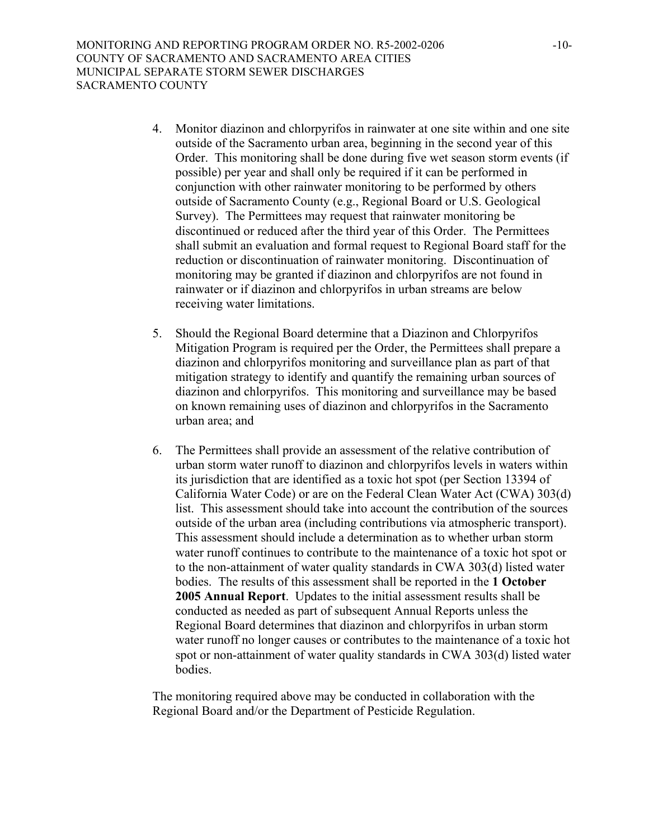- 4. Monitor diazinon and chlorpyrifos in rainwater at one site within and one site outside of the Sacramento urban area, beginning in the second year of this Order. This monitoring shall be done during five wet season storm events (if possible) per year and shall only be required if it can be performed in conjunction with other rainwater monitoring to be performed by others outside of Sacramento County (e.g., Regional Board or U.S. Geological Survey). The Permittees may request that rainwater monitoring be discontinued or reduced after the third year of this Order. The Permittees shall submit an evaluation and formal request to Regional Board staff for the reduction or discontinuation of rainwater monitoring. Discontinuation of monitoring may be granted if diazinon and chlorpyrifos are not found in rainwater or if diazinon and chlorpyrifos in urban streams are below receiving water limitations.
- 5. Should the Regional Board determine that a Diazinon and Chlorpyrifos Mitigation Program is required per the Order, the Permittees shall prepare a diazinon and chlorpyrifos monitoring and surveillance plan as part of that mitigation strategy to identify and quantify the remaining urban sources of diazinon and chlorpyrifos. This monitoring and surveillance may be based on known remaining uses of diazinon and chlorpyrifos in the Sacramento urban area; and
- 6. The Permittees shall provide an assessment of the relative contribution of urban storm water runoff to diazinon and chlorpyrifos levels in waters within its jurisdiction that are identified as a toxic hot spot (per Section 13394 of California Water Code) or are on the Federal Clean Water Act (CWA) 303(d) list. This assessment should take into account the contribution of the sources outside of the urban area (including contributions via atmospheric transport). This assessment should include a determination as to whether urban storm water runoff continues to contribute to the maintenance of a toxic hot spot or to the non-attainment of water quality standards in CWA 303(d) listed water bodies. The results of this assessment shall be reported in the **1 October 2005 Annual Report**. Updates to the initial assessment results shall be conducted as needed as part of subsequent Annual Reports unless the Regional Board determines that diazinon and chlorpyrifos in urban storm water runoff no longer causes or contributes to the maintenance of a toxic hot spot or non-attainment of water quality standards in CWA 303(d) listed water bodies.

The monitoring required above may be conducted in collaboration with the Regional Board and/or the Department of Pesticide Regulation.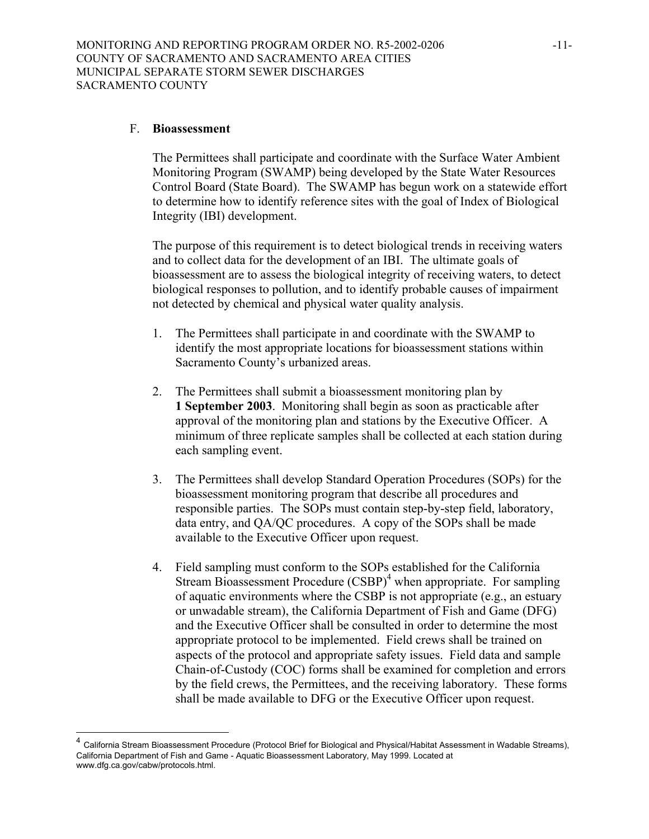#### F. **Bioassessment**

 $\overline{\phantom{a}}$ 

The Permittees shall participate and coordinate with the Surface Water Ambient Monitoring Program (SWAMP) being developed by the State Water Resources Control Board (State Board). The SWAMP has begun work on a statewide effort to determine how to identify reference sites with the goal of Index of Biological Integrity (IBI) development.

The purpose of this requirement is to detect biological trends in receiving waters and to collect data for the development of an IBI. The ultimate goals of bioassessment are to assess the biological integrity of receiving waters, to detect biological responses to pollution, and to identify probable causes of impairment not detected by chemical and physical water quality analysis.

- 1. The Permittees shall participate in and coordinate with the SWAMP to identify the most appropriate locations for bioassessment stations within Sacramento County's urbanized areas.
- 2. The Permittees shall submit a bioassessment monitoring plan by **1 September 2003**. Monitoring shall begin as soon as practicable after approval of the monitoring plan and stations by the Executive Officer. A minimum of three replicate samples shall be collected at each station during each sampling event.
- 3. The Permittees shall develop Standard Operation Procedures (SOPs) for the bioassessment monitoring program that describe all procedures and responsible parties. The SOPs must contain step-by-step field, laboratory, data entry, and QA/QC procedures. A copy of the SOPs shall be made available to the Executive Officer upon request.
- 4. Field sampling must conform to the SOPs established for the California Stream Bioassessment Procedure  $(CSBP)^4$  when appropriate. For sampling of aquatic environments where the CSBP is not appropriate (e.g., an estuary or unwadable stream), the California Department of Fish and Game (DFG) and the Executive Officer shall be consulted in order to determine the most appropriate protocol to be implemented. Field crews shall be trained on aspects of the protocol and appropriate safety issues. Field data and sample Chain-of-Custody (COC) forms shall be examined for completion and errors by the field crews, the Permittees, and the receiving laboratory. These forms shall be made available to DFG or the Executive Officer upon request.

<span id="page-61-0"></span><sup>4</sup> California Stream Bioassessment Procedure (Protocol Brief for Biological and Physical/Habitat Assessment in Wadable Streams), California Department of Fish and Game - Aquatic Bioassessment Laboratory, May 1999. Located at www.dfg.ca.gov/cabw/protocols.html.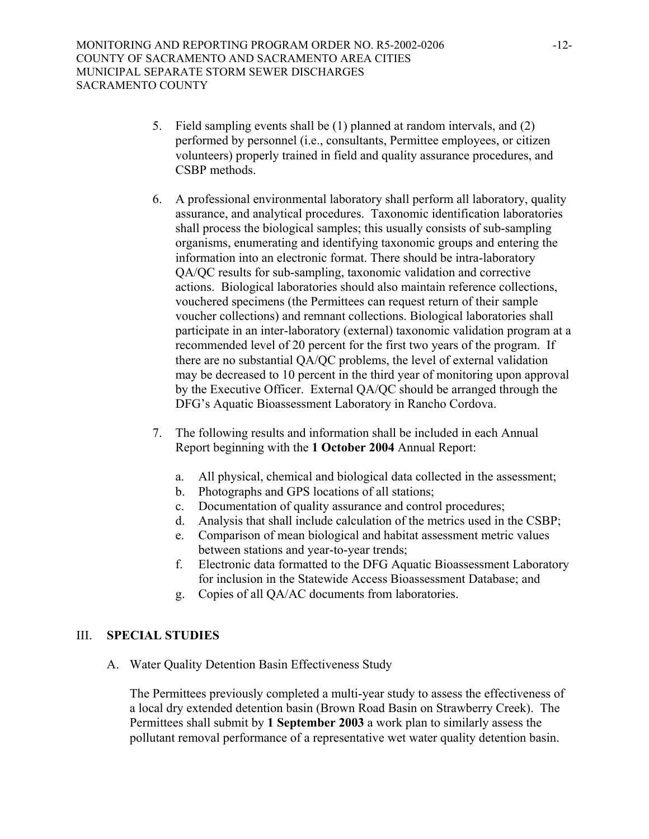- 5. Field sampling events shall be (1) planned at random intervals, and (2) performed by personnel (i.e., consultants, Permittee employees, or citizen volunteers) properly trained in field and quality assurance procedures, and CSBP methods.
- 6. A professional environmental laboratory shall perform all laboratory, quality assurance, and analytical procedures. Taxonomic identification laboratories shall process the biological samples; this usually consists of sub-sampling organisms, enumerating and identifying taxonomic groups and entering the information into an electronic format. There should be intra-laboratory QA/QC results for sub-sampling, taxonomic validation and corrective actions. Biological laboratories should also maintain reference collections, vouchered specimens (the Permittees can request return of their sample voucher collections) and remnant collections. Biological laboratories shall participate in an inter-laboratory (external) taxonomic validation program at a recommended level of 20 percent for the first two years of the program. If there are no substantial QA/QC problems, the level of external validation may be decreased to 10 percent in the third year of monitoring upon approval by the Executive Officer. External QA/QC should be arranged through the DFG's Aquatic Bioassessment Laboratory in Rancho Cordova.
- 7. The following results and information shall be included in each Annual Report beginning with the **1 October 2004** Annual Report:
	- a. All physical, chemical and biological data collected in the assessment;
	- b. Photographs and GPS locations of all stations;
	- c. Documentation of quality assurance and control procedures;
	- d. Analysis that shall include calculation of the metrics used in the CSBP;
	- e. Comparison of mean biological and habitat assessment metric values between stations and year-to-year trends;
	- f. Electronic data formatted to the DFG Aquatic Bioassessment Laboratory for inclusion in the Statewide Access Bioassessment Database; and
	- g. Copies of all QA/AC documents from laboratories.

### III. **SPECIAL STUDIES**

A. Water Quality Detention Basin Effectiveness Study

The Permittees previously completed a multi-year study to assess the effectiveness of a local dry extended detention basin (Brown Road Basin on Strawberry Creek). The Permittees shall submit by **1 September 2003** a work plan to similarly assess the pollutant removal performance of a representative wet water quality detention basin.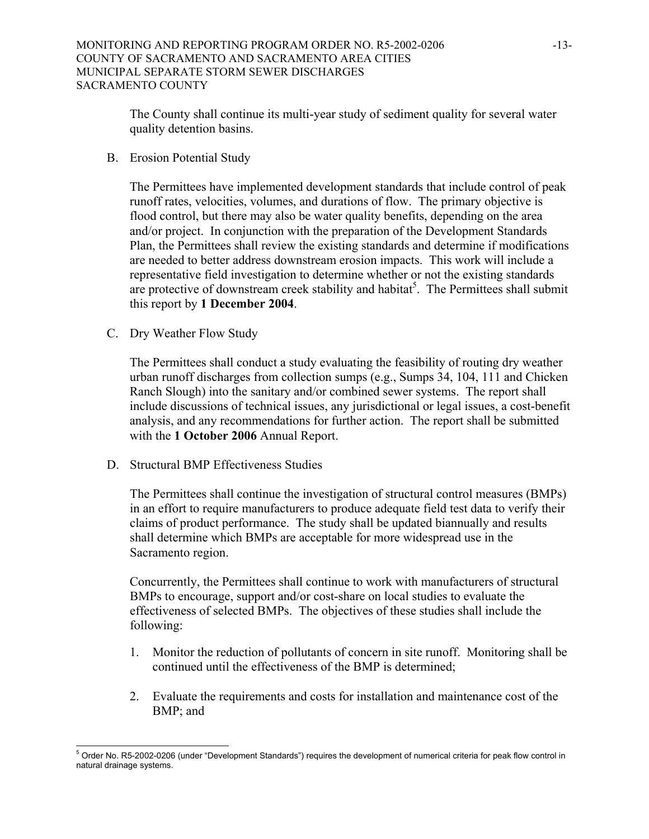The County shall continue its multi-year study of sediment quality for several water quality detention basins.

B. Erosion Potential Study

The Permittees have implemented development standards that include control of peak runoff rates, velocities, volumes, and durations of flow. The primary objective is flood control, but there may also be water quality benefits, depending on the area and/or project. In conjunction with the preparation of the Development Standards Plan, the Permittees shall review the existing standards and determine if modifications are needed to better address downstream erosion impacts. This work will include a representative field investigation to determine whether or not the existing standards are protective of downstream creek stability and habitat<sup>[5](#page-63-0)</sup>. The Permittees shall submit this report by **1 December 2004**.

C. Dry Weather Flow Study

The Permittees shall conduct a study evaluating the feasibility of routing dry weather urban runoff discharges from collection sumps (e.g., Sumps 34, 104, 111 and Chicken Ranch Slough) into the sanitary and/or combined sewer systems. The report shall include discussions of technical issues, any jurisdictional or legal issues, a cost-benefit analysis, and any recommendations for further action. The report shall be submitted with the **1 October 2006** Annual Report.

D. Structural BMP Effectiveness Studies

The Permittees shall continue the investigation of structural control measures (BMPs) in an effort to require manufacturers to produce adequate field test data to verify their claims of product performance. The study shall be updated biannually and results shall determine which BMPs are acceptable for more widespread use in the Sacramento region.

Concurrently, the Permittees shall continue to work with manufacturers of structural BMPs to encourage, support and/or cost-share on local studies to evaluate the effectiveness of selected BMPs. The objectives of these studies shall include the following:

- 1. Monitor the reduction of pollutants of concern in site runoff. Monitoring shall be continued until the effectiveness of the BMP is determined;
- 2. Evaluate the requirements and costs for installation and maintenance cost of the BMP; and

<span id="page-63-0"></span> $\overline{\phantom{a}}$ <sup>5</sup> Order No. R5-2002-0206 (under "Development Standards") requires the development of numerical criteria for peak flow control in natural drainage systems.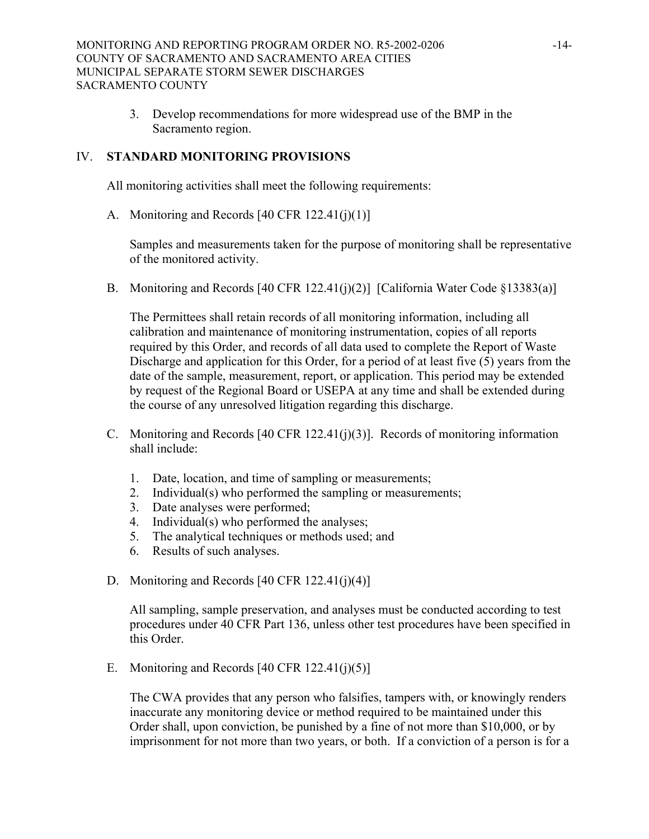3. Develop recommendations for more widespread use of the BMP in the Sacramento region.

## IV. **STANDARD MONITORING PROVISIONS**

All monitoring activities shall meet the following requirements:

A. Monitoring and Records [40 CFR 122.41(j)(1)]

Samples and measurements taken for the purpose of monitoring shall be representative of the monitored activity.

B. Monitoring and Records [40 CFR 122.41(j)(2)] [California Water Code §13383(a)]

The Permittees shall retain records of all monitoring information, including all calibration and maintenance of monitoring instrumentation, copies of all reports required by this Order, and records of all data used to complete the Report of Waste Discharge and application for this Order, for a period of at least five (5) years from the date of the sample, measurement, report, or application. This period may be extended by request of the Regional Board or USEPA at any time and shall be extended during the course of any unresolved litigation regarding this discharge.

- C. Monitoring and Records [40 CFR 122.41(j)(3)]. Records of monitoring information shall include:
	- 1. Date, location, and time of sampling or measurements;
	- 2. Individual(s) who performed the sampling or measurements;
	- 3. Date analyses were performed;
	- 4. Individual(s) who performed the analyses;
	- 5. The analytical techniques or methods used; and
	- 6. Results of such analyses.
- D. Monitoring and Records [40 CFR 122.41(j)(4)]

All sampling, sample preservation, and analyses must be conducted according to test procedures under 40 CFR Part 136, unless other test procedures have been specified in this Order.

E. Monitoring and Records  $[40 \text{ CFR } 122.41(i)(5)]$ 

The CWA provides that any person who falsifies, tampers with, or knowingly renders inaccurate any monitoring device or method required to be maintained under this Order shall, upon conviction, be punished by a fine of not more than \$10,000, or by imprisonment for not more than two years, or both. If a conviction of a person is for a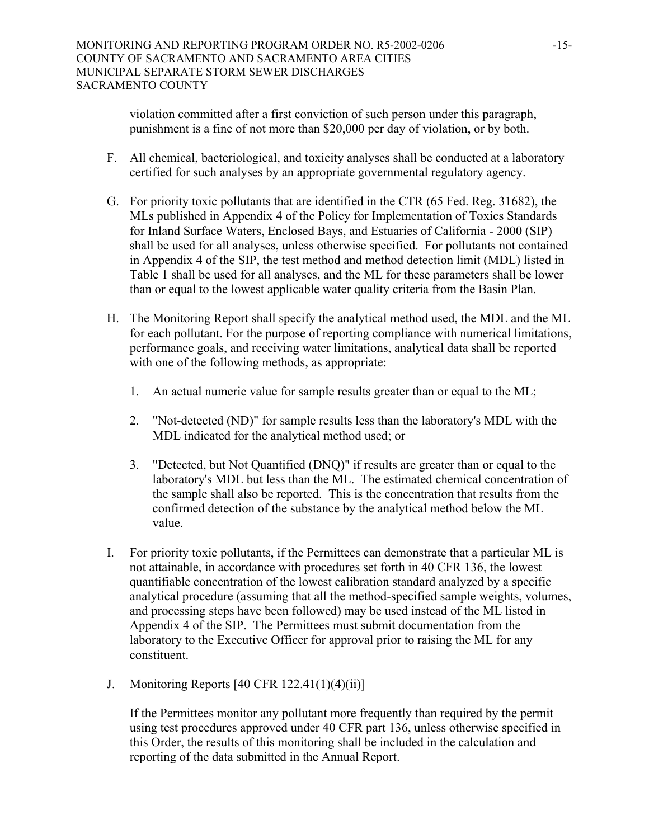violation committed after a first conviction of such person under this paragraph, punishment is a fine of not more than \$20,000 per day of violation, or by both.

- F. All chemical, bacteriological, and toxicity analyses shall be conducted at a laboratory certified for such analyses by an appropriate governmental regulatory agency.
- G. For priority toxic pollutants that are identified in the CTR (65 Fed. Reg. 31682), the MLs published in Appendix 4 of the Policy for Implementation of Toxics Standards for Inland Surface Waters, Enclosed Bays, and Estuaries of California - 2000 (SIP) shall be used for all analyses, unless otherwise specified. For pollutants not contained in Appendix 4 of the SIP, the test method and method detection limit (MDL) listed in Table 1 shall be used for all analyses, and the ML for these parameters shall be lower than or equal to the lowest applicable water quality criteria from the Basin Plan.
- H. The Monitoring Report shall specify the analytical method used, the MDL and the ML for each pollutant. For the purpose of reporting compliance with numerical limitations, performance goals, and receiving water limitations, analytical data shall be reported with one of the following methods, as appropriate:
	- 1. An actual numeric value for sample results greater than or equal to the ML;
	- 2. "Not-detected (ND)" for sample results less than the laboratory's MDL with the MDL indicated for the analytical method used; or
	- 3. "Detected, but Not Quantified (DNQ)" if results are greater than or equal to the laboratory's MDL but less than the ML. The estimated chemical concentration of the sample shall also be reported. This is the concentration that results from the confirmed detection of the substance by the analytical method below the ML value.
- I. For priority toxic pollutants, if the Permittees can demonstrate that a particular ML is not attainable, in accordance with procedures set forth in 40 CFR 136, the lowest quantifiable concentration of the lowest calibration standard analyzed by a specific analytical procedure (assuming that all the method-specified sample weights, volumes, and processing steps have been followed) may be used instead of the ML listed in Appendix 4 of the SIP. The Permittees must submit documentation from the laboratory to the Executive Officer for approval prior to raising the ML for any constituent.
- J. Monitoring Reports [40 CFR 122.41(1)(4)(ii)]

If the Permittees monitor any pollutant more frequently than required by the permit using test procedures approved under 40 CFR part 136, unless otherwise specified in this Order, the results of this monitoring shall be included in the calculation and reporting of the data submitted in the Annual Report.